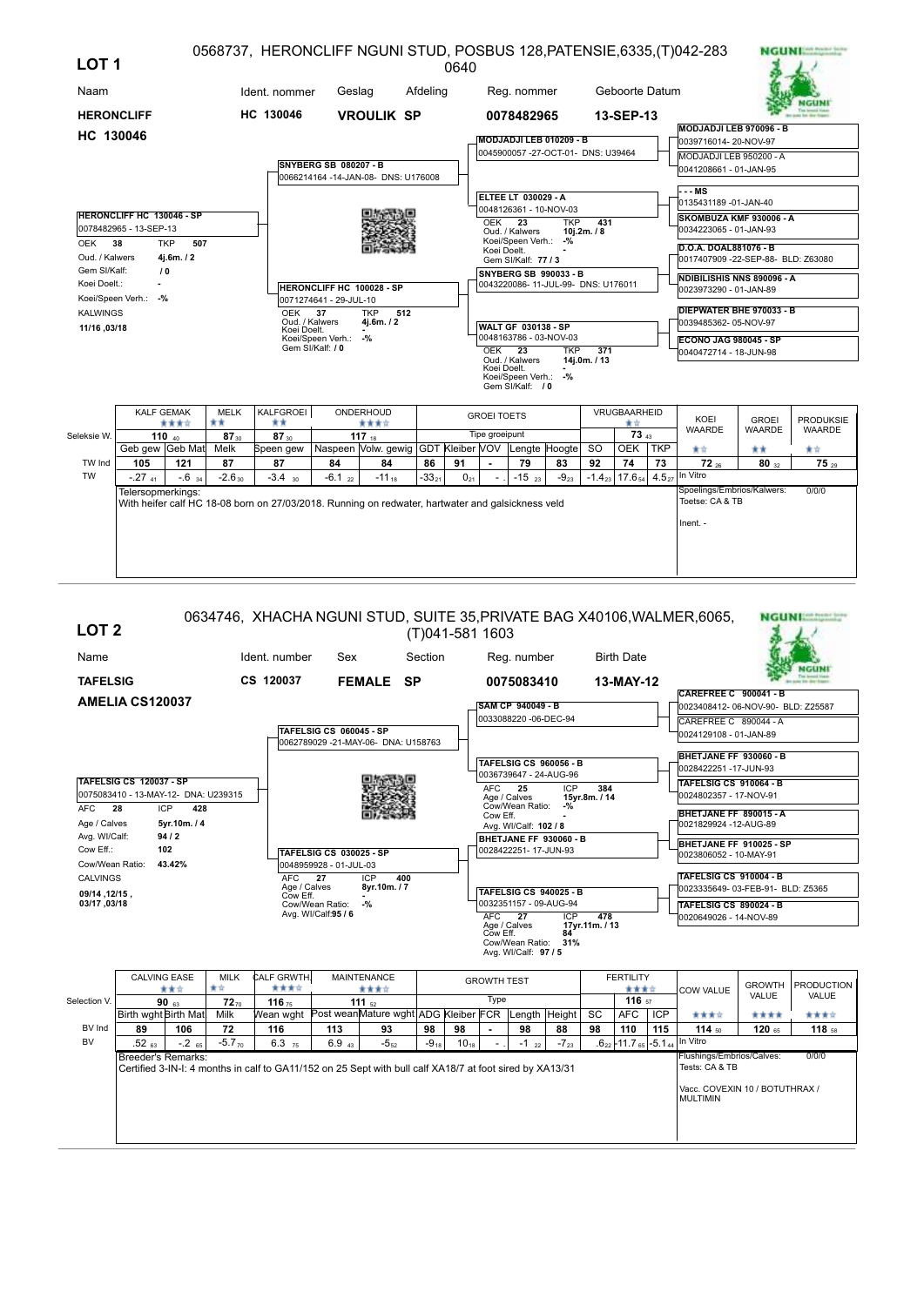| LOT <sub>1</sub>  |                                  |                   |                   | 0568737, HERONCLIFF NGUNI STUD, POSBUS 128, PATENSIE, 6335, (T) 042-283                           |                              |                                                               |          | 0640     |                    |                                                            |            |                    |                                |            |                                                 |                               | <b>NGUNIAR ROOM</b>        |
|-------------------|----------------------------------|-------------------|-------------------|---------------------------------------------------------------------------------------------------|------------------------------|---------------------------------------------------------------|----------|----------|--------------------|------------------------------------------------------------|------------|--------------------|--------------------------------|------------|-------------------------------------------------|-------------------------------|----------------------------|
| Naam              |                                  |                   |                   | Ident. nommer                                                                                     | Geslag                       |                                                               | Afdeling |          |                    | Reg. nommer                                                |            |                    | Geboorte Datum                 |            |                                                 |                               |                            |
| <b>HERONCLIFF</b> |                                  |                   |                   | HC 130046                                                                                         |                              | <b>VROULIK SP</b>                                             |          |          |                    | 0078482965                                                 |            |                    | 13-SEP-13                      |            |                                                 |                               |                            |
| HC 130046         |                                  |                   |                   |                                                                                                   |                              |                                                               |          |          |                    | MODJADJI LEB 010209 - B                                    |            |                    |                                |            | MODJADJI LEB 970096 - B<br>0039716014-20-NOV-97 |                               |                            |
|                   |                                  |                   |                   |                                                                                                   |                              |                                                               |          |          |                    | 0045900057 -27-OCT-01- DNS: U39464                         |            |                    |                                |            | MODJADJI LEB 950200 - A                         |                               |                            |
|                   |                                  |                   |                   |                                                                                                   | <b>SNYBERG SB 080207 - B</b> |                                                               |          |          |                    |                                                            |            |                    |                                |            | 0041208661 - 01-JAN-95                          |                               |                            |
|                   |                                  |                   |                   |                                                                                                   |                              | 0066214164 -14-JAN-08- DNS: U176008                           |          |          |                    |                                                            |            |                    |                                |            |                                                 |                               |                            |
|                   |                                  |                   |                   |                                                                                                   |                              |                                                               |          |          |                    | <b>ELTEE LT 030029 - A</b>                                 |            |                    |                                |            | --- MS<br>0135431189 -01-JAN-40                 |                               |                            |
|                   | <b>HERONCLIFF HC 130046 - SP</b> |                   |                   |                                                                                                   |                              |                                                               |          |          |                    | 0048126361 - 10-NOV-03                                     |            |                    |                                |            | SKOMBUZA KMF 930006 - A                         |                               |                            |
|                   | 0078482965 - 13-SEP-13           |                   |                   |                                                                                                   |                              |                                                               |          |          | OEK <sub>23</sub>  | Oud. / Kalwers                                             | <b>TKP</b> | 431<br>10j.2m. / 8 |                                |            | 0034223065 - 01-JAN-93                          |                               |                            |
| OEK               | 38                               | <b>TKP</b><br>507 |                   |                                                                                                   |                              |                                                               |          |          | Koei Doelt.        | Koei/Speen Verh.: -%                                       |            |                    |                                |            | D.O.A. DOAL881076 - B                           |                               |                            |
| Oud. / Kalwers    |                                  | 4j.6m./2          |                   |                                                                                                   |                              |                                                               |          |          |                    | Gem SI/Kalf: 77 / 3                                        |            |                    |                                |            | 0017407909 -22-SEP-88- BLD: Z63080              |                               |                            |
| Gem SI/Kalf:      |                                  | 10 <sup>°</sup>   |                   |                                                                                                   |                              |                                                               |          |          |                    | SNYBERG SB 990033 - B                                      |            |                    |                                |            | NDIBILISHIS NNS 890096 - A                      |                               |                            |
| Koei Doelt.:      |                                  |                   |                   |                                                                                                   | HERONCLIFF HC 100028 - SP    |                                                               |          |          |                    | 0043220086-11-JUL-99- DNS: U176011                         |            |                    |                                |            | 0023973290 - 01-JAN-89                          |                               |                            |
|                   | Koei/Speen Verh.: -%             |                   |                   |                                                                                                   | 0071274641 - 29-JUL-10<br>37 | <b>TKP</b><br>512                                             |          |          |                    |                                                            |            |                    |                                |            | <b>DIEPWATER BHE 970033 - B</b>                 |                               |                            |
| <b>KALWINGS</b>   |                                  |                   |                   | OEK<br>Oud. / Kalwers                                                                             |                              | 4j.6m./2                                                      |          |          |                    | <b>WALT GF 030138 - SP</b>                                 |            |                    |                                |            | 0039485362-05-NOV-97                            |                               |                            |
| 11/16, 03/18      |                                  |                   |                   | Koei Doelt.                                                                                       | Koei/Speen Verh.: -%         |                                                               |          |          |                    | 0048163786 - 03-NOV-03                                     |            |                    |                                |            | <b>ECONO JAG 980045 - SP</b>                    |                               |                            |
|                   |                                  |                   |                   |                                                                                                   | Gem SI/Kalf: / 0             |                                                               |          |          | <b>OEK</b>         | $\overline{23}$                                            | <b>TKP</b> | 371<br>14j.0m./13  |                                |            | 0040472714 - 18-JUN-98                          |                               |                            |
|                   |                                  |                   |                   |                                                                                                   |                              |                                                               |          |          | Koei Doelt.        | Oud. / Kalwers<br>Koei/Speen Verh.: -%<br>Gem SI/Kalf: / 0 |            |                    |                                |            |                                                 |                               |                            |
|                   |                                  | <b>KALF GEMAK</b> | <b>MELK</b>       | KALFGROEI                                                                                         |                              | ONDERHOUD                                                     |          |          | <b>GROEI TOETS</b> |                                                            |            |                    | <b>VRUGBAARHEID</b>            |            |                                                 |                               |                            |
|                   |                                  | ****              | **                | **                                                                                                |                              | ****                                                          |          |          | Tipe groeipunt     |                                                            |            |                    | ★☆<br>73 43                    |            | KOEI<br><b>WAARDE</b>                           | <b>GROEI</b><br><b>WAARDE</b> | <b>PRODUKSIE</b><br>WAARDE |
| Seleksie W.       | Geb gew Geb Mat                  | 110 $40$          | $87_{30}$<br>Melk | 87 30<br>Speen gew                                                                                |                              | 117 $18$<br>Naspeen Volw. gewig GDT Kleiber VOV Lengte Hoogte |          |          |                    |                                                            |            | <b>SO</b>          | OEK TKP                        |            | ★☆                                              | **                            | 青女                         |
| TW Ind            | 105                              | 121               | 87                | 87                                                                                                | 84                           | 84                                                            | 86       | 91       |                    | 79                                                         | 83         | 92                 | 74                             | 73         | $72_{26}$                                       | 80x2                          | $75_{29}$                  |
| <b>TW</b>         | $-27$ <sub>41</sub>              | $-0.6$ 34         | $-2.630$          | $-3.4$ 30                                                                                         | $-6.1_{22}$                  | $-11_{18}$                                                    | $-3321$  | $0_{21}$ |                    | $-15$ <sub>23</sub>                                        | $-9_{23}$  |                    | $-1.4_{23}$ 17.6 <sub>54</sub> | $4.5_{27}$ | In Vitro                                        |                               |                            |
|                   | Telersopmerkings:                |                   |                   | With heifer calf HC 18-08 born on 27/03/2018. Running on redwater, hartwater and galsickness veld |                              |                                                               |          |          |                    |                                                            |            |                    |                                |            | Spoelings/Embrios/Kalwers:<br>Toetse: CA & TB   |                               | 0/0/0                      |
|                   |                                  |                   |                   |                                                                                                   |                              |                                                               |          |          |                    |                                                            |            |                    |                                |            | Inent. -                                        |                               |                            |
|                   |                                  |                   |                   |                                                                                                   |                              |                                                               |          |          |                    |                                                            |            |                    |                                |            |                                                 |                               |                            |
|                   |                                  |                   |                   |                                                                                                   |                              |                                                               |          |          |                    |                                                            |            |                    |                                |            |                                                 |                               |                            |
|                   |                                  |                   |                   |                                                                                                   |                              |                                                               |          |          |                    |                                                            |            |                    |                                |            |                                                 |                               |                            |

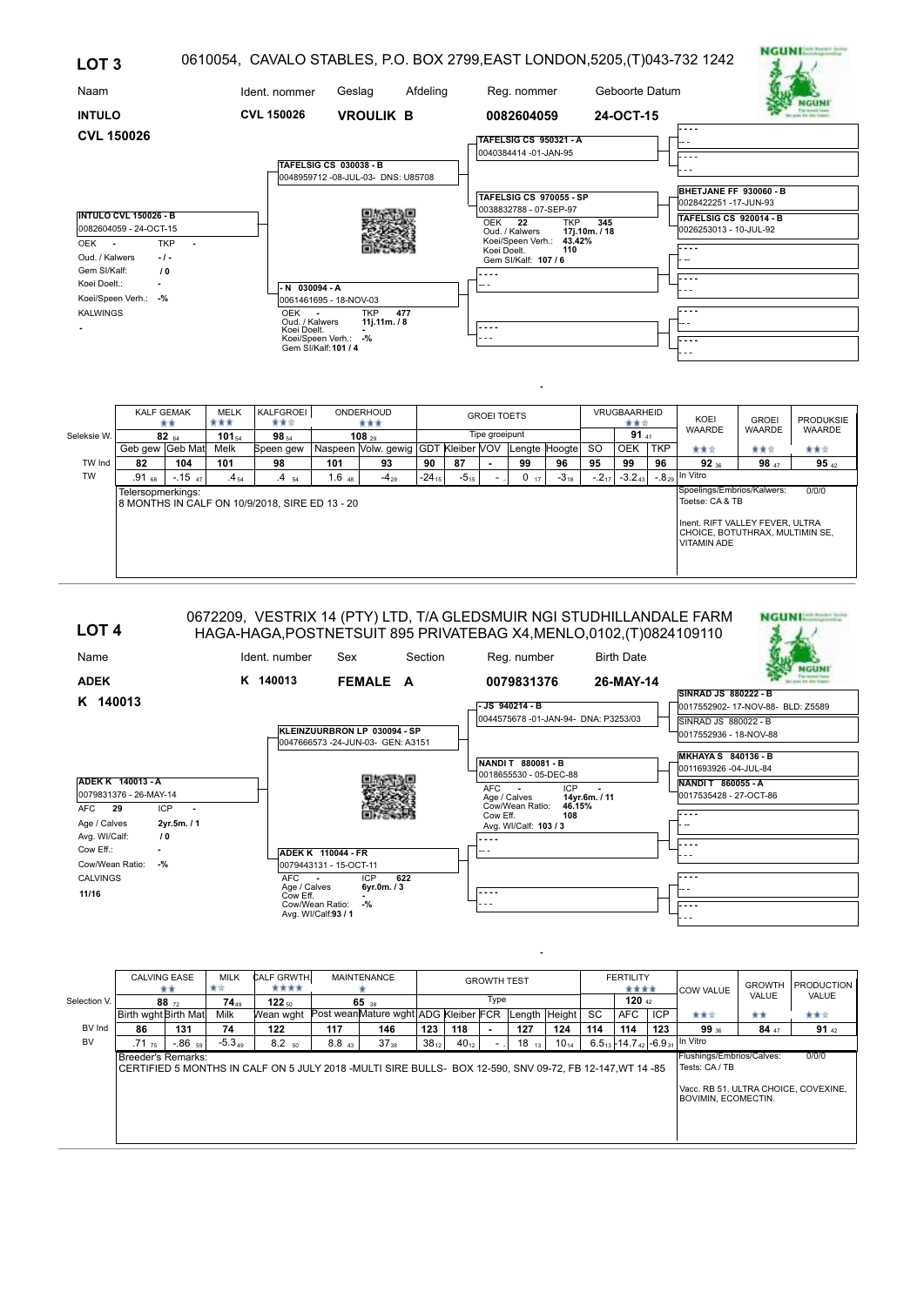| LOT <sub>3</sub>                                                                                |                                                                                              |                     |                    |                                                                |                                                                                                            |                                                                         |              |    |                         |                                                                                                                                                                                  |                             |                      |                     |            | 0610054, CAVALO STABLES, P.O. BOX 2799, EAST LONDON, 5205, (T)043-732 1242                                           | <b>NGUNI:</b>                 |                                   |
|-------------------------------------------------------------------------------------------------|----------------------------------------------------------------------------------------------|---------------------|--------------------|----------------------------------------------------------------|------------------------------------------------------------------------------------------------------------|-------------------------------------------------------------------------|--------------|----|-------------------------|----------------------------------------------------------------------------------------------------------------------------------------------------------------------------------|-----------------------------|----------------------|---------------------|------------|----------------------------------------------------------------------------------------------------------------------|-------------------------------|-----------------------------------|
| Naam                                                                                            |                                                                                              |                     |                    | Ident. nommer                                                  | Geslag                                                                                                     |                                                                         | Afdeling     |    |                         | Reg. nommer                                                                                                                                                                      |                             |                      | Geboorte Datum      |            |                                                                                                                      |                               |                                   |
| <b>INTULO</b>                                                                                   |                                                                                              |                     |                    | CVL 150026                                                     |                                                                                                            | <b>VROULIK B</b>                                                        |              |    |                         | 0082604059                                                                                                                                                                       |                             |                      | 24-OCT-15           |            |                                                                                                                      |                               |                                   |
| <b>CVL 150026</b><br>OEK -<br>Oud. / Kalwers<br>Gem SI/Kalf:<br>Koei Doelt.:<br><b>KALWINGS</b> | <b>INTULO CVL 150026 - B</b><br>0082604059 - 24-OCT-15<br>$\sqrt{0}$<br>Koei/Speen Verh.: -% | <b>TKP</b><br>$-1-$ |                    | $-N$ 030094 - A<br><b>OEK</b><br>Oud. / Kalwers<br>Koei Doelt. | TAFELSIG CS 030038 - B<br>0061461695 - 18-NOV-03<br>$\sim$<br>Koei/Speen Verh.: -%<br>Gem SI/Kalf: 101 / 4 | 0048959712 -08-JUL-03- DNS: U85708<br><b>TKP</b><br>477<br>11j.11m. / 8 |              |    | OEK<br>Koei Doelt.<br>. | TAFELSIG CS 950321 - A<br>0040384414 -01-JAN-95<br><b>TAFELSIG CS 970055 - SP</b><br>0038832788 - 07-SEP-97<br>22<br>Oud. / Kalwers<br>Koei/Speen Verh.:<br>Gem SI/Kalf: 107 / 6 | <b>TKP</b><br>43.42%<br>110 | 345<br>17i.10m. / 18 |                     |            | $- - -$<br>BHETJANE FF 930060 - B<br>0028422251-17-JUN-93<br><b>TAFELSIG CS 920014 - B</b><br>0026253013 - 10-JUL-92 |                               |                                   |
|                                                                                                 | <b>KALF GEMAK</b>                                                                            | **                  | <b>MELK</b><br>*** | KALFGROEI<br>***                                               |                                                                                                            | ONDERHOUD<br>***                                                        |              |    | <b>GROEI TOETS</b>      |                                                                                                                                                                                  |                             |                      | VRUGBAARHEID<br>★★☆ |            | KOEI<br><b>WAARDE</b>                                                                                                | <b>GROEI</b><br><b>WAARDE</b> | <b>PRODUKSIE</b><br><b>WAARDE</b> |
| Seleksie W.                                                                                     | Geb gew Geb Mat                                                                              | $82_{64}$           | $101_{54}$<br>Melk | 98 54<br>Speen gew                                             |                                                                                                            | $108_{29}$<br>Naspeen Volw. gewig GDT Kleiber VOV Lengte Hoogte         |              |    | Tipe groeipunt          |                                                                                                                                                                                  |                             | <b>SO</b>            | 9141<br><b>OEK</b>  | <b>TKP</b> | 青青宮                                                                                                                  | 青青宮                           | 青青宮                               |
| TIM Ind                                                                                         | $\mathbf{a}$                                                                                 | $\overline{A}$      | 4.04               | 0O.                                                            | 404                                                                                                        | n.                                                                      | $\mathbf{a}$ | 07 |                         | nn.                                                                                                                                                                              | 0C.                         | 0E.                  | $\sim$              | 0C         | n.                                                                                                                   | 0o                            | 0E.                               |

| Seieksie vv. |                   | <b>82</b> 64 | 101 54.   | א∝ 50                                          |            | าบช ∍∝                                               |            |           | The dineihant |    |           |           | <b>JI</b> 41 |            |                                                                                                                                             |       |         |
|--------------|-------------------|--------------|-----------|------------------------------------------------|------------|------------------------------------------------------|------------|-----------|---------------|----|-----------|-----------|--------------|------------|---------------------------------------------------------------------------------------------------------------------------------------------|-------|---------|
|              | Geb gew Geb Mat   |              | Melk      | Speen gew                                      |            | Naspeen Volw. gewig GDT Kleiber VOV Lengte Hoogte SO |            |           |               |    |           |           | <b>OEK</b>   | <b>TKP</b> | 含食食                                                                                                                                         | ★★☆   | 青青宮     |
| TW Ind       | 82                | 104          | 101       | 98                                             | 101        | 93                                                   | 90         | 87        |               | 99 | 96        | 95        | 99           | 96         | $92_{36}$                                                                                                                                   | 98 47 | 95 $42$ |
| <b>TW</b>    | $.91\,$ 68        | $-1547$      | $.4_{54}$ | $.4\,{}_{54}$                                  | $1.6_{48}$ | $-4_{29}$                                            | $-24_{15}$ | $-5_{15}$ |               | 17 | $-3_{18}$ | $-2_{17}$ | $-3.2_{43}$  |            | $-8_{29}$ In Vitro                                                                                                                          |       |         |
|              | Telersopmerkings: |              |           | 8 MONTHS IN CALF ON 10/9/2018, SIRE ED 13 - 20 |            |                                                      |            |           |               |    |           |           |              |            | Spoelings/Embrios/Kalwers:<br>Toetse: CA & TB<br>Inent. RIFT VALLEY FEVER, ULTRA<br>  CHOICE. BOTUTHRAX. MULTIMIN SE.<br><b>VITAMIN ADE</b> |       | 0/0/0   |

| LOT <sub>4</sub><br>Name                                      | Ident. number            | Sex                                                               | Section | 0672209, VESTRIX 14 (PTY) LTD, T/A GLEDSMUIR NGI STUDHILLANDALE FARM<br>HAGA-HAGA, POSTNETSUIT 895 PRIVATEBAG X4, MENLO, 0102, (T) 0824109110<br>Reg. number | <b>Birth Date</b> |                                                          | <b>NGUNI</b> |
|---------------------------------------------------------------|--------------------------|-------------------------------------------------------------------|---------|--------------------------------------------------------------------------------------------------------------------------------------------------------------|-------------------|----------------------------------------------------------|--------------|
| <b>ADEK</b>                                                   | K 140013                 | FEMALE A                                                          |         | 0079831376                                                                                                                                                   | 26-MAY-14         | SINRAD JS 880222 - B                                     |              |
| K 140013                                                      |                          |                                                                   |         | -JS 940214 - B<br>0044575678 -01-JAN-94- DNA: P3253/03                                                                                                       |                   | 0017552902-17-NOV-88- BLD: Z5589<br>SINRAD JS 880022 - B |              |
|                                                               |                          | KLEINZUURBRON LP 030094 - SP<br>0047666573 -24-JUN-03- GEN: A3151 |         |                                                                                                                                                              |                   | 0017552936 - 18-NOV-88                                   |              |
|                                                               |                          |                                                                   |         | NANDIT 880081-B<br>0018655530 - 05-DEC-88                                                                                                                    |                   | <b>MKHAYA S 840136 - B</b><br>0011693926 -04-JUL-84      |              |
| ADEK K 140013 - A<br>0079831376 - 26-MAY-14                   |                          |                                                                   |         | <b>ICP</b><br>AFC.<br>$\overline{\phantom{a}}$<br>Age / Calves                                                                                               | 14vr.6m. / 11     | NANDIT 860055-A<br>0017535428 - 27-OCT-86                |              |
| <b>AFC</b><br>- 29<br><b>ICP</b><br>Age / Calves<br>2yr.5m./1 | $\overline{\phantom{a}}$ |                                                                   |         | Cow/Wean Ratio:<br>46.15%<br>108<br>Cow Eff.<br>Avg. WI/Calf: 103 / 3                                                                                        |                   |                                                          |              |
| Avg. WI/Calf:<br>$\sqrt{0}$<br>Cow Eff.:                      |                          | ADEK K 110044 - FR                                                |         | .<br>-- -                                                                                                                                                    |                   |                                                          |              |
| Cow/Wean Ratio:<br>$-$ %                                      |                          | 0079443131 - 15-OCT-11                                            |         |                                                                                                                                                              |                   |                                                          |              |
| CALVINGS<br>11/16                                             | AFC<br>Cow Eff.          | <b>ICP</b><br>622<br>$\sim$<br>Age / Calves<br>6vr.0m. / 3        |         | ----                                                                                                                                                         |                   |                                                          |              |
|                                                               |                          | $-9/2$<br>Cow/Wean Ratio:<br>Avg. WI/Calf:93 / 1                  |         |                                                                                                                                                              |                   |                                                          |              |

|              | <b>CALVING EASE</b>                                                                                                                  | **        | <b>MILK</b><br>宣宣                                                                                       | CALF GRWTH.<br>**** |     | <b>MAINTENANCE</b>                    |     |     | <b>GROWTH TEST</b> |           |                 |                                                                                                            | <b>FERTILITY</b><br>**** |                                                  | <b>COW VALUE</b> | <b>GROWTH</b><br>VALUE | <b>PRODUCTION</b><br><b>VALUE</b> |
|--------------|--------------------------------------------------------------------------------------------------------------------------------------|-----------|---------------------------------------------------------------------------------------------------------|---------------------|-----|---------------------------------------|-----|-----|--------------------|-----------|-----------------|------------------------------------------------------------------------------------------------------------|--------------------------|--------------------------------------------------|------------------|------------------------|-----------------------------------|
| Selection V. |                                                                                                                                      | $88 - 72$ | 7449                                                                                                    | 122 <sub>50</sub>   |     | 65 38                                 |     |     | Type               |           |                 |                                                                                                            | 120 $_{42}$              |                                                  |                  |                        |                                   |
|              | Birth wght Birth Mat                                                                                                                 |           | Milk                                                                                                    | Wean wght           |     | Post wean Mature wght ADG Kleiber FCR |     |     |                    |           | Length   Height | <b>SC</b>                                                                                                  | AFC                      | <b>ICP</b>                                       | 含食宜              | **                     | 食食食                               |
| BV Ind       | 86                                                                                                                                   | 131       | 74                                                                                                      | 122                 | 117 | 146                                   | 123 | 118 |                    | 127       | 124             | 114                                                                                                        | 114                      | 123                                              | $99_{36}$        | 84x7                   | 91 $_{42}$                        |
| <b>BV</b>    | $-5.349$<br>$8.2_{50}$<br>8.8 <sub>43</sub><br>$38_{12}$<br>$-0.86$ 59<br>$37_{38}$<br>$40_{12}$<br>$.71 \times 75$<br>$\sim$ $\sim$ |           |                                                                                                         |                     |     |                                       |     |     | $18_{13}$          | $10_{14}$ |                 |                                                                                                            |                          | $6.5_{13}$ + 14.7 $_{42}$ - 6.9 $_{31}$ In Vitro |                  |                        |                                   |
|              | Breeder's Remarks:                                                                                                                   |           | CERTIFIED 5 MONTHS IN CALF ON 5 JULY 2018 -MULTI SIRE BULLS- BOX 12-590. SNV 09-72. FB 12-147.WT 14 -85 |                     |     |                                       |     |     |                    |           |                 | Flushings/Embrios/Calves:<br>Tests: CA / TB<br>Vacc, RB 51, ULTRA CHOICE, COVEXINE.<br>BOVIMIN, ECOMECTIN. |                          | 0/0/0                                            |                  |                        |                                   |

**-**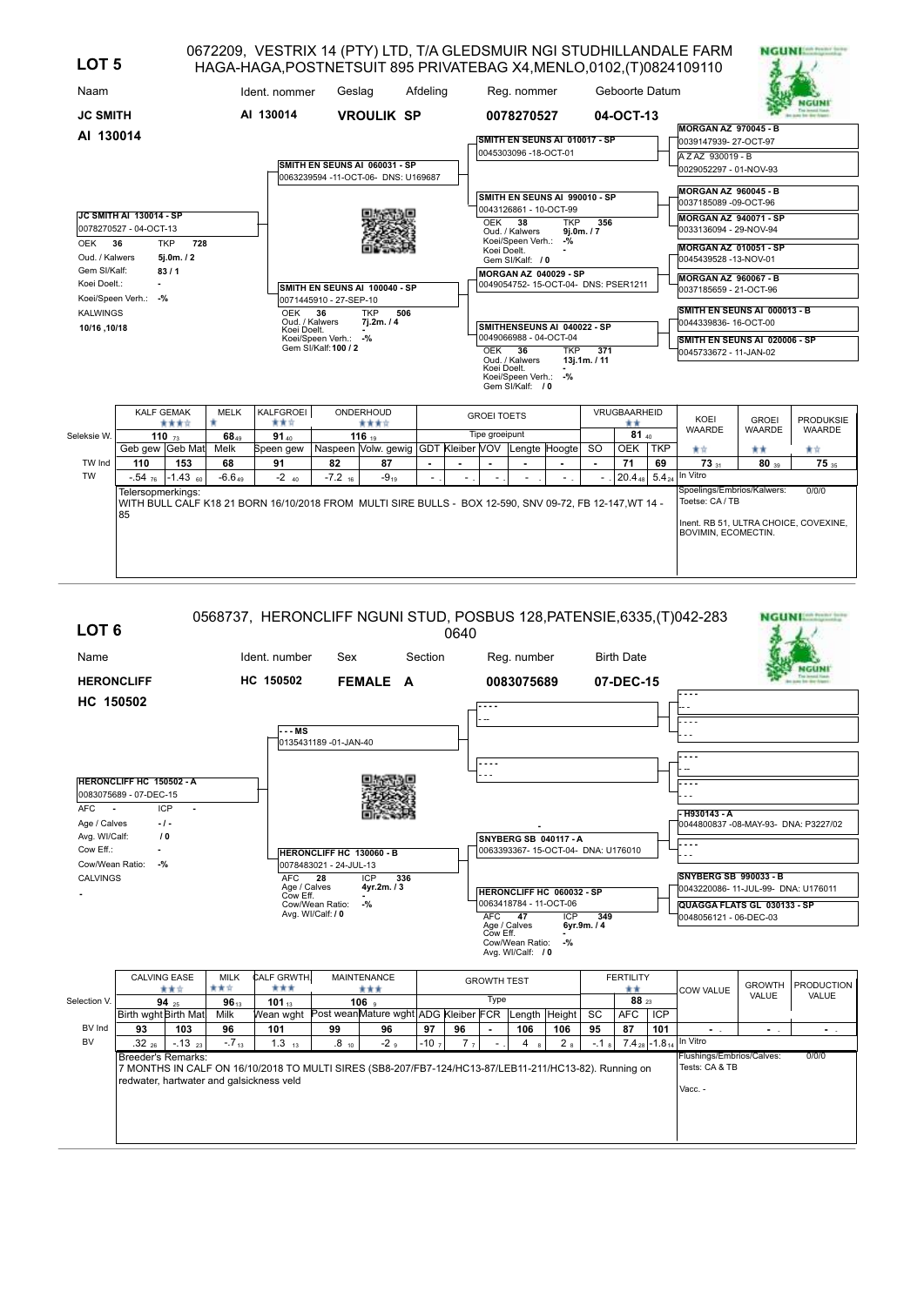| LOT <sub>5</sub> |                                                                                                                     |                   |                  | HAGA-HAGA, POSTNETSUIT 895 PRIVATEBAG X4, MENLO, 0102, (T) 0824109110                                   |                                                                     |                                                                      |          |  |                    |                                                         |            |                                  |                |            | 0672209, VESTRIX 14 (PTY) LTD, T/A GLEDSMUIR NGI STUDHILLANDALE FARM | NGUNI         |                  |
|------------------|---------------------------------------------------------------------------------------------------------------------|-------------------|------------------|---------------------------------------------------------------------------------------------------------|---------------------------------------------------------------------|----------------------------------------------------------------------|----------|--|--------------------|---------------------------------------------------------|------------|----------------------------------|----------------|------------|----------------------------------------------------------------------|---------------|------------------|
| Naam             |                                                                                                                     |                   |                  | Ident. nommer                                                                                           | Geslag                                                              |                                                                      | Afdeling |  |                    | Reg. nommer                                             |            |                                  | Geboorte Datum |            |                                                                      |               |                  |
| <b>JC SMITH</b>  |                                                                                                                     |                   |                  | AI 130014                                                                                               |                                                                     | <b>VROULIK SP</b>                                                    |          |  |                    | 0078270527                                              |            |                                  | 04-OCT-13      |            | <b>MORGAN AZ 970045 - B</b>                                          |               |                  |
| AI 130014        |                                                                                                                     |                   |                  |                                                                                                         |                                                                     |                                                                      |          |  |                    | SMITH EN SEUNS AI 010017 - SP                           |            |                                  |                |            | 0039147939-27-OCT-97                                                 |               |                  |
|                  |                                                                                                                     |                   |                  |                                                                                                         |                                                                     |                                                                      |          |  |                    | 0045303096 -18-OCT-01                                   |            |                                  |                |            | AZAZ 930019 - B                                                      |               |                  |
|                  |                                                                                                                     |                   |                  |                                                                                                         |                                                                     | SMITH EN SEUNS AI 060031 - SP<br>0063239594 -11-OCT-06- DNS: U169687 |          |  |                    |                                                         |            |                                  |                |            | 0029052297 - 01-NOV-93                                               |               |                  |
|                  |                                                                                                                     |                   |                  |                                                                                                         |                                                                     |                                                                      |          |  |                    |                                                         |            |                                  |                |            | MORGAN AZ 960045 - B                                                 |               |                  |
|                  |                                                                                                                     |                   |                  |                                                                                                         |                                                                     |                                                                      |          |  |                    | SMITH EN SEUNS AI 990010 - SP<br>0043126861 - 10-OCT-99 |            |                                  |                |            | 0037185089 -09-OCT-96                                                |               |                  |
|                  | <b>JC SMITH AI 130014 - SP</b>                                                                                      |                   |                  |                                                                                                         |                                                                     |                                                                      |          |  | OEK                | 38                                                      | <b>TKP</b> | 356                              |                |            | MORGAN AZ 940071 - SP                                                |               |                  |
|                  | 0078270527 - 04-OCT-13                                                                                              |                   |                  |                                                                                                         |                                                                     |                                                                      |          |  |                    | Oud. / Kalwers                                          | $-9/2$     | 9j.0m. / 7                       |                |            | 0033136094 - 29-NOV-94                                               |               |                  |
| OEK              | 36                                                                                                                  | <b>TKP</b><br>728 |                  |                                                                                                         |                                                                     |                                                                      |          |  | Koei Doelt.        | Koei/Speen Verh.:                                       |            |                                  |                |            | MORGAN AZ 010051 - SP                                                |               |                  |
|                  | Oud. / Kalwers<br>$5j.0m.$ / 2<br>Gem SI/Kalf:<br>83/1                                                              |                   |                  |                                                                                                         |                                                                     |                                                                      |          |  |                    | Gem SI/Kalf: / 0                                        |            |                                  |                |            | 0045439528 -13-NOV-01                                                |               |                  |
| Koei Doelt.:     |                                                                                                                     |                   |                  |                                                                                                         | <b>MORGAN AZ 040029 - SP</b><br>0049054752-15-OCT-04- DNS: PSER1211 |                                                                      |          |  |                    | MORGAN AZ 960067 - B                                    |            |                                  |                |            |                                                                      |               |                  |
|                  | Koei/Speen Verh.: -%                                                                                                |                   |                  |                                                                                                         | 0071445910 - 27-SEP-10                                              | SMITH EN SEUNS AI 100040 - SP                                        |          |  |                    |                                                         |            |                                  |                |            | 0037185659 - 21-OCT-96                                               |               |                  |
| <b>KALWINGS</b>  |                                                                                                                     |                   |                  | <b>OEK</b>                                                                                              | 36                                                                  | <b>TKP</b><br>506                                                    |          |  |                    |                                                         |            |                                  |                |            | SMITH EN SEUNS AI 000013 - B                                         |               |                  |
| 10/16, 10/18     |                                                                                                                     |                   |                  | Oud. / Kalwers<br>Koei Doelt.                                                                           |                                                                     | 7j.2m./4                                                             |          |  |                    | SMITHENSEUNS AI 040022 - SP                             |            |                                  |                |            | 0044339836- 16-OCT-00                                                |               |                  |
|                  |                                                                                                                     |                   |                  |                                                                                                         | Koei/Speen Verh.: -%                                                |                                                                      |          |  |                    | 0049066988 - 04-OCT-04                                  |            |                                  |                |            | SMITH EN SEUNS AI 020006 - SP                                        |               |                  |
|                  |                                                                                                                     |                   |                  |                                                                                                         | Gem SI/Kalf: 100 / 2                                                |                                                                      |          |  | $OEK$ 36           | Oud. / Kalwers                                          | <b>TKP</b> | $\overline{371}$<br>13j.1m. / 11 |                |            | 0045733672 - 11-JAN-02                                               |               |                  |
|                  |                                                                                                                     |                   |                  |                                                                                                         |                                                                     |                                                                      |          |  | Koei Doelt.        | Koei/Speen Verh.: -%<br>Gem SI/Kalf: / 0                |            |                                  |                |            |                                                                      |               |                  |
|                  |                                                                                                                     | <b>KALF GEMAK</b> | <b>MELK</b><br>۰ | KALFGROEI<br>***                                                                                        |                                                                     | ONDERHOUD                                                            |          |  | <b>GROEI TOETS</b> |                                                         |            |                                  | VRUGBAARHEID   |            | KOEI                                                                 | <b>GROEI</b>  | <b>PRODUKSIE</b> |
| Seleksie W.      |                                                                                                                     | ****              | 6840             | 91 <sub>40</sub>                                                                                        |                                                                     | ****                                                                 |          |  | Tipe groeipunt     |                                                         |            |                                  | **<br>81.40    |            | <b>WAARDE</b>                                                        | <b>WAARDE</b> | <b>WAARDE</b>    |
|                  | 110 $73$<br>$116 - 19$<br>Naspeen Volw. gewig GDT Kleiber VOV Lengte Hoogte<br>Geb gew Geb Mat<br>Melk<br>Speen gew |                   |                  |                                                                                                         |                                                                     |                                                                      |          |  |                    |                                                         |            | <sub>SO</sub>                    | <b>OEK</b>     | <b>TKP</b> | ★☆                                                                   | **            | 青青               |
| TW Ind           | 110                                                                                                                 | 153               | 68               | 91                                                                                                      | 82                                                                  | 87                                                                   |          |  |                    |                                                         |            | ٠                                | 71             | 69         | 73 31                                                                | $80_{39}$     | 75 35            |
| <b>TW</b>        | $-.54$ <sub>76</sub>                                                                                                | $-1.43$ 60        | $-6.6_{49}$      | $-2$ 40                                                                                                 | $-7.2$ <sub>16</sub>                                                | $-9_{19}$                                                            |          |  |                    |                                                         |            |                                  | $20.4_{48}$    |            | $5.4_{24}$ In Vitro                                                  |               |                  |
|                  | Telersopmerkings:                                                                                                   |                   |                  | WITH BULL CALF K18 21 BORN 16/10/2018 FROM MULTI SIRE BULLS - BOX 12-590, SNV 09-72, FB 12-147, WT 14 - |                                                                     |                                                                      |          |  |                    |                                                         |            |                                  |                |            | Spoelings/Embrios/Kalwers:<br>Toetse: CA / TB                        |               | 0/0/0            |
|                  | 85                                                                                                                  |                   |                  |                                                                                                         |                                                                     |                                                                      |          |  |                    |                                                         |            |                                  |                |            | Inent. RB 51, ULTRA CHOICE, COVEXINE,<br>BOVIMIN, ECOMECTIN.         |               |                  |

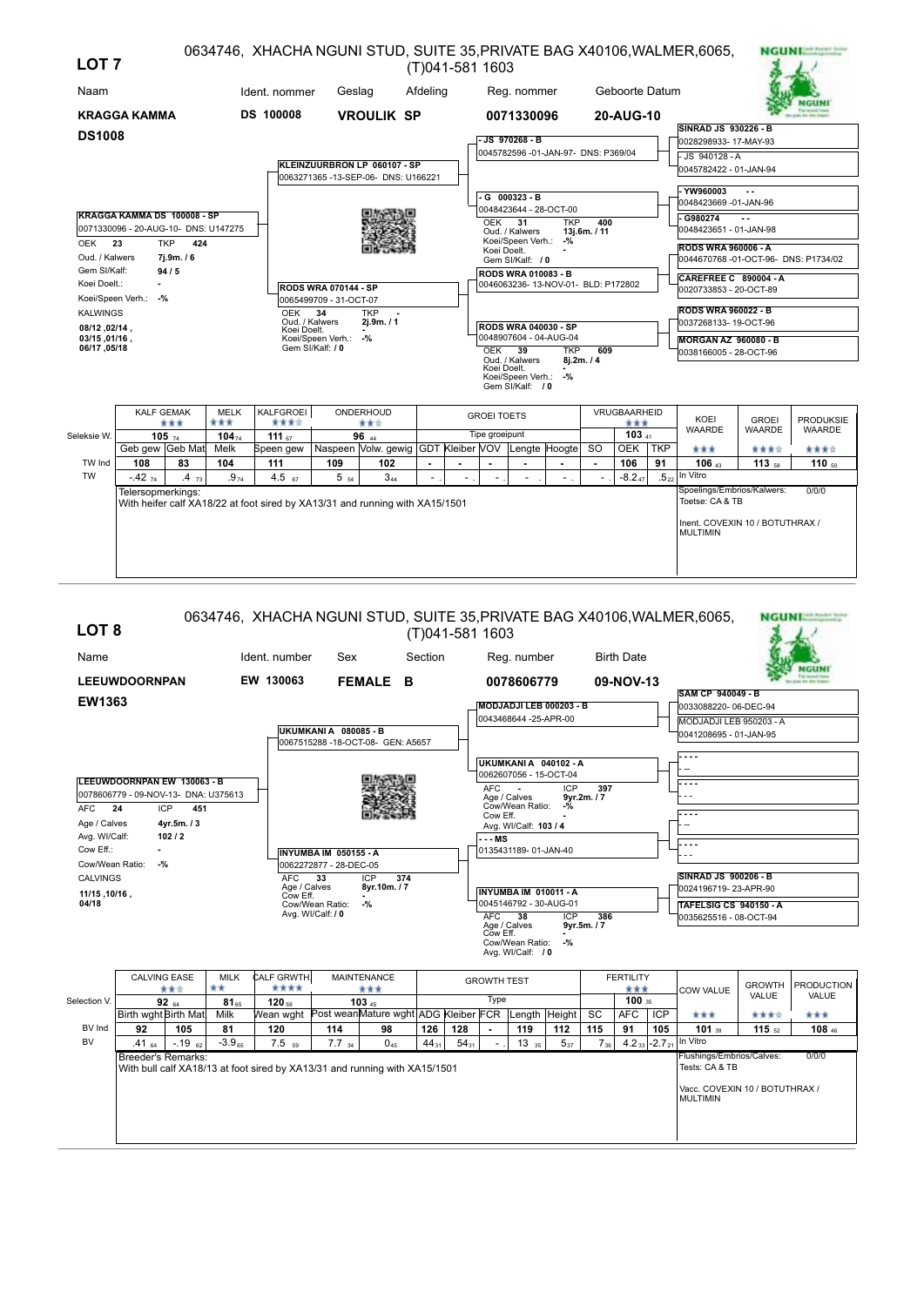| LOT <sub>7</sub>                |                                      |                   |                    |                                                                              |                             |                                                                    |          | (T)041-581 1603            |                    |                                                            |            |            |                     |            | 0634746, XHACHA NGUNI STUD, SUITE 35, PRIVATE BAG X40106, WALMER, 6065, |                   | <b>NGUNISM PRODUCTS</b> |
|---------------------------------|--------------------------------------|-------------------|--------------------|------------------------------------------------------------------------------|-----------------------------|--------------------------------------------------------------------|----------|----------------------------|--------------------|------------------------------------------------------------|------------|------------|---------------------|------------|-------------------------------------------------------------------------|-------------------|-------------------------|
| Naam                            |                                      |                   |                    | Ident. nommer                                                                | Geslag                      |                                                                    | Afdeling |                            |                    | Reg. nommer                                                |            |            | Geboorte Datum      |            |                                                                         |                   |                         |
|                                 | <b>KRAGGA KAMMA</b>                  |                   |                    | <b>DS 100008</b>                                                             |                             | <b>VROULIK SP</b>                                                  |          |                            |                    | 0071330096                                                 |            |            | 20-AUG-10           |            |                                                                         |                   |                         |
| <b>DS1008</b>                   |                                      |                   |                    |                                                                              |                             |                                                                    |          |                            |                    | $-JS$ 970268 - B                                           |            |            |                     |            | <b>SINRAD JS 930226 - B</b><br>0028298933-17-MAY-93                     |                   |                         |
|                                 |                                      |                   |                    |                                                                              |                             |                                                                    |          |                            |                    | 0045782596 -01-JAN-97- DNS: P369/04                        |            |            |                     |            | JS 940128 - A                                                           |                   |                         |
|                                 |                                      |                   |                    |                                                                              |                             | KLEINZUURBRON LP 060107 - SP<br>0063271365-13-SEP-06- DNS: U166221 |          |                            |                    |                                                            |            |            |                     |            | 0045782422 - 01-JAN-94                                                  |                   |                         |
|                                 |                                      |                   |                    |                                                                              |                             |                                                                    |          |                            |                    | -G 000323-B                                                |            |            |                     |            | - YW960003                                                              |                   |                         |
|                                 |                                      |                   |                    |                                                                              |                             |                                                                    |          |                            |                    | 0048423644 - 28-OCT-00                                     |            |            |                     |            | 0048423669 -01-JAN-96                                                   |                   |                         |
|                                 | KRAGGA KAMMA DS 100008 - SP          |                   |                    |                                                                              |                             |                                                                    |          |                            | <b>OEK</b>         | 31                                                         | <b>TKP</b> | 400        |                     |            | G980274                                                                 |                   |                         |
| OEK 23                          | 0071330096 - 20-AUG-10- DNS: U147275 | <b>TKP</b><br>424 |                    |                                                                              |                             |                                                                    |          |                            |                    | Oud. / Kalwers<br>Koei/Speen Verh.:                        | $-$ %      | 13j.6m./11 |                     |            | 0048423651 - 01-JAN-98                                                  |                   |                         |
| Oud. / Kalwers                  |                                      | 7j.9m./6          |                    |                                                                              |                             |                                                                    |          |                            | Koei Doelt.        | Gem SI/Kalf: / 0                                           |            |            |                     |            | <b>RODS WRA 960006 - A</b><br>0044670768-01-OCT-96- DNS: P1734/02       |                   |                         |
| Gem SI/Kalf:                    |                                      | 94/5              |                    |                                                                              |                             |                                                                    |          | <b>RODS WRA 010083 - B</b> |                    |                                                            |            |            |                     |            |                                                                         |                   |                         |
| Koei Doelt.:                    |                                      |                   |                    |                                                                              | <b>RODS WRA 070144 - SP</b> |                                                                    |          |                            |                    | 0046063236-13-NOV-01- BLD: P172802                         |            |            |                     |            | CAREFREE C 890004 - A<br>0020733853 - 20-OCT-89                         |                   |                         |
|                                 | Koei/Speen Verh.: -%                 |                   |                    |                                                                              | 0065499709 - 31-OCT-07      |                                                                    |          |                            |                    |                                                            |            |            |                     |            |                                                                         |                   |                         |
| <b>KALWINGS</b>                 |                                      |                   |                    | <b>OEK</b>                                                                   | 34<br>Oud, / Kalwers        | <b>TKP</b><br>2j.9m. / 1                                           |          |                            |                    |                                                            |            |            |                     |            | <b>RODS WRA 960022 - B</b><br>0037268133-19-OCT-96                      |                   |                         |
| , 02/14, 08/12<br>03/15, 01/16, |                                      |                   |                    | Koei Doelt.                                                                  | Koei/Speen Verh.:           | -%                                                                 |          |                            |                    | <b>RODS WRA 040030 - SP</b><br>0048907604 - 04-AUG-04      |            |            |                     |            | <b>MORGAN AZ 960080 - B</b>                                             |                   |                         |
| 06/17,05/18                     |                                      |                   |                    |                                                                              | Gem SI/Kalf: / 0            |                                                                    |          |                            | OEK 39             |                                                            | <b>TKP</b> | 609        |                     |            | 0038166005 - 28-OCT-96                                                  |                   |                         |
|                                 |                                      |                   |                    |                                                                              |                             |                                                                    |          |                            | Koei Doelt.        | Oud. / Kalwers<br>Koei/Speen Verh.: -%<br>Gem SI/Kalf: / 0 |            | 8j.2m. / 4 |                     |            |                                                                         |                   |                         |
|                                 | <b>KALF GEMAK</b>                    | ***               | <b>MELK</b><br>*** | KALFGROEI<br>含含含合                                                            |                             | ONDERHOUD<br>青青宮                                                   |          |                            | <b>GROEI TOETS</b> |                                                            |            |            | VRUGBAARHEID<br>*** |            | KOEI                                                                    | <b>GROEI</b>      | <b>PRODUKSIE</b>        |
| Seleksie W.                     |                                      | $105 - 74$        | $104_{74}$         | 111 $57$                                                                     |                             | 96 AA                                                              |          |                            | Tipe groeipunt     |                                                            |            |            | $103A11}$           |            | WAARDE                                                                  | <b>WAARDE</b>     | <b>WAARDE</b>           |
|                                 | Geb gew Geb Mat                      |                   | Melk               | Speen gew                                                                    |                             | Naspeen Volw. gewig GDT Kleiber VOV                                |          |                            |                    | Lengte Hoogte                                              |            | <b>SO</b>  | <b>OEK</b>          | <b>TKP</b> | ***                                                                     | 含食食官              | ****                    |
| TW Ind                          | 108                                  | 83                | 104                | 111                                                                          | 109                         | 102                                                                |          |                            |                    |                                                            |            | ٠          | 106                 | 91         | 106 43                                                                  | 113 <sub>58</sub> | 110 $50$                |
| <b>TW</b>                       | $-4274$                              | .473              | $.9_{74}$          | 4.5 $67$                                                                     | $5\,$ $_{54}$               | $3_{44}$                                                           |          |                            |                    |                                                            |            |            | $-8.247$            |            | $5_{22}$ In Vitro<br>Spoelings/Embrios/Kalwers:                         |                   |                         |
|                                 | Telersopmerkings:                    |                   |                    | With heifer calf XA18/22 at foot sired by XA13/31 and running with XA15/1501 |                             |                                                                    |          |                            |                    |                                                            |            |            |                     |            | Toetse: CA & TB                                                         |                   | 0/0/0                   |
|                                 |                                      |                   |                    |                                                                              |                             |                                                                    |          |                            |                    |                                                            |            |            |                     |            | Inent. COVEXIN 10 / BOTUTHRAX /<br><b>MULTIMIN</b>                      |                   |                         |

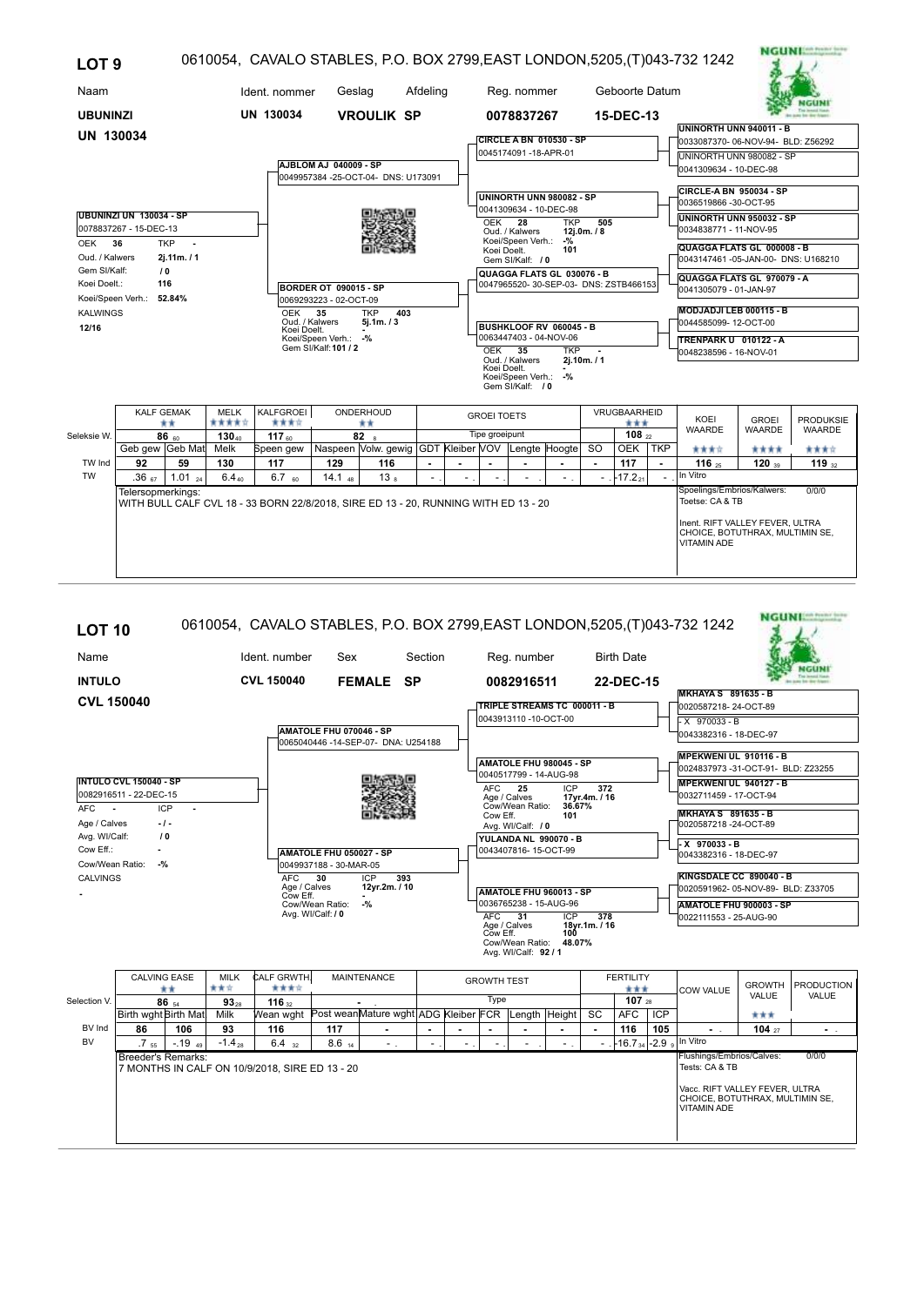| LOT <sub>9</sub>                                                                         |                                                                                                                                                                                                                                                                                                                                                                          |                         |                                                                                     |                          |                       |                                                         |                |                                                    |                                                                                                                             |                                                                                                                                                                                                                            |                                                                                                                                           |                      |            | 0610054, CAVALO STABLES, P.O. BOX 2799, EAST LONDON, 5205, (T) 043-732 1242                                                                                                                                                                                                                                                              | NGUNI                         |                                   |
|------------------------------------------------------------------------------------------|--------------------------------------------------------------------------------------------------------------------------------------------------------------------------------------------------------------------------------------------------------------------------------------------------------------------------------------------------------------------------|-------------------------|-------------------------------------------------------------------------------------|--------------------------|-----------------------|---------------------------------------------------------|----------------|----------------------------------------------------|-----------------------------------------------------------------------------------------------------------------------------|----------------------------------------------------------------------------------------------------------------------------------------------------------------------------------------------------------------------------|-------------------------------------------------------------------------------------------------------------------------------------------|----------------------|------------|------------------------------------------------------------------------------------------------------------------------------------------------------------------------------------------------------------------------------------------------------------------------------------------------------------------------------------------|-------------------------------|-----------------------------------|
| Naam                                                                                     |                                                                                                                                                                                                                                                                                                                                                                          |                         |                                                                                     | Ident. nommer            | Geslag                |                                                         | Afdeling       |                                                    | Reg. nommer                                                                                                                 |                                                                                                                                                                                                                            |                                                                                                                                           | Geboorte Datum       |            |                                                                                                                                                                                                                                                                                                                                          |                               |                                   |
| <b>UBUNINZI</b>                                                                          |                                                                                                                                                                                                                                                                                                                                                                          |                         |                                                                                     | UN 130034                |                       | <b>VROULIK SP</b>                                       |                |                                                    | 0078837267                                                                                                                  |                                                                                                                                                                                                                            |                                                                                                                                           | 15-DEC-13            |            |                                                                                                                                                                                                                                                                                                                                          |                               |                                   |
| <b>UN 130034</b>                                                                         |                                                                                                                                                                                                                                                                                                                                                                          |                         |                                                                                     |                          |                       |                                                         |                |                                                    |                                                                                                                             | <b>CIRCLE A BN 010530 - SP</b>                                                                                                                                                                                             |                                                                                                                                           |                      |            | UNINORTH UNN 940011 - B<br>0033087370-06-NOV-94- BLD: Z56292                                                                                                                                                                                                                                                                             |                               |                                   |
|                                                                                          |                                                                                                                                                                                                                                                                                                                                                                          |                         |                                                                                     |                          | AJBLOM AJ 040009 - SP |                                                         |                |                                                    | 0045174091-18-APR-01                                                                                                        |                                                                                                                                                                                                                            |                                                                                                                                           |                      |            | UNINORTH UNN 980082 - SP<br>0041309634 - 10-DEC-98                                                                                                                                                                                                                                                                                       |                               |                                   |
| <b>OEK</b><br>Oud. / Kalwers<br>Gem SI/Kalf:<br>Koei Doelt.:<br><b>KALWINGS</b><br>12/16 | 0049957384 - 25-OCT-04- DNS: U173091<br>UBUNINZI UN 130034 - SP<br>0078837267 - 15-DEC-13<br><b>TKP</b><br>36<br>$\sim$<br>2i.11m.71<br>10<br>116<br>BORDER OT 090015 - SP<br>Koei/Speen Verh.: 52.84%<br>0069293223 - 02-OCT-09<br><b>OEK</b><br>35<br><b>TKP</b><br>403<br>Oud. / Kalwers<br>5i.1m. / 3<br>Koei Doelt.<br>Koei/Speen Verh.: -%<br>Gem SI/Kalf: 101 / 2 |                         |                                                                                     |                          |                       |                                                         |                | OEK<br>Koei Doelt.<br><b>OEK 35</b><br>Koei Doelt. | 28<br>Oud. / Kalwers<br>Koei/Speen Verh.:<br>Gem SI/Kalf: / 0<br>Oud. / Kalwers<br>Koei/Speen Verh.: -%<br>Gem SI/Kalf: / 0 | UNINORTH UNN 980082 - SP<br>0041309634 - 10-DEC-98<br><b>TKP</b><br>$-9/2$<br>101<br>QUAGGA FLATS GL 030076 - B<br>0047965520-30-SEP-03-DNS: ZSTB466153<br>BUSHKLOOF RV 060045 - B<br>0063447403 - 04-NOV-06<br><b>TKP</b> | 505<br>12j.0m. / 8<br>2j.10m./1                                                                                                           |                      |            | CIRCLE-A BN 950034 - SP<br>0036519866-30-OCT-95<br>UNINORTH UNN 950032 - SP<br>0034838771 - 11-NOV-95<br>QUAGGA FLATS GL 000008 - B<br>0043147461 -05-JAN-00- DNS: U168210<br>QUAGGA FLATS GL 970079 - A<br>0041305079 - 01-JAN-97<br>MODJADJI LEB 000115 - B<br>0044585099-12-OCT-00<br>TRENPARK U 010122 - A<br>0048238596 - 16-NOV-01 |                               |                                   |
|                                                                                          |                                                                                                                                                                                                                                                                                                                                                                          | <b>KALF GEMAK</b><br>** | <b>MELK</b><br>*****                                                                | KALFGROEI<br>含含含合        |                       | ONDERHOUD<br>**                                         |                | <b>GROEI TOETS</b>                                 |                                                                                                                             |                                                                                                                                                                                                                            |                                                                                                                                           | VRUGBAARHEID<br>***  |            | KOEI<br><b>WAARDE</b>                                                                                                                                                                                                                                                                                                                    | <b>GROEI</b><br><b>WAARDE</b> | <b>PRODUKSIE</b><br><b>WAARDE</b> |
| Seleksie W.                                                                              | Geb gew Geb Mat                                                                                                                                                                                                                                                                                                                                                          | $86_{60}$               | $130_{40}$<br>Melk                                                                  | 117 $_{60}$<br>Speen gew |                       | 82<br>Naspeen Volw. gewig GDT Kleiber VOV Lengte Hoogte |                | Tipe groeipunt                                     |                                                                                                                             |                                                                                                                                                                                                                            | <b>SO</b>                                                                                                                                 | 108,22<br><b>OEK</b> | <b>TKP</b> | ****                                                                                                                                                                                                                                                                                                                                     | ****                          | ****                              |
| TW Ind                                                                                   | 92                                                                                                                                                                                                                                                                                                                                                                       | 59                      | 130                                                                                 | 117                      | 129                   | 116                                                     | $\blacksquare$ |                                                    |                                                                                                                             |                                                                                                                                                                                                                            | $\mathbf{r}$                                                                                                                              | 117                  |            | 116 $25$                                                                                                                                                                                                                                                                                                                                 | 120                           | 119 $32$                          |
| <b>TW</b>                                                                                | .36 <sub>67</sub>                                                                                                                                                                                                                                                                                                                                                        | 1.01 $_{24}$            | $6.4_{40}$                                                                          | $6.7_{60}$               | $14.1_{48}$           | 13 <sub>8</sub>                                         |                |                                                    |                                                                                                                             |                                                                                                                                                                                                                            |                                                                                                                                           | $-17.2_{21}$         |            | In Vitro                                                                                                                                                                                                                                                                                                                                 |                               |                                   |
|                                                                                          | Telersopmerkings:                                                                                                                                                                                                                                                                                                                                                        |                         | WITH BULL CALF CVL 18 - 33 BORN 22/8/2018, SIRE ED 13 - 20, RUNNING WITH ED 13 - 20 |                          |                       |                                                         |                |                                                    |                                                                                                                             |                                                                                                                                                                                                                            | Spoelings/Embrios/Kalwers:<br>Toetse: CA & TB<br>Inent. RIFT VALLEY FEVER, ULTRA<br>CHOICE, BOTUTHRAX, MULTIMIN SE,<br><b>VITAMIN ADE</b> |                      | 0/0/0      |                                                                                                                                                                                                                                                                                                                                          |                               |                                   |

. . . . . . . . .

## **NGUNESS TOOL** 0610054, CAVALO STABLES, P.O. BOX 2799,EAST LONDON,5205,(T)043-732 1242 **LOT 10** Name Ident. number Sex Section Reg. number Birth Date Sex **NGUNI INTULO CVL 150040 FEMALE SP 0082916511 22-DEC-15 MKHAYA S 891635 - B CVL 150040 TRIPLE STREAMS TC 000011 - B** 0020587218- 24-OCT-89 0043913110 -10-OCT-00  $\overline{\times 970033 - B}$ **AMATOLE FHU 070046 - SP** 0043382316 - 18-DEC-97 0065040446 -14-SEP-07- DNA: U254188 **MPEKWENI UL 910116 - B AMATOLE FHU 980045 - SP** 0024837973 -31-OCT-91- BLD: Z23255 0040517799 - 14-AUG-98 **INTULO CVL 150040 - SP MPEKWENI UL 940127 - B** ICP **372**<br>17yr.4m. / 16<br>36.67%<br>101 AFC Age / Calves **17yr.4m. / 16 25** 0082916511 - 22-DEC-15 0032711459 - 17-OCT-94 AFC **-** ICP **-** Cow Eff. **101** Cow/Wean Ratio: **36.67% MKHAYA S 891635 - B** Age / Calves **- / -** 0020587218 -24-OCT-89 Avg. WI/Calf: / 0 Avg. WI/Calf:  **/ 0 YULANDA NL 990070 - B** 0043407816- 15-OCT-99 **- X 970033 - B** Cow Eff.: **- AMATOLE FHU 050027 - SP** 0043382316 - 18-DEC-97 Cow/Wean Ratio: **-%** 0049937188 - 30-MAR-05 **KINGSDALE CC 890040 - B** CALVINGS ICP **393** AFC **30** Age / Calves **12yr.2m. / 10** Cow Eff. **-** 0020591962- 05-NOV-89- BLD: Z33705 **AMATOLE FHU 960013 - SP - -%**  $\frac{10036765238 - 15 - \text{AUG-96}}{\text{AFC}}$ **AMATOLE FHU 900003 - SP** Cow/Wean Ratio: ICP 378<br>18yr.1m. / 16<br>100<br>48.07% Avg. WI/Calf: **/ 0** 0022111553 - 25-AUG-90 AFC Age / Calves **18yr.1m. / 16 31** ICP Cow Eff. **100** Cow/Wean Ratio: **48.07%** Avg. WI/Calf: **92 / 1** CALVING EASE MILK CALF GRWTH. MAINTENANCE CALVING TEST THE FERTILITY COW VALUE GROWTH PRODUCTION VALUE **86** <sub>54</sub> **93**<sub>28</sub> **116**  $\frac{1}{2}$  **116 - 107 107 107 107 107 107 107 107 107 107 107 107 107 107 107 107 107 108** Type  $107_{28}$ Selection V Birth wght Birth Mat. Milk Wean wght Post weanMature wght ADG Kleiber FCR Length Height SC AFC ICP AFC ICP BV Ind  $104 \frac{1}{27}$  -**86 106 93 116 117 - - - - - - - 116 105 - 104 -** BV In Vitro  $-1948$ 1.5 -.19 -.19 -.14 -.19 -.1.4 -.19 -.1.4  $\approx$   $\mid$  6.4  $\sim$  - 8.6  $\mid$  -  $\mid$  -  $\mid$  -  $\mid$  -  $\mid$  -  $\mid$  -  $\mid$  -  $\mid$  -  $\mid$  -  $\mid$  -  $\mid$  -  $\mid$  -  $\mid$  -  $\mid$  -  $\mid$  -  $\mid$  -  $\mid$  -  $\mid$  -  $\mid$  -  $\mid$  -  $\mid$  -  $\mid$  -  $\$ 55 28 32 14 - - - - - - - 34 9 Breeder's Remarks:  $0/0$ Flushings/Embrios/Calves:<br>Tests: CA & TB 7 MONTHS IN CALF ON 10/9/2018, SIRE ED 13 - 20 Vacc. RIFT VALLEY FEVER, ULTRA CHOICE, BOTUTHRAX, MULTIMIN SE, VITAMIN ADE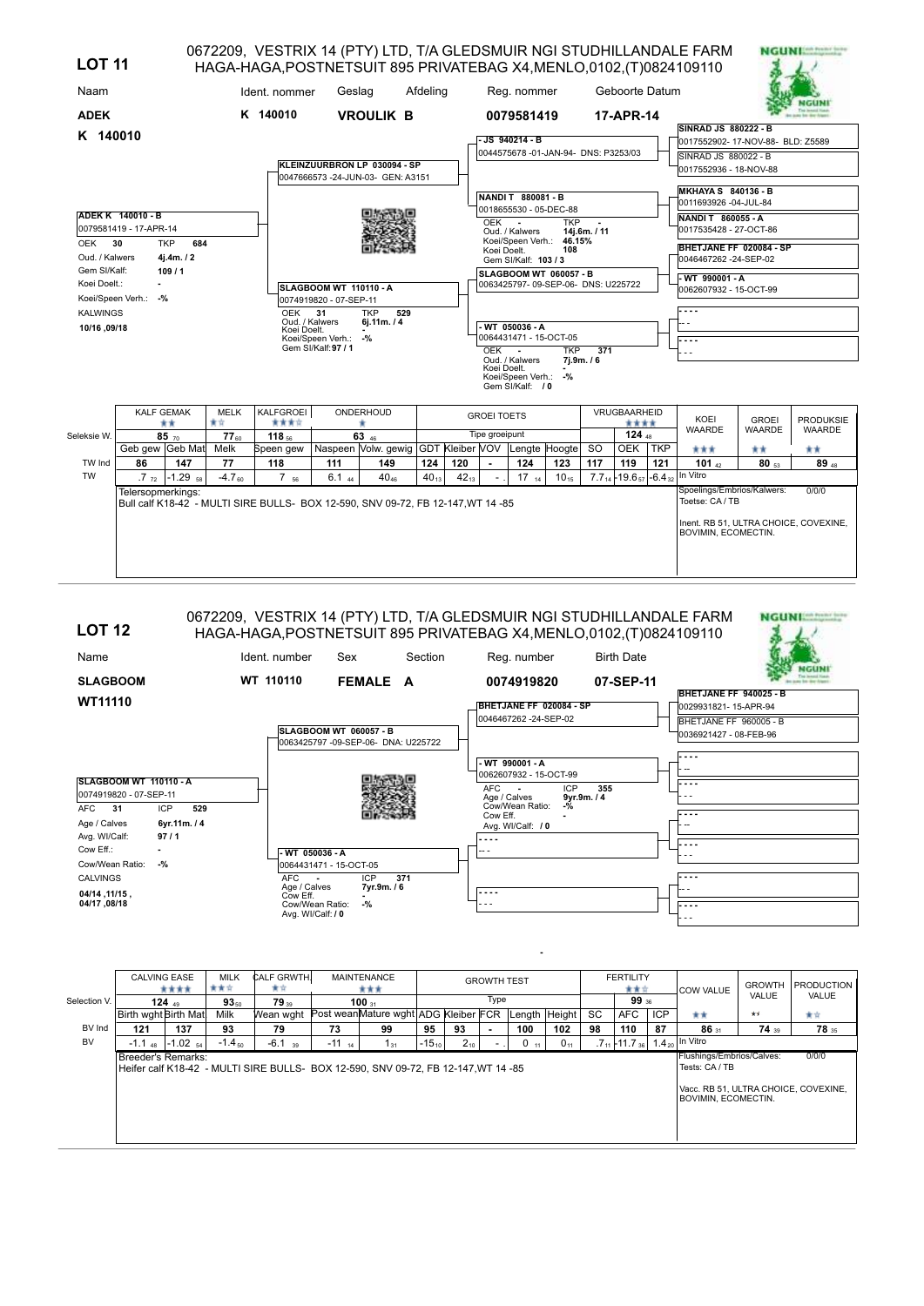| <b>LOT 11</b>                               |                                        |                                          |                   | HAGA-HAGA, POSTNETSUIT 895 PRIVATEBAG X4, MENLO, 0102, (T) 0824109110            |                                                         |                                                                  |                  |                  |                    |                                                              |                          |            |                                                            |            | 0672209, VESTRIX 14 (PTY) LTD, T/A GLEDSMUIR NGI STUDHILLANDALE FARM | <b>NGUNI:</b> |                  |
|---------------------------------------------|----------------------------------------|------------------------------------------|-------------------|----------------------------------------------------------------------------------|---------------------------------------------------------|------------------------------------------------------------------|------------------|------------------|--------------------|--------------------------------------------------------------|--------------------------|------------|------------------------------------------------------------|------------|----------------------------------------------------------------------|---------------|------------------|
| Naam                                        |                                        |                                          |                   | Ident. nommer                                                                    | Geslag                                                  |                                                                  | Afdeling         |                  |                    | Reg. nommer                                                  |                          |            | Geboorte Datum                                             |            |                                                                      |               |                  |
| <b>ADEK</b>                                 |                                        |                                          |                   | K 140010                                                                         |                                                         | <b>VROULIK B</b>                                                 |                  |                  |                    | 0079581419                                                   |                          |            | 17-APR-14                                                  |            | <b>SINRAD JS 880222 - B</b>                                          |               |                  |
| K 140010                                    |                                        |                                          |                   |                                                                                  |                                                         |                                                                  |                  |                  |                    | JS 940214 - B                                                |                          |            |                                                            |            | 0017552902-17-NOV-88- BLD: Z5589                                     |               |                  |
|                                             |                                        |                                          |                   |                                                                                  |                                                         | KLEINZUURBRON LP 030094 - SP<br>0047666573-24-JUN-03- GEN: A3151 |                  |                  |                    | 0044575678 -01-JAN-94- DNS: P3253/03                         |                          |            |                                                            |            | SINRAD JS 880022 - B<br>0017552936 - 18-NOV-88                       |               |                  |
|                                             | ADEK K 140010 - B                      |                                          |                   |                                                                                  |                                                         |                                                                  |                  |                  |                    | NANDIT 880081-B<br>0018655530 - 05-DEC-88                    |                          |            |                                                            |            | <b>MKHAYA S 840136 - B</b><br>0011693926 -04-JUL-84                  |               |                  |
|                                             | 0079581419 - 17-APR-14                 |                                          |                   |                                                                                  |                                                         |                                                                  |                  |                  | OEK -              | Oud. / Kalwers                                               | <b>TKP</b>               | 14j.6m./11 |                                                            |            | NANDI T 860055 - A<br>0017535428 - 27-OCT-86                         |               |                  |
| 30<br>OEK<br>Oud. / Kalwers<br>Gem SI/Kalf: |                                        | <b>TKP</b><br>684<br>4j.4m. / 2<br>109/1 |                   |                                                                                  |                                                         |                                                                  |                  |                  | Koei Doelt.        | Koei/Speen Verh.: 46.15%<br>Gem SI/Kalf: 103 / 3             | 108                      |            |                                                            |            | BHETJANE FF 020084 - SP<br>0046467262 -24-SEP-02                     |               |                  |
| Koei Doelt.:                                | $\blacksquare$<br>Koei/Speen Verh.: -% |                                          |                   |                                                                                  | <b>SLAGBOOM WT 110110 - A</b><br>0074919820 - 07-SEP-11 |                                                                  |                  |                  |                    | SLAGBOOM WT 060057 - B<br>0063425797-09-SEP-06- DNS: U225722 |                          |            |                                                            |            | - WT 990001 - A<br>0062607932 - 15-OCT-99                            |               |                  |
| <b>KALWINGS</b><br>10/16,09/18              |                                        |                                          |                   | <b>OEK</b><br>Oud. / Kalwers<br>Koei Doelt.                                      | 31<br>Koei/Speen Verh.: -%                              | <b>TKP</b><br>529<br>6j.11m. / 4                                 |                  |                  |                    | WT 050036 - A<br>0064431471 - 15-OCT-05                      |                          |            |                                                            |            | ----                                                                 |               |                  |
|                                             |                                        |                                          |                   |                                                                                  | Gem SI/Kalf: 97 / 1                                     |                                                                  |                  |                  | OEK -              | Oud. / Kalwers                                               | <b>TKP</b><br>7i.9m. / 6 | 371        |                                                            |            | ----                                                                 |               |                  |
|                                             |                                        |                                          |                   |                                                                                  |                                                         |                                                                  |                  |                  | Koei Doelt.        | Koei/Speen Verh.: -%<br>Gem SI/Kalf: / 0                     |                          |            |                                                            |            |                                                                      |               |                  |
|                                             | <b>KALF GEMAK</b>                      | **                                       | <b>MELK</b><br>★☆ | <b>KALFGROEI</b><br>含含含合                                                         |                                                         | ONDERHOUD<br>٠                                                   |                  |                  | <b>GROEI TOETS</b> |                                                              |                          |            | VRUGBAARHEID<br>****                                       |            | KOEI                                                                 | <b>GROEI</b>  | <b>PRODUKSIE</b> |
| Seleksie W.                                 |                                        | $85 - 70$                                | $77_{60}$         | 118 $56$                                                                         |                                                         | 63 46                                                            |                  |                  | Tipe groeipunt     |                                                              |                          |            | 124 $48$                                                   |            | <b>WAARDE</b>                                                        | WAARDE        | <b>WAARDE</b>    |
|                                             | Geb gew Geb Mat                        |                                          | Melk              | Speen gew                                                                        |                                                         | Naspeen Volw. gewig GDT Kleiber VOV Lengte Hoogte                |                  |                  |                    |                                                              |                          | <b>SO</b>  | OEK                                                        | <b>TKP</b> | ***                                                                  | **            | **               |
| TW Ind<br><b>TW</b>                         | 86<br>.7 <sub>72</sub>                 | 147<br>$-1.29$ <sub>58</sub>             | 77<br>$-4.760$    | 118<br>$7_{56}$                                                                  | 111<br>$6.1_{44}$                                       | 149<br>$40_{46}$                                                 | 124<br>$40_{13}$ | 120<br>$42_{13}$ |                    | 124<br>$17_{14}$                                             | 123<br>$10_{15}$         | 117        | 119<br>$7.7_{14}$ - 19.6 <sub>57</sub> - 6.4 <sub>32</sub> | 121        | 101 $42$<br>In Vitro                                                 | $80_{53}$     | 89 48            |
|                                             | Telersopmerkings:                      |                                          |                   | Bull calf K18-42 - MULTI SIRE BULLS- BOX 12-590, SNV 09-72, FB 12-147, WT 14 -85 |                                                         |                                                                  |                  |                  |                    |                                                              |                          |            |                                                            |            | Spoelings/Embrios/Kalwers:<br>Toetse: CA / TB                        |               | 0/0/0            |
|                                             |                                        |                                          |                   |                                                                                  |                                                         |                                                                  |                  |                  |                    |                                                              |                          |            |                                                            |            | Inent. RB 51, ULTRA CHOICE, COVEXINE,<br>BOVIMIN, ECOMECTIN.         |               |                  |

## $\overline{C}$

0672209, VESTRIX 14 (PTY) LTD, T/A GLEDSMUIR NGI STUDHILLANDALE FARM HAGA-HAGA,POSTNETSUIT 895 PRIVATEBAG X4,MENLO,0102,(T)0824109110

| Name                       |     | Ident. number                        | Sex         | Section | Reg. number                 | <b>Birth Date</b> |                        |
|----------------------------|-----|--------------------------------------|-------------|---------|-----------------------------|-------------------|------------------------|
| <b>SLAGBOOM</b>            |     | <b>WT 110110</b>                     | FEMALE A    |         | 0074919820                  | 07-SEP-11         |                        |
| WT11110                    |     |                                      |             |         |                             |                   | BHETJANE FF 940025 - B |
|                            |     |                                      |             |         | BHETJANE FF 020084 - SP     |                   | 0029931821-15-APR-94   |
|                            |     |                                      |             |         | 0046467262 -24-SEP-02       |                   | BHETJANE FF 960005 - B |
|                            |     | SLAGBOOM WT 060057 - B               |             |         |                             |                   | 0036921427 - 08-FEB-96 |
|                            |     | 0063425797 -09-SEP-06- DNA: U225722  |             |         |                             |                   |                        |
|                            |     |                                      |             |         | - WT 990001 - A             |                   | .                      |
|                            |     |                                      |             |         | 0062607932 - 15-OCT-99      |                   |                        |
| SLAGBOOM WT 110110 - A     |     |                                      |             |         | AFC -<br>ICP                | 355               | 1.                     |
| 0074919820 - 07-SEP-11     |     |                                      |             |         | 9yr.9m. / 4<br>Age / Calves |                   |                        |
| AFC 31<br><b>ICP</b>       | 529 |                                      |             |         | Cow/Wean Ratio:<br>Cow Eff. |                   | .                      |
| Age / Calves<br>6yr.11m./4 |     |                                      |             |         | Avg. WI/Calf: / 0           |                   |                        |
| Avg. WI/Calf:<br>97/1      |     |                                      |             |         |                             |                   |                        |
| Cow Eff.:                  |     | - WT 050036 - A                      |             |         | -- -                        |                   | .                      |
| Cow/Wean Ratio:<br>-%      |     | 0064431471 - 15-OCT-05               |             |         |                             |                   |                        |
| <b>CALVINGS</b>            |     | AFC -                                | <b>ICP</b>  | 371     |                             |                   |                        |
| 04/14, 11/15,              |     | Age / Calves<br>Cow Eff.             | 7yr.9m. / 6 |         | $- - - -$                   |                   |                        |
| 04/17.08/18                |     | Cow/Wean Ratio:<br>Avg. WI/Calf: / 0 | $-$ %       |         | $- - -$                     |                   | ----<br>$\sim$ $\sim$  |

|              | <b>CALVING EASE</b>                                                                                                                                                            | ****     | <b>MILK</b><br>東東京 | <b>CALF GRWTH</b><br>食宜                                                            |    | <b>MAINTENANCE</b><br>***            |    |    | <b>GROWTH TEST</b> |                     |     |           | <b>FERTILITY</b><br>含食宜 |            | <b>COW VALUE</b>                                                                                                | <b>GROWTH</b> | <b>PRODUCTION</b> |
|--------------|--------------------------------------------------------------------------------------------------------------------------------------------------------------------------------|----------|--------------------|------------------------------------------------------------------------------------|----|--------------------------------------|----|----|--------------------|---------------------|-----|-----------|-------------------------|------------|-----------------------------------------------------------------------------------------------------------------|---------------|-------------------|
| Selection V. |                                                                                                                                                                                | $124$ 49 | $93_{50}$          | 79 39                                                                              |    | $100_{31}$                           |    |    | Type               |                     |     |           | 99 36                   |            |                                                                                                                 | VALUE         | VALUE             |
|              | Birth wght Birth Mat                                                                                                                                                           |          | Milk               | Wean wght                                                                          |    | Post weanMature wght ADG Kleiber FCR |    |    |                    | Length Height       |     | <b>SC</b> | <b>AFC</b>              | <b>ICP</b> | **                                                                                                              | $+1$          | 食食                |
| BV Ind       | 121                                                                                                                                                                            | 137      | 93                 | 79                                                                                 | 73 | 99                                   | 95 | 93 | $\blacksquare$     | 100                 | 102 | 98        | 110                     | 87         | $86_{31}$                                                                                                       | 74 39         | 78 35             |
| <b>BV</b>    | $-15_{10}$<br>$-1.0254$<br>$-1.4_{50}$<br>$-6.1$ 39<br>$-11$ <sub>14</sub><br>$2_{10}$<br>$.7_{11}$ + 11.7 <sub>36</sub><br>$0_{11}$<br>$0_{11}$<br>$-1.1$ $_{48}$<br>$1_{31}$ |          |                    |                                                                                    |    |                                      |    |    |                    | $1.4_{20}$ In Vitro |     |           |                         |            |                                                                                                                 |               |                   |
|              | Breeder's Remarks:                                                                                                                                                             |          |                    | Heifer calf K18-42 - MULTI SIRE BULLS- BOX 12-590, SNV 09-72, FB 12-147, WT 14 -85 |    |                                      |    |    |                    |                     |     |           |                         |            | Flushings/Embrios/Calves:<br>Tests: CA/TB<br>Vacc. RB 51, ULTRA CHOICE, COVEXINE,<br><b>BOVIMIN, ECOMECTIN,</b> |               | 0/0/0             |

**-**

**NGUNI**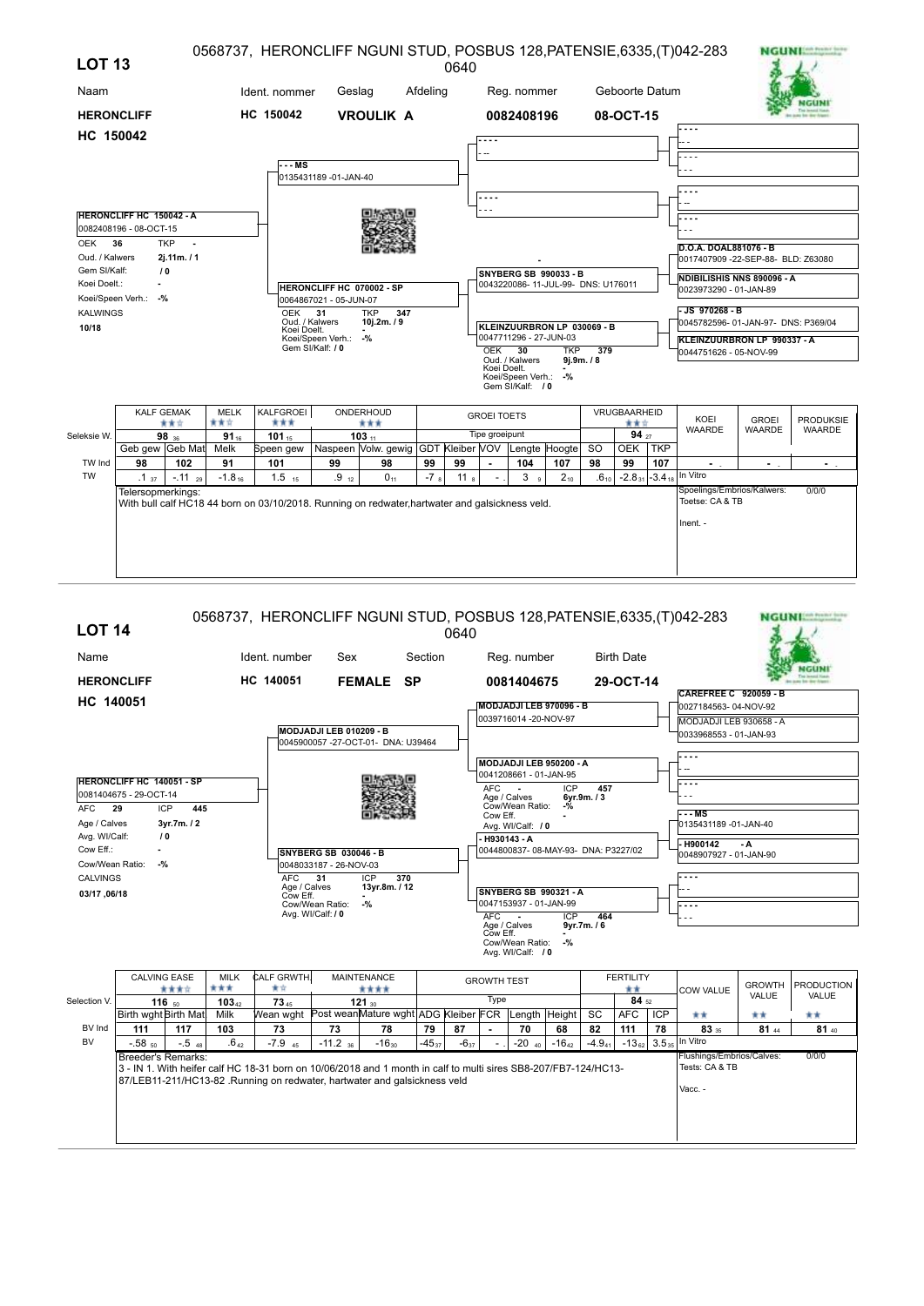| <b>LOT 13</b>                |                                                           |              |                  | 0568737, HERONCLIFF NGUNI STUD, POSBUS 128, PATENSIE, 6335, (T) 042-283                                                |                                                     |                                                   |          | 0640            |                    |                                       |                                                             |                                |                |            |                                                                                          |               | <b>NGUNI</b>     |
|------------------------------|-----------------------------------------------------------|--------------|------------------|------------------------------------------------------------------------------------------------------------------------|-----------------------------------------------------|---------------------------------------------------|----------|-----------------|--------------------|---------------------------------------|-------------------------------------------------------------|--------------------------------|----------------|------------|------------------------------------------------------------------------------------------|---------------|------------------|
| Naam                         |                                                           |              |                  | Ident. nommer                                                                                                          | Geslag                                              |                                                   | Afdeling |                 |                    | Reg. nommer                           |                                                             |                                | Geboorte Datum |            |                                                                                          |               |                  |
| <b>HERONCLIFF</b>            |                                                           |              |                  | HC 150042                                                                                                              |                                                     | <b>VROULIK A</b>                                  |          |                 |                    | 0082408196                            |                                                             |                                | 08-OCT-15      |            |                                                                                          |               |                  |
| HC 150042                    |                                                           |              |                  |                                                                                                                        |                                                     |                                                   |          |                 |                    |                                       |                                                             |                                |                |            | .                                                                                        |               |                  |
|                              |                                                           |              |                  | - - MS                                                                                                                 |                                                     |                                                   |          |                 |                    |                                       |                                                             |                                |                |            |                                                                                          |               |                  |
|                              |                                                           |              |                  |                                                                                                                        | 0135431189 -01-JAN-40                               |                                                   |          |                 |                    |                                       |                                                             |                                |                |            |                                                                                          |               |                  |
|                              |                                                           |              |                  |                                                                                                                        |                                                     |                                                   |          |                 | .                  |                                       |                                                             |                                |                |            |                                                                                          |               |                  |
|                              | <b>HERONCLIFF HC 150042 - A</b><br>0082408196 - 08-OCT-15 |              |                  |                                                                                                                        |                                                     |                                                   |          |                 |                    |                                       |                                                             |                                |                |            |                                                                                          |               |                  |
| OEK 36                       |                                                           | TKP -        |                  |                                                                                                                        |                                                     |                                                   |          |                 |                    |                                       |                                                             |                                |                |            | D.O.A. DOAL881076 - B                                                                    |               |                  |
| Oud. / Kalwers               |                                                           | 2j.11m. / 1  |                  |                                                                                                                        |                                                     |                                                   |          |                 |                    |                                       |                                                             |                                |                |            | 0017407909 -22-SEP-88- BLD: Z63080                                                       |               |                  |
| Gem SI/Kalf:<br>Koei Doelt.: | Koei/Speen Verh.: -%                                      | 10           |                  |                                                                                                                        | HERONCLIFF HC 070002 - SP<br>0064867021 - 05-JUN-07 |                                                   |          |                 |                    |                                       | SNYBERG SB 990033 - B<br>0043220086-11-JUL-99- DNS: U176011 |                                |                |            | NDIBILISHIS NNS 890096 - A<br>0023973290 - 01-JAN-89                                     |               |                  |
| <b>KALWINGS</b><br>10/18     |                                                           |              |                  | <b>OEK</b><br>Oud. / Kalwers<br>Koei Doelt.                                                                            | 31                                                  | 347<br><b>TKP</b><br>10j.2m. / 9                  |          |                 |                    |                                       | KLEINZUURBRON LP 030069 - B                                 |                                |                |            | JS 970268 - B<br>0045782596-01-JAN-97- DNS: P369/04                                      |               |                  |
|                              |                                                           |              |                  |                                                                                                                        | Koei/Speen Verh.:<br>Gem SI/Kalf: / 0               | $-$ %                                             |          |                 | <b>OEK 30</b>      | Oud. / Kalwers                        | 0047711296 - 27-JUN-03<br><b>TKP</b>                        | $\overline{379}$<br>9j.9m. / 8 |                |            | KLEINZUURBRON LP 990337 - A<br>0044751626 - 05-NOV-99                                    |               |                  |
|                              |                                                           |              |                  |                                                                                                                        |                                                     |                                                   |          |                 | Koei Doelt.        | Koei/Speen Verh.:<br>Gem SI/Kalf: / 0 | -%                                                          |                                |                |            |                                                                                          |               |                  |
|                              | <b>KALF GEMAK</b>                                         |              | <b>MELK</b>      | KALFGROEI<br>***                                                                                                       |                                                     | ONDERHOUD                                         |          |                 | <b>GROEI TOETS</b> |                                       |                                                             |                                | VRUGBAARHEID   |            | KOEI                                                                                     | <b>GROEI</b>  | <b>PRODUKSIE</b> |
| Seleksie W.                  |                                                           | 黄黄☆<br>98 36 | 青黄立<br>$91_{16}$ | 101 $15$                                                                                                               |                                                     | ***<br>$103_{11}$                                 |          |                 | Tipe groeipunt     |                                       |                                                             |                                | ***<br>94 27   |            | <b>WAARDE</b>                                                                            | <b>WAARDE</b> | <b>WAARDE</b>    |
|                              | Geb gew Geb Mat                                           |              | Melk             | Speen gew                                                                                                              |                                                     | Naspeen Volw. gewig GDT Kleiber VOV Lengte Hoogte |          |                 |                    |                                       |                                                             | <b>SO</b>                      | <b>OEK</b>     | <b>TKP</b> |                                                                                          |               |                  |
| TW Ind<br><b>TW</b>          | 98                                                        | 102          | 91               | 101                                                                                                                    | 99                                                  | 98                                                | 99       | 99              |                    | 104                                   | 107                                                         | 98                             | 99             | 107        |                                                                                          | ۰.            | ٠.               |
|                              | .1 <sub>37</sub><br>Telersopmerkings:                     | $-.11_{29}$  | $-1.8_{16}$      | $1.5$ <sub>15</sub><br>With bull calf HC18 44 born on 03/10/2018. Running on redwater, hartwater and galsickness veld. | .9 <sub>12</sub>                                    | $0_{11}$                                          | $-78$    | 11 <sub>8</sub> |                    | 3 <sub>9</sub>                        | $2_{10}$                                                    | $.6_{10}$                      |                |            | $-2.8_{31}$ -3.4 <sub>18</sub> In Vitro<br>Spoelings/Embrios/Kalwers:<br>Toetse: CA & TB |               | 0/0/0            |
|                              |                                                           |              |                  |                                                                                                                        |                                                     |                                                   |          |                 |                    |                                       |                                                             |                                |                |            | Inent. -                                                                                 |               |                  |

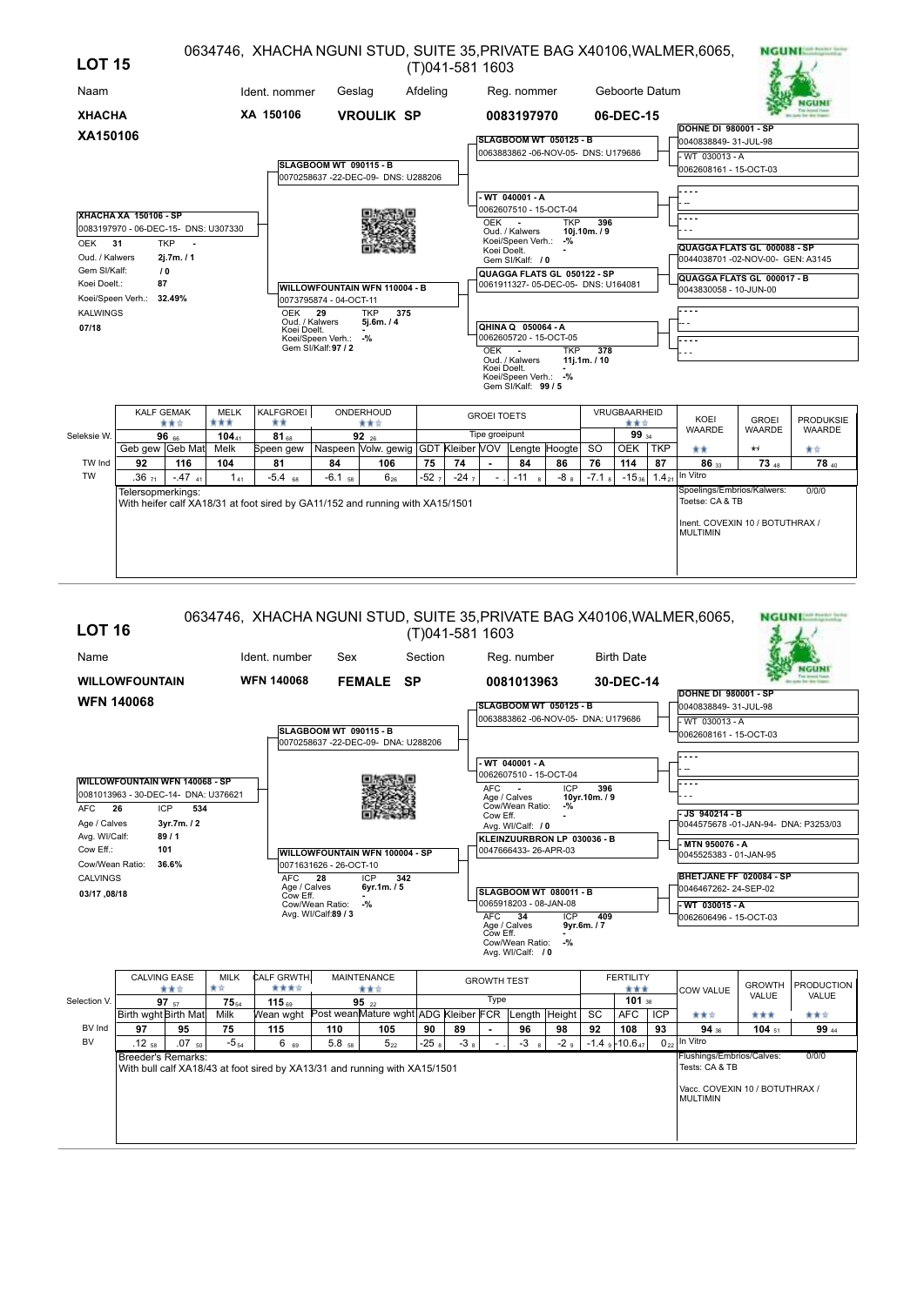| <b>LOT 15</b>   |                                      |                      |                    |                                                                               |                        |                                                                |          | (T)041-581 1603 |                    |                                                               |            |                   |                |                   | 0634746, XHACHA NGUNI STUD, SUITE 35, PRIVATE BAG X40106, WALMER, 6065, |                  | <b>NGUNIAR ROOM</b> |
|-----------------|--------------------------------------|----------------------|--------------------|-------------------------------------------------------------------------------|------------------------|----------------------------------------------------------------|----------|-----------------|--------------------|---------------------------------------------------------------|------------|-------------------|----------------|-------------------|-------------------------------------------------------------------------|------------------|---------------------|
| Naam            |                                      |                      |                    | Ident. nommer                                                                 | Geslag                 |                                                                | Afdeling |                 |                    | Reg. nommer                                                   |            |                   | Geboorte Datum |                   |                                                                         |                  |                     |
| <b>XHACHA</b>   |                                      |                      |                    | XA 150106                                                                     |                        | <b>VROULIK SP</b>                                              |          |                 |                    | 0083197970                                                    |            |                   | 06-DEC-15      |                   |                                                                         |                  |                     |
| XA150106        |                                      |                      |                    |                                                                               |                        |                                                                |          |                 |                    | <b>SLAGBOOM WT 050125 - B</b>                                 |            |                   |                |                   | <b>DOHNE DI 980001 - SP</b>                                             |                  |                     |
|                 |                                      |                      |                    |                                                                               |                        |                                                                |          |                 |                    | 0063883862 - 06-NOV-05- DNS: U179686                          |            |                   |                |                   | 0040838849-31-JUL-98<br>- WT 030013 - A                                 |                  |                     |
|                 |                                      |                      |                    |                                                                               | SLAGBOOM WT 090115 - B |                                                                |          |                 |                    |                                                               |            |                   |                |                   | 0062608161 - 15-OCT-03                                                  |                  |                     |
|                 |                                      |                      |                    |                                                                               |                        | 0070258637-22-DEC-09- DNS: U288206                             |          |                 |                    |                                                               |            |                   |                |                   |                                                                         |                  |                     |
|                 |                                      |                      |                    |                                                                               |                        |                                                                |          |                 |                    | - WT 040001 - A                                               |            |                   |                |                   |                                                                         |                  |                     |
|                 | <b>XHACHA XA 150106 - SP</b>         |                      |                    |                                                                               |                        |                                                                |          |                 |                    | 0062607510 - 15-OCT-04                                        |            |                   |                |                   |                                                                         |                  |                     |
|                 | 0083197970 - 06-DEC-15- DNS: U307330 |                      |                    |                                                                               |                        |                                                                |          |                 | OEK                | $\sim$<br>Oud. / Kalwers                                      | <b>TKP</b> | 396<br>10j.10m./9 |                |                   |                                                                         |                  |                     |
| OEK 31          |                                      | <b>TKP</b><br>$\sim$ |                    |                                                                               |                        |                                                                |          |                 |                    | Koei/Speen Verh.: -%                                          |            |                   |                |                   | QUAGGA FLATS GL 000088 - SP                                             |                  |                     |
| Oud. / Kalwers  |                                      | 2j.7m. / 1           |                    |                                                                               |                        |                                                                |          |                 | Koei Doelt.        | Gem SI/Kalf: / 0                                              |            |                   |                |                   | 0044038701 -02-NOV-00- GEN: A3145                                       |                  |                     |
| Gem SI/Kalf:    |                                      | 10                   |                    |                                                                               |                        |                                                                |          |                 |                    | QUAGGA FLATS GL 050122 - SP                                   |            |                   |                |                   | QUAGGA FLATS GL 000017 - B                                              |                  |                     |
| Koei Doelt.:    | 87                                   |                      |                    |                                                                               |                        | <b>WILLOWFOUNTAIN WFN 110004 - B</b>                           |          |                 |                    | 0061911327-05-DEC-05- DNS: U164081                            |            |                   |                |                   | 0043830058 - 10-JUN-00                                                  |                  |                     |
|                 | Koei/Speen Verh.: 32.49%             |                      |                    |                                                                               | 0073795874 - 04-OCT-11 |                                                                |          |                 |                    |                                                               |            |                   |                |                   |                                                                         |                  |                     |
| <b>KALWINGS</b> |                                      |                      |                    | <b>OEK</b><br>Oud. / Kalwers                                                  | 29                     | 375<br><b>TKP</b><br>5j.6m. / 4                                |          |                 |                    |                                                               |            |                   |                |                   |                                                                         |                  |                     |
| 07/18           |                                      |                      |                    | Koei Doelt.                                                                   | Koei/Speen Verh.:      | $-$ %                                                          |          |                 |                    | QHINA Q 050064 - A<br>0062605720 - 15-OCT-05                  |            |                   |                |                   | l- - - -                                                                |                  |                     |
|                 |                                      |                      |                    |                                                                               | Gem SI/Kalf: 97 / 2    |                                                                |          |                 | $OEK -$            |                                                               | <b>TKP</b> | 378               |                |                   |                                                                         |                  |                     |
|                 |                                      |                      |                    |                                                                               |                        |                                                                |          |                 | Koei Doelt.        | Oud. / Kalwers<br>Koei/Speen Verh.: -%<br>Gem SI/Kalf: 99 / 5 |            | 11i.1m. / 10      |                |                   |                                                                         |                  |                     |
|                 | <b>KALF GEMAK</b>                    |                      | <b>MELK</b>        | KALFGROEI                                                                     |                        | ONDERHOUD                                                      |          |                 | <b>GROEI TOETS</b> |                                                               |            |                   | VRUGBAARHEID   |                   | KOEI                                                                    | <b>GROEI</b>     | <b>PRODUKSIE</b>    |
| Seleksie W.     |                                      | ***                  | ***                | **                                                                            |                        | ***                                                            |          |                 | Tipe groeipunt     |                                                               |            |                   | ***<br>99 34   |                   | <b>WAARDE</b>                                                           | <b>WAARDE</b>    | <b>WAARDE</b>       |
|                 | Geb gew Geb Mat                      | $96$ 66              | $104_{41}$<br>Melk | $81_{68}$<br>Speen gew                                                        |                        | $92_{26}$<br>Naspeen Volw. gewig GDT Kleiber VOV Lengte Hoogte |          |                 |                    |                                                               |            | <b>SO</b>         | <b>OEK</b>     | TKP               | **                                                                      | $\star$          | 青青                  |
| TW Ind          | 92                                   | 116                  | 104                | 81                                                                            | 84                     | 106                                                            | 75       | 74              |                    | 84                                                            | 86         | 76                | 114            | 87                | 86 <sub>33</sub>                                                        | 73 <sub>48</sub> | 78 40               |
| <b>TW</b>       | $.36_{71}$                           | $-.47$ 41            | $1_{41}$           | $-5.4$ 68                                                                     | $-6.1$ <sub>58</sub>   | $6_{26}$                                                       | $-527$   | $-247$          |                    | $-118$                                                        | $-8a$      | $-7.1$ s          | $-15_{36}$     | 1.4 <sub>21</sub> | In Vitro                                                                |                  |                     |
|                 | Telersopmerkings:                    |                      |                    |                                                                               |                        |                                                                |          |                 |                    |                                                               |            |                   |                |                   | Spoelings/Embrios/Kalwers:                                              |                  | 0/0/0               |
|                 |                                      |                      |                    | With heifer calf XA18/31 at foot sired by GA11/152 and running with XA15/1501 |                        |                                                                |          |                 |                    |                                                               |            |                   |                |                   | Toetse: CA & TB                                                         |                  |                     |
|                 |                                      |                      |                    |                                                                               |                        |                                                                |          |                 |                    |                                                               |            |                   |                |                   | Inent. COVEXIN 10 / BOTUTHRAX /<br><b>MULTIMIN</b>                      |                  |                     |
|                 |                                      |                      |                    |                                                                               |                        |                                                                |          |                 |                    |                                                               |            |                   |                |                   |                                                                         |                  |                     |
|                 |                                      |                      |                    |                                                                               |                        |                                                                |          |                 |                    |                                                               |            |                   |                |                   |                                                                         |                  |                     |

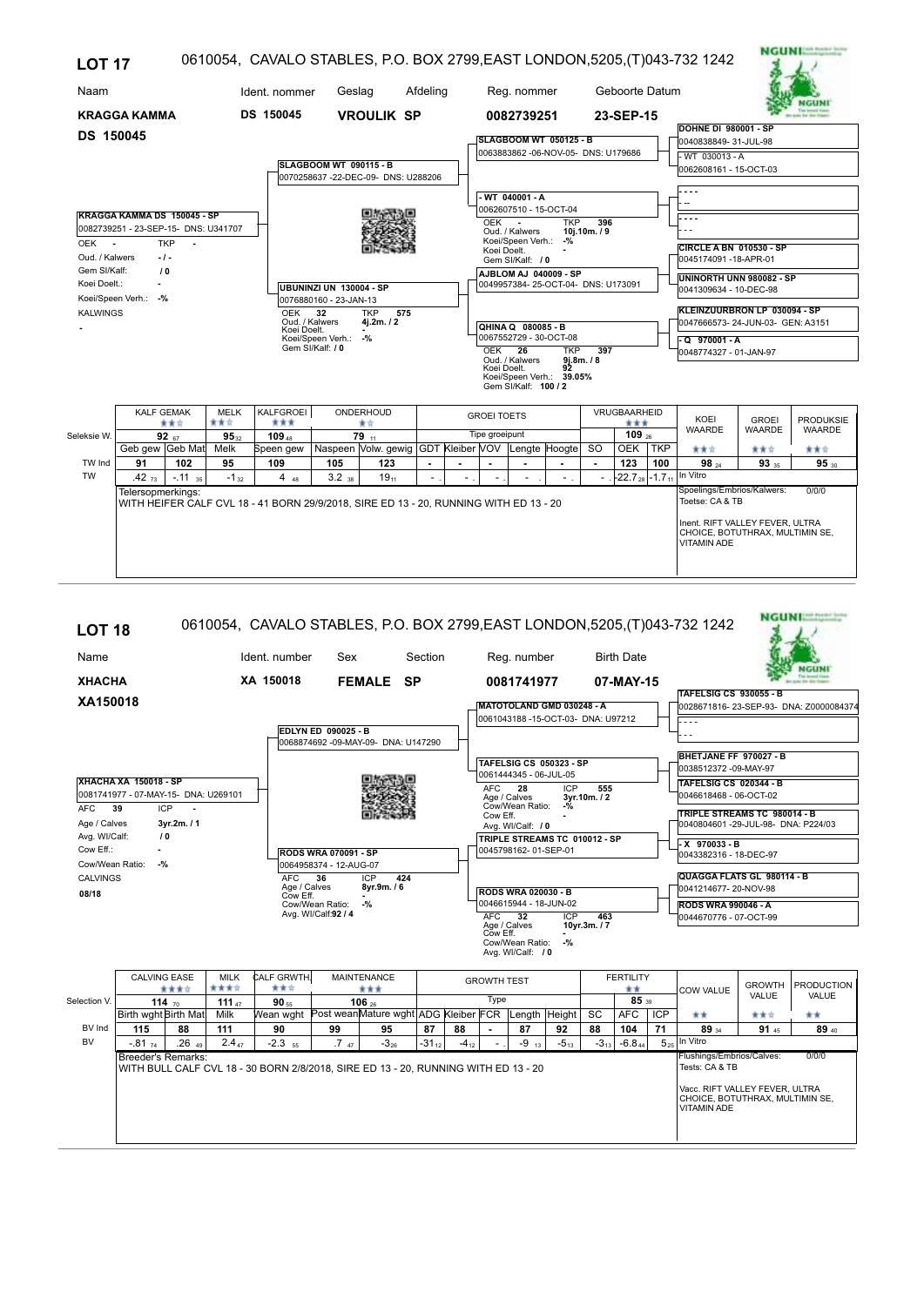| <b>LOT 17</b>    |                                      |                      |                  |                                                                                       |                        |                                     |          |                    |                                    |                                                               |                          |                    |                        | 0610054, CAVALO STABLES, P.O. BOX 2799, EAST LONDON, 5205, (T)043-732 1242               |               |                  |
|------------------|--------------------------------------|----------------------|------------------|---------------------------------------------------------------------------------------|------------------------|-------------------------------------|----------|--------------------|------------------------------------|---------------------------------------------------------------|--------------------------|--------------------|------------------------|------------------------------------------------------------------------------------------|---------------|------------------|
| Naam             |                                      |                      |                  | Ident. nommer                                                                         | Geslag                 |                                     | Afdeling |                    | Reg. nommer                        |                                                               |                          | Geboorte Datum     |                        |                                                                                          |               |                  |
|                  | <b>KRAGGA KAMMA</b>                  |                      |                  | DS 150045                                                                             |                        | <b>VROULIK SP</b>                   |          |                    | 0082739251                         |                                                               |                          | 23-SEP-15          |                        |                                                                                          |               |                  |
| <b>DS 150045</b> |                                      |                      |                  |                                                                                       |                        |                                     |          |                    |                                    |                                                               |                          |                    |                        | <b>DOHNE DI 980001 - SP</b>                                                              |               |                  |
|                  |                                      |                      |                  |                                                                                       |                        |                                     |          |                    |                                    | SLAGBOOM WT 050125 - B<br>0063883862 -06-NOV-05- DNS: U179686 |                          |                    |                        | 0040838849-31-JUL-98                                                                     |               |                  |
|                  |                                      |                      |                  |                                                                                       | SLAGBOOM WT 090115 - B |                                     |          |                    |                                    |                                                               |                          |                    |                        | - WT 030013 - A<br>0062608161 - 15-OCT-03                                                |               |                  |
|                  |                                      |                      |                  |                                                                                       |                        | 0070258637 -22-DEC-09- DNS: U288206 |          |                    |                                    |                                                               |                          |                    |                        |                                                                                          |               |                  |
|                  |                                      |                      |                  |                                                                                       |                        |                                     |          |                    | $-WT$ 040001 - A                   |                                                               |                          |                    |                        |                                                                                          |               |                  |
|                  | KRAGGA KAMMA DS 150045 - SP          |                      |                  |                                                                                       |                        |                                     |          |                    |                                    | 0062607510 - 15-OCT-04                                        |                          |                    |                        |                                                                                          |               |                  |
|                  | 0082739251 - 23-SEP-15- DNS: U341707 |                      |                  |                                                                                       |                        |                                     |          | OEK -              | Oud. / Kalwers                     | <b>TKP</b>                                                    | 396<br>10j.10m./9        |                    |                        |                                                                                          |               |                  |
| OEK -            |                                      | <b>TKP</b><br>$\sim$ |                  |                                                                                       |                        |                                     |          |                    | Koei/Speen Verh.: -%               |                                                               |                          |                    |                        | <b>CIRCLE A BN 010530 - SP</b>                                                           |               |                  |
| Oud. / Kalwers   |                                      | $-1-$                |                  |                                                                                       |                        |                                     |          | Koei Doelt.        | Gem SI/Kalf: / 0                   |                                                               |                          |                    |                        | 0045174091-18-APR-01                                                                     |               |                  |
| Gem SI/Kalf:     |                                      | 10                   |                  |                                                                                       |                        |                                     |          |                    |                                    | AJBLOM AJ 040009 - SP                                         |                          |                    |                        | UNINORTH UNN 980082 - SP                                                                 |               |                  |
| Koei Doelt.:     |                                      |                      |                  | UBUNINZI UN 130004 - SP                                                               |                        |                                     |          |                    | 0049957384-25-OCT-04- DNS: U173091 |                                                               |                          |                    | 0041309634 - 10-DEC-98 |                                                                                          |               |                  |
|                  | Koei/Speen Verh.: -%                 |                      |                  |                                                                                       | 0076880160 - 23-JAN-13 |                                     |          |                    |                                    |                                                               |                          |                    |                        | KLEINZUURBRON LP 030094 - SP                                                             |               |                  |
| <b>KALWINGS</b>  |                                      |                      |                  | <b>OEK</b><br>Oud. / Kalwers                                                          | 32                     | <b>TKP</b><br>575<br>4j.2m./2       |          |                    | QHINA Q 080085 - B                 |                                                               |                          |                    |                        | 0047666573-24-JUN-03- GEN: A3151                                                         |               |                  |
|                  |                                      |                      |                  | Koei Doelt.                                                                           | Koei/Speen Verh.: -%   |                                     |          |                    |                                    | 0067552729 - 30-OCT-08                                        |                          |                    |                        | $-Q$ 970001 - A                                                                          |               |                  |
|                  |                                      |                      |                  |                                                                                       | Gem SI/Kalf: / 0       |                                     |          | $OEK$ $26$         | Oud. / Kalwers                     | <b>TKP</b>                                                    | 397<br>9j.8m. / 8        |                    |                        | 0048774327 - 01-JAN-97                                                                   |               |                  |
|                  |                                      |                      |                  |                                                                                       |                        |                                     |          | Koei Doelt.        | Gem SI/Kalf: 100 / 2               | 92<br>Koei/Speen Verh.: 39.05%                                |                          |                    |                        |                                                                                          |               |                  |
|                  | <b>KALF GEMAK</b>                    |                      | <b>MELK</b>      | KALFGROEI                                                                             |                        | ONDERHOUD                           |          | <b>GROEI TOETS</b> |                                    |                                                               |                          | VRUGBAARHEID       |                        | KOEI                                                                                     | <b>GROEI</b>  | <b>PRODUKSIE</b> |
| Seleksie W.      |                                      | ***<br>92 $67$       | 青青宮<br>$95_{32}$ | ***<br>109 <sub>48</sub>                                                              |                        | 青青<br>$79$ <sub>11</sub>            |          | Tipe groeipunt     |                                    |                                                               |                          | ***<br>109 $_{26}$ |                        | <b>WAARDE</b>                                                                            | <b>WAARDE</b> | <b>WAARDE</b>    |
|                  | Geb gew Geb Mat                      |                      | Melk             | Speen gew   Naspeen   Volw. gewig   GDT   Kleiber   VOV   Lengte   Hoogte             |                        |                                     |          |                    |                                    |                                                               | <b>SO</b>                | OEK TKP            |                        | 青青宮                                                                                      | ***           | ***              |
| TW Ind           | 91                                   | 102                  | 95               | 109                                                                                   | 105                    | 123                                 |          |                    |                                    |                                                               | $\overline{\phantom{a}}$ | 123                | 100                    | $98_{24}$                                                                                | 93 35         | 95 30            |
| <b>TW</b>        | .42 <sub>73</sub>                    | $-.11_{.35}$         | $-1_{32}$        | $4_{48}$                                                                              | $3.2$ <sub>38</sub>    | 19 <sub>11</sub>                    |          |                    |                                    |                                                               |                          |                    |                        | $-22.7_{28}$ -1.7 <sub>11</sub> In Vitro                                                 |               |                  |
|                  | Telersopmerkings:                    |                      |                  | WITH HEIFER CALF CVL 18 - 41 BORN 29/9/2018, SIRE ED 13 - 20, RUNNING WITH ED 13 - 20 |                        |                                     |          |                    |                                    |                                                               |                          |                    |                        | Spoelings/Embrios/Kalwers:<br>Toetse: CA & TB                                            |               | 0/0/0            |
|                  |                                      |                      |                  |                                                                                       |                        |                                     |          |                    |                                    |                                                               |                          |                    |                        | Inent. RIFT VALLEY FEVER, ULTRA<br>CHOICE, BOTUTHRAX, MULTIMIN SE,<br><b>VITAMIN ADE</b> |               |                  |

## **NGUNESS SERVICE** 0610054, CAVALO STABLES, P.O. BOX 2799,EAST LONDON,5205,(T)043-732 1242 **LOT 18** Name Ident. number Sex Section Reg. number Birth Date Sex **NGUNI XHACHA XA 150018 FEMALE SP 0081741977 07-MAY-15 TAFELSIG CS 930055 - B XA150018 MATOTOLAND GMD 030248 - A** 0028671816- 23-SEP-93- DNA: Z0000084374 0061043188 -15-OCT-03- DNA: U97212 - - - - **EDLYN ED 090025 - B** - - - 0068874692 -09-MAY-09- DNA: U147290 **BHETJANE FF 970027 - B TAFELSIG CS 050323 - SP** 0038512372 -09-MAY-97 0061444345 - 06-JUL-05 **XHACHA XA 150018 - SP TAFELSIG CS 020344 - B** ICP 555<br>3yr.10m./2<br>-% 0081741977 - 07-MAY-15- DNA: U269101 AFC Age / Calves **3yr.10m. / 2 28** 0046618468 - 06-OCT-02 **AFC 39 ICP** Cow Eff. **-** Cow/Wean Ratio: **-% TRIPLE STREAMS TC 980014 - B** Age / Calves **3yr.2m. / 1** 0040804601 -29-JUL-98- DNA: P224/03 Avg. WI/Calf: / 0 Avg. WI/Calf:  **/ 0 TRIPLE STREAMS TC 010012 - SP - X 970033 - B** Cow Eff.: **-** 0045798162- 01-SEP-01 **RODS WRA 070091 - SP** 0043382316 - 18-DEC-97 Cow/Wean Ratio: **-%** 0064958374 - 12-AUG-07 **QUAGGA FLATS GL 980114 - B** CALVINGS ICP **424** AFC **36** Age / Calves **8yr.9m. / 6** Cow Eff. **-** 0041214677- 20-NOV-98 **08/18 RODS WRA 020030 - B -%**  $|0046615944 - 18 - JUN - 02|$ **RODS WRA 990046 - A** Cow/Wean Ratio: Avg. WI/Calf: **92 / 4** ICP 463<br>10yr.3m./7 0044670776 - 07-OCT-99 AFC Age / Calves **10yr.3m. / 7 32** ICP Cow Eff. **-** Cow/Wean Ratio: **-%** Avg. WI/Calf:  **/ 0** CALVING EASE MILK CALF GRWTH. MAINTENANCE CALVING TEST THE FERTILITY COW VALUE GROWTH PRODUCTION<br>VALUE VALUE **111 111 111 111 111 111 110 1106 1106 1106 1106 1106 1106 111 111 111 111 111 111 111 111 111 111 111 111 111 111 111 111 111 111 111 111 111 111 111** Type Selection V <u>90 56 26 114 من المسترد المسترد المسترد المسترد المسترد المسترد المسترد المسترد المسترد المسترد المسترد المستر</u><br>10 Birth wght Birth Mat, Milk Wean wght Post weanMature wght ADG Kleiber FCR Length Height SC AFC ICP AFC | ICP  $^{+4}$ BV Ind  $\overline{3934}$   $\overline{9145}$   $\overline{8940}$ **115 88 111 90 99 95 87 88 - 87 92 88 104 71 89 91 89** BV In Vitro  $.26<sub>49</sub>$  $-81$   $74$   $-26$   $49$   $-2.4$   $7$   $-2.3$   $_{55}$   $-7$   $_{47}$   $-3$   $_{26}$   $-31$   $_{12}$   $-4$   $_{12}$   $-1$   $-9$   $_{13}$   $-5$   $_{13}$   $-3$   $_{13}$   $-6.8$   $_{44}$  5 74 | 2013 | 2014 | 2013 | 2014 | 2012 | 17 | 17 | 17 | 17 | 17 | 20 | 20 | 20 | 47 | 47 | 20 | 20 | 47 | 17 | 2 Breeder's Remarks:  $0/0$ Flushings/Embrios/Calves:<br>Tests: CA & TB WITH BULL CALF CVL 18 - 30 BORN 2/8/2018, SIRE ED 13 - 20, RUNNING WITH ED 13 - 20 Vacc. RIFT VALLEY FEVER, ULTRA CHOICE, BOTUTHRAX, MULTIMIN SE,

VITAMIN ADE

MCHIMISM POWER SERVICE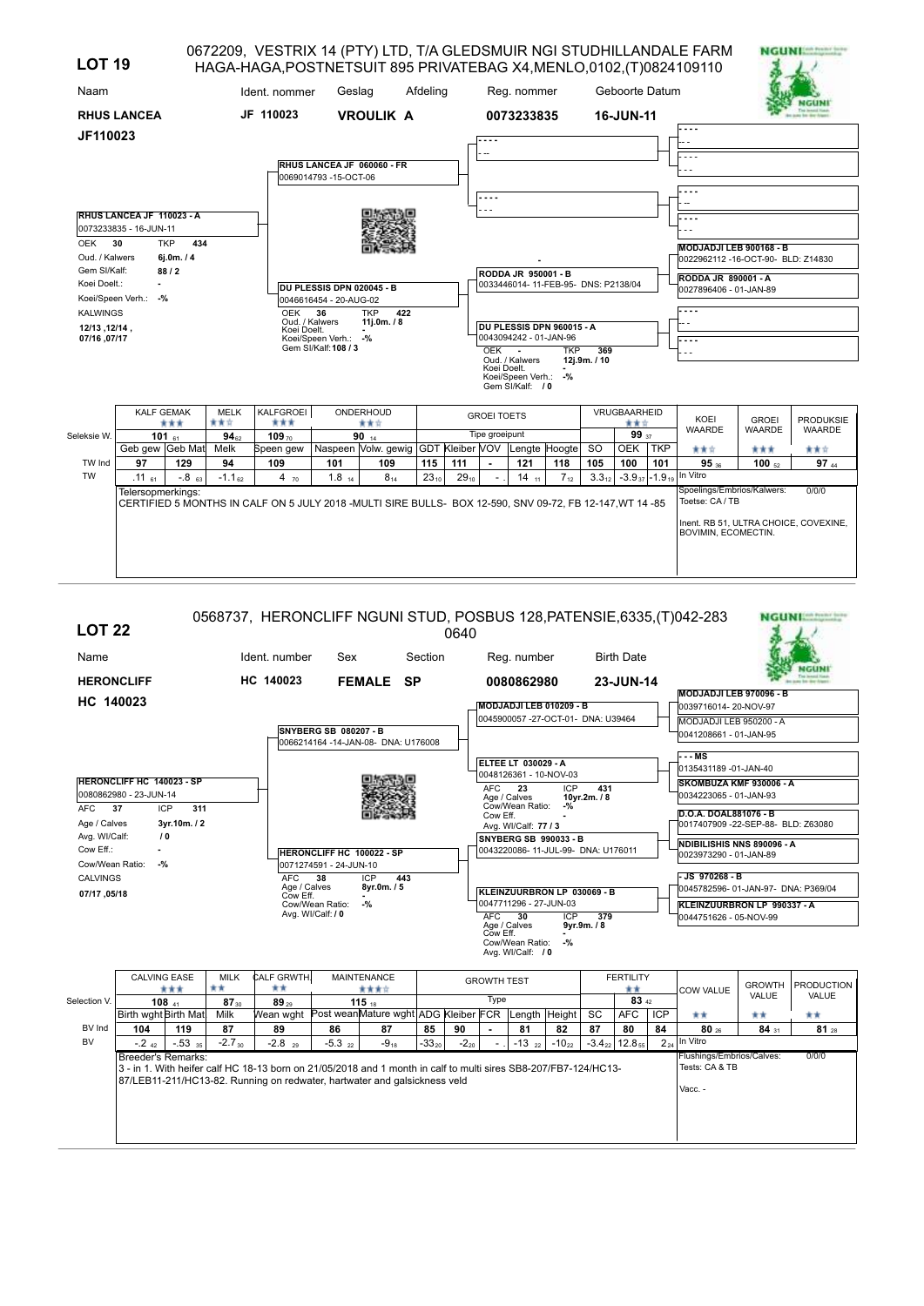| <b>LOT 19</b>                         |                                                     |                                         |                    | HAGA-HAGA, POSTNETSUIT 895 PRIVATEBAG X4, MENLO, 0102, (T) 0824109110                                     |                                                     |                                                              |           |           |                    |                                          |                                     |                     |                         |            | 0672209, VESTRIX 14 (PTY) LTD, T/A GLEDSMUIR NGI STUDHILLANDALE FARM | <b>NGUNI</b>    |                  |
|---------------------------------------|-----------------------------------------------------|-----------------------------------------|--------------------|-----------------------------------------------------------------------------------------------------------|-----------------------------------------------------|--------------------------------------------------------------|-----------|-----------|--------------------|------------------------------------------|-------------------------------------|---------------------|-------------------------|------------|----------------------------------------------------------------------|-----------------|------------------|
| Naam                                  |                                                     |                                         |                    | Ident. nommer                                                                                             | Geslag                                              |                                                              | Afdeling  |           |                    | Reg. nommer                              |                                     |                     | Geboorte Datum          |            |                                                                      |                 |                  |
|                                       | <b>RHUS LANCEA</b>                                  |                                         |                    | JF 110023                                                                                                 |                                                     | <b>VROULIK A</b>                                             |           |           |                    | 0073233835                               |                                     |                     | 16-JUN-11               |            |                                                                      |                 |                  |
| JF110023                              |                                                     |                                         |                    |                                                                                                           |                                                     |                                                              |           |           |                    |                                          |                                     |                     |                         |            |                                                                      |                 |                  |
|                                       |                                                     |                                         |                    |                                                                                                           | 0069014793 -15-OCT-06                               | RHUS LANCEA JF 060060 - FR                                   |           |           |                    |                                          |                                     |                     |                         |            |                                                                      |                 |                  |
|                                       |                                                     |                                         |                    |                                                                                                           |                                                     |                                                              |           |           |                    |                                          |                                     |                     |                         |            |                                                                      |                 |                  |
|                                       | RHUS LANCEA JF 110023 - A<br>0073233835 - 16-JUN-11 |                                         |                    |                                                                                                           |                                                     |                                                              |           |           |                    |                                          |                                     |                     |                         |            |                                                                      |                 |                  |
| OEK<br>Oud. / Kalwers<br>Gem SI/Kalf: | 30                                                  | 434<br><b>TKP</b><br>6j.0m. / 4<br>88/2 |                    |                                                                                                           |                                                     |                                                              |           |           |                    |                                          |                                     |                     |                         |            | MODJADJI LEB 900168 - B<br>0022962112 -16-OCT-90- BLD: Z14830        |                 |                  |
| Koei Doelt.:                          | ÷<br>Koei/Speen Verh.: -%                           |                                         |                    |                                                                                                           | DU PLESSIS DPN 020045 - B<br>0046616454 - 20-AUG-02 |                                                              |           |           |                    | RODDA JR 950001 - B                      | 0033446014-11-FEB-95- DNS: P2138/04 |                     |                         |            | <b>RODDA JR 890001 - A</b><br>0027896406 - 01-JAN-89                 |                 |                  |
| <b>KALWINGS</b><br>12/13 , 12/14 ,    |                                                     |                                         |                    | <b>OEK</b><br>Oud. / Kalwers<br>Koei Doelt.                                                               | 36                                                  | 422<br><b>TKP</b><br>11j.0m. $/8$                            |           |           |                    |                                          | DU PLESSIS DPN 960015 - A           |                     |                         |            |                                                                      |                 |                  |
| 07/16, 07/17                          |                                                     |                                         |                    |                                                                                                           | Koei/Speen Verh.: -%<br>Gem SI/Kalf: 108 / 3        |                                                              |           |           | OEK                | 0043094242 - 01-JAN-96<br>Oud. / Kalwers | <b>TKP</b>                          | 369<br>12j.9m. / 10 |                         |            |                                                                      |                 |                  |
|                                       |                                                     |                                         |                    |                                                                                                           |                                                     |                                                              |           |           | Koei Doelt.        | Koei/Speen Verh.:<br>Gem SI/Kalf: / 0    | $-$ %                               |                     |                         |            |                                                                      |                 |                  |
|                                       | <b>KALF GEMAK</b>                                   | ***                                     | <b>MELK</b><br>青黄☆ | KALFGROEI<br>***                                                                                          |                                                     | ONDERHOUD<br>青青宮                                             |           |           | <b>GROEI TOETS</b> |                                          |                                     |                     | VRUGBAARHEID<br>***     |            | KOEI                                                                 | <b>GROEI</b>    | <b>PRODUKSIE</b> |
| Seleksie W.                           | Geb gew Geb Mat                                     | 101 $61$                                | $94_{62}$<br>Melk  | 109 $70$                                                                                                  |                                                     | 90 $14$<br>Naspeen Volw. gewig GDT Kleiber VOV Lengte Hoogte |           |           | Tipe groeipunt     |                                          |                                     | <b>SO</b>           | 99 37<br><b>OEK</b>     | <b>TKP</b> | <b>WAARDE</b>                                                        | <b>WAARDE</b>   | <b>WAARDE</b>    |
| TW Ind                                | 97                                                  | 129                                     | 94                 | Speen gew<br>109                                                                                          | 101                                                 | 109                                                          | 115       | 111       |                    | 121                                      | 118                                 | 105                 | 100                     | 101        | 青青宮<br>95 36                                                         | ***<br>100 $52$ | 青青宮<br>97 44     |
| <b>TW</b>                             | $.11_{61}$                                          | $-0.8$ 63                               | $-1.162$           | 4 $70$                                                                                                    | $1.8$ <sub>14</sub>                                 | $8_{14}$                                                     | $23_{10}$ | $29_{10}$ |                    | $14_{11}$                                | $7_{12}$                            | $3.3_{12}$          | $-3.9_{37}$ $-1.9_{19}$ |            | In Vitro                                                             |                 |                  |
|                                       | Telersopmerkings:                                   |                                         |                    | CERTIFIED 5 MONTHS IN CALF ON 5 JULY 2018 - MULTI SIRE BULLS- BOX 12-590, SNV 09-72, FB 12-147, WT 14 -85 |                                                     |                                                              |           |           |                    |                                          |                                     |                     |                         |            | Spoelings/Embrios/Kalwers:<br>Toetse: CA / TB                        |                 | 0/0/0            |
|                                       |                                                     |                                         |                    |                                                                                                           |                                                     |                                                              |           |           |                    |                                          |                                     |                     |                         |            | Inent. RB 51. ULTRA CHOICE, COVEXINE.<br>BOVIMIN, ECOMECTIN.         |                 |                  |

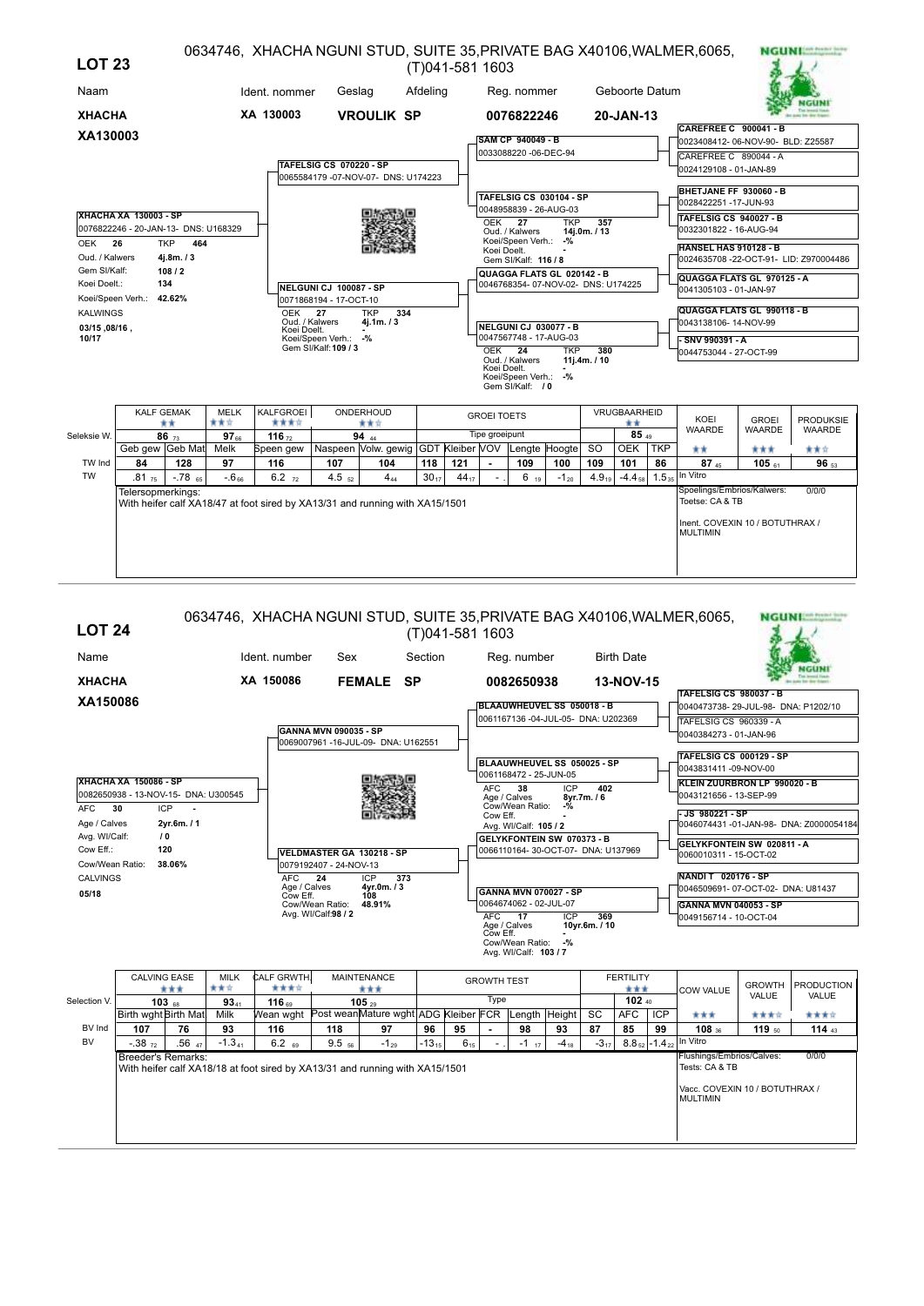| <b>LOT 23</b>                |                                      |                   |                          |                                                                              |                                              |                                                              |           | (T)041-581 1603 |                    |                                                                  |            |                     |                |            | 0634746, XHACHA NGUNI STUD, SUITE 35, PRIVATE BAG X40106, WALMER, 6065, |                               | <b>NGUNI MARK</b>                      |
|------------------------------|--------------------------------------|-------------------|--------------------------|------------------------------------------------------------------------------|----------------------------------------------|--------------------------------------------------------------|-----------|-----------------|--------------------|------------------------------------------------------------------|------------|---------------------|----------------|------------|-------------------------------------------------------------------------|-------------------------------|----------------------------------------|
| Naam                         |                                      |                   |                          | Ident. nommer                                                                | Geslag                                       |                                                              | Afdeling  |                 |                    | Reg. nommer                                                      |            |                     | Geboorte Datum |            |                                                                         |                               |                                        |
| <b>XHACHA</b>                |                                      |                   |                          | XA 130003                                                                    |                                              | <b>VROULIK SP</b>                                            |           |                 |                    | 0076822246                                                       |            |                     | 20-JAN-13      |            |                                                                         |                               |                                        |
| XA130003                     |                                      |                   |                          |                                                                              |                                              |                                                              |           |                 |                    | <b>SAM CP 940049 - B</b>                                         |            |                     |                |            | <b>CAREFREE C 900041 - B</b><br>0023408412-06-NOV-90- BLD: Z25587       |                               |                                        |
|                              |                                      |                   |                          |                                                                              |                                              |                                                              |           |                 |                    | 0033088220 -06-DEC-94                                            |            |                     |                |            | CAREFREE C 890044 - A                                                   |                               |                                        |
|                              |                                      |                   |                          |                                                                              | TAFELSIG CS 070220 - SP                      |                                                              |           |                 |                    |                                                                  |            |                     |                |            | 0024129108 - 01-JAN-89                                                  |                               |                                        |
|                              |                                      |                   |                          |                                                                              |                                              | 0065584179 - 07-NOV-07- DNS: U174223                         |           |                 |                    |                                                                  |            |                     |                |            |                                                                         |                               |                                        |
|                              |                                      |                   |                          |                                                                              |                                              |                                                              |           |                 |                    | <b>TAFELSIG CS 030104 - SP</b>                                   |            |                     |                |            | BHETJANE FF 930060 - B<br>0028422251 -17-JUN-93                         |                               |                                        |
|                              | <b>XHACHA XA 130003 - SP</b>         |                   |                          |                                                                              |                                              |                                                              |           |                 |                    | 0048958839 - 26-AUG-03                                           |            |                     |                |            | TAFELSIG CS 940027 - B                                                  |                               |                                        |
|                              | 0076822246 - 20-JAN-13- DNS: U168329 |                   |                          |                                                                              |                                              |                                                              |           |                 | OEK 27             | Oud. / Kalwers                                                   | <b>TKP</b> | 357<br>14i.0m. / 13 |                |            | 0032301822 - 16-AUG-94                                                  |                               |                                        |
| OEK 26                       |                                      | <b>TKP</b><br>464 |                          |                                                                              |                                              |                                                              |           |                 | Koei Doelt.        | Koei/Speen Verh.: -%                                             |            |                     |                |            | <b>HANSEL HAS 910128 - B</b>                                            |                               |                                        |
| Oud. / Kalwers               |                                      | 4j.8m.73          |                          |                                                                              |                                              |                                                              |           |                 |                    | Gem SI/Kalf: 116 / 8                                             |            |                     |                |            |                                                                         |                               | 0024635708 -22-OCT-91- LID: Z970004486 |
| Gem SI/Kalf:<br>Koei Doelt.: |                                      | 108/2<br>134      |                          |                                                                              | NELGUNI CJ 100087 - SP                       |                                                              |           |                 |                    | QUAGGA FLATS GL 020142 - B<br>0046768354-07-NOV-02- DNS: U174225 |            |                     |                |            | QUAGGA FLATS GL 970125 - A<br>0041305103 - 01-JAN-97                    |                               |                                        |
|                              | Koei/Speen Verh.: 42.62%             |                   |                          |                                                                              | 0071868194 - 17-OCT-10                       |                                                              |           |                 |                    |                                                                  |            |                     |                |            |                                                                         |                               |                                        |
| <b>KALWINGS</b>              |                                      |                   |                          | OEK<br>Oud. / Kalwers                                                        | 27                                           | <b>TKP</b><br>334<br>4j.1m. / 3                              |           |                 |                    |                                                                  |            |                     |                |            | QUAGGA FLATS GL 990118 - B<br>0043138106- 14-NOV-99                     |                               |                                        |
| 03/15, 08/16,<br>10/17       |                                      |                   |                          | Koei Doelt.                                                                  |                                              |                                                              |           |                 |                    | <b>NELGUNI CJ 030077 - B</b><br>0047567748 - 17-AUG-03           |            |                     |                |            |                                                                         |                               |                                        |
|                              |                                      |                   |                          |                                                                              | Koei/Speen Verh.: -%<br>Gem SI/Kalf: 109 / 3 |                                                              |           |                 | OEK 24             |                                                                  | <b>TKP</b> | 380                 |                |            | SNV 990391 - A<br>0044753044 - 27-OCT-99                                |                               |                                        |
|                              |                                      |                   |                          |                                                                              |                                              |                                                              |           |                 | Koei Doelt.        | Oud. / Kalwers                                                   |            | 11j.4m. / 10        |                |            |                                                                         |                               |                                        |
|                              |                                      |                   |                          |                                                                              |                                              |                                                              |           |                 |                    | Koei/Speen Verh.: -%<br>Gem SI/Kalf: / 0                         |            |                     |                |            |                                                                         |                               |                                        |
|                              |                                      |                   |                          |                                                                              |                                              |                                                              |           |                 |                    |                                                                  |            |                     |                |            |                                                                         |                               |                                        |
|                              | <b>KALF GEMAK</b>                    |                   | <b>MELK</b>              | KALFGROEI                                                                    |                                              | ONDERHOUD                                                    |           |                 | <b>GROEI TOETS</b> |                                                                  |            |                     | VRUGBAARHEID   |            |                                                                         |                               |                                        |
| Seleksie W.                  |                                      | **                | 青黄立                      | ****                                                                         |                                              | ***                                                          |           |                 | Tipe groeipunt     |                                                                  |            |                     | **<br>85 49    |            | KOEI<br><b>WAARDE</b>                                                   | <b>GROEI</b><br><b>WAARDE</b> | <b>PRODUKSIE</b><br>WAARDE             |
|                              | Geb gew Geb Mat                      | 86 $73$           | 97 <sub>66</sub><br>Melk | 116 $72$<br>Speen gew                                                        |                                              | 94 $44$<br>Naspeen Volw. gewig GDT Kleiber VOV Lengte Hoogte |           |                 |                    |                                                                  |            | <b>SO</b>           | <b>OEK</b>     | <b>TKP</b> | **                                                                      | ***                           | 青青宮                                    |
| TW Ind                       | 84                                   | 128               | 97                       | 116                                                                          | 107                                          | 104                                                          | 118       | 121             |                    | 109                                                              | 100        | 109                 | 101            | 86         | $87_{45}$                                                               | $105$ 61                      | 96 53                                  |
| <b>TW</b>                    | $.81_{75}$                           | $-78$ 65          | $-6.66$                  | $6.2$ $72$                                                                   | $4.5_{52}$                                   | $4_{44}$                                                     | $30_{17}$ | $44_{17}$       |                    | $6_{19}$                                                         | $-1_{20}$  | $4.9_{19}$          | $-4.4_{58}$    |            | $1.5_{35}$ In Vitro                                                     |                               |                                        |
|                              | Telersopmerkings:                    |                   |                          |                                                                              |                                              |                                                              |           |                 |                    |                                                                  |            |                     |                |            | Spoelings/Embrios/Kalwers:                                              |                               | 0/0/0                                  |
|                              |                                      |                   |                          | With heifer calf XA18/47 at foot sired by XA13/31 and running with XA15/1501 |                                              |                                                              |           |                 |                    |                                                                  |            |                     |                |            | Toetse: CA & TB                                                         |                               |                                        |
|                              |                                      |                   |                          |                                                                              |                                              |                                                              |           |                 |                    |                                                                  |            |                     |                |            | Inent. COVEXIN 10 / BOTUTHRAX /                                         |                               |                                        |
|                              |                                      |                   |                          |                                                                              |                                              |                                                              |           |                 |                    |                                                                  |            |                     |                |            | <b>MULTIMIN</b>                                                         |                               |                                        |
|                              |                                      |                   |                          |                                                                              |                                              |                                                              |           |                 |                    |                                                                  |            |                     |                |            |                                                                         |                               |                                        |
|                              |                                      |                   |                          |                                                                              |                                              |                                                              |           |                 |                    |                                                                  |            |                     |                |            |                                                                         |                               |                                        |

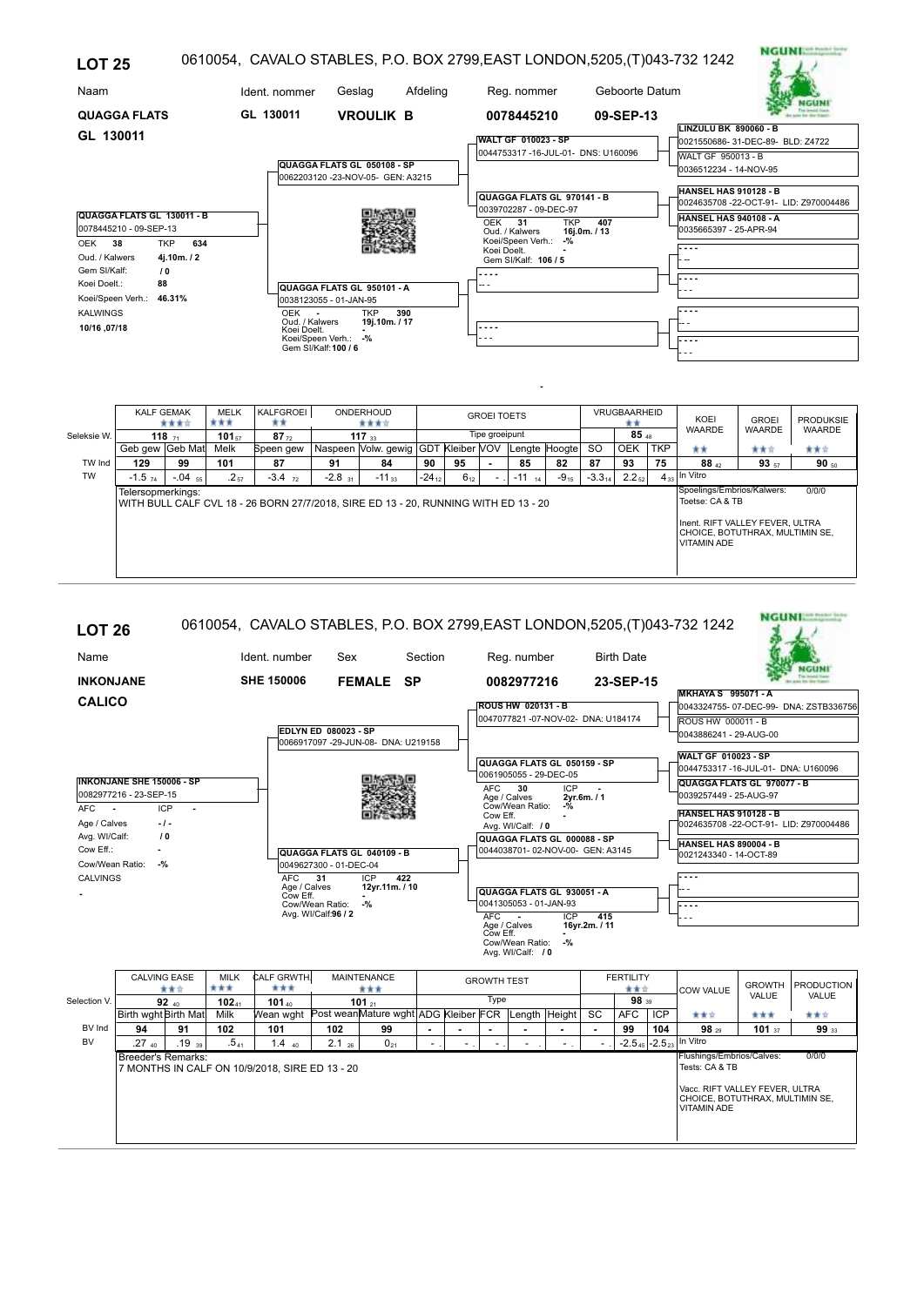| <b>LOT 25</b>                                                                                                                                                                                                                   |                                                                                                                              |                                                                                      |          | 0610054, CAVALO STABLES, P.O. BOX 2799, EAST LONDON, 5205, (T)043-732 1242                                                                                                                      |                     | NGUNE                                                                                                                                    |
|---------------------------------------------------------------------------------------------------------------------------------------------------------------------------------------------------------------------------------|------------------------------------------------------------------------------------------------------------------------------|--------------------------------------------------------------------------------------|----------|-------------------------------------------------------------------------------------------------------------------------------------------------------------------------------------------------|---------------------|------------------------------------------------------------------------------------------------------------------------------------------|
| Naam                                                                                                                                                                                                                            | Ident. nommer                                                                                                                | Geslag                                                                               | Afdeling | Reg. nommer                                                                                                                                                                                     | Geboorte Datum      |                                                                                                                                          |
| <b>QUAGGA FLATS</b><br>GL 130011                                                                                                                                                                                                | GL 130011                                                                                                                    | <b>VROULIK B</b><br>QUAGGA FLATS GL 050108 - SP<br>0062203120 -23-NOV-05- GEN: A3215 |          | 0078445210<br><b>WALT GF 010023 - SP</b><br>0044753317 -16-JUL-01- DNS: U160096                                                                                                                 | 09-SEP-13           | <b>LINZULU BK 890060 - B</b><br>0021550686-31-DEC-89-BLD: Z4722<br>WALT GF 950013 - B<br>0036512234 - 14-NOV-95<br>HANSEL HAS 910128 - B |
| QUAGGA FLATS GL 130011 - B<br>0078445210 - 09-SEP-13<br>634<br>OEK<br>38<br><b>TKP</b><br>4j.10m./2<br>Oud. / Kalwers<br>Gem SI/Kalf:<br>10<br>Koei Doelt.:<br>88<br>Koei/Speen Verh.: 46.31%<br><b>KALWINGS</b><br>10/16.07/18 | 0038123055 - 01-JAN-95<br><b>OEK</b><br>$\sim$<br>Oud. / Kalwers<br>Koei Doelt.<br>Koei/Speen Verh.:<br>Gem SI/Kalf: 100 / 6 | QUAGGA FLATS GL 950101 - A<br><b>TKP</b><br>19j.10m./17<br>$-$ %                     | 390      | QUAGGA FLATS GL 970141 - B<br>0039702287 - 09-DEC-97<br><b>TKP</b><br>31<br>OEK<br>Oud. / Kalwers<br>Koei/Speen Verh.:<br>$-$ %<br>Koei Doelt.<br>Gem SI/Kalf: 106 / 5<br>$\sim$ $\sim$<br>---- | 407<br>16i.0m. / 13 | 0024635708-22-OCT-91- LID: Z970004486<br><b>HANSEL HAS 940108 - A</b><br>0035665397 - 25-APR-94<br>$- - -$<br>$- - -$                    |

|             | <b>KALF GEMAK</b>    | 含食食食      | <b>MELK</b><br>*** | KALFGROEI<br>**                                                                     |                      | ONDERHOUD<br>含食食食                   |            |          | <b>GROEI TOETS</b> |               |           |             | VRUGBAARHEID<br>** |            | KOEI                                                                                                                                      | <b>GROEI</b> | <b>PRODUKSIE</b> |
|-------------|----------------------|-----------|--------------------|-------------------------------------------------------------------------------------|----------------------|-------------------------------------|------------|----------|--------------------|---------------|-----------|-------------|--------------------|------------|-------------------------------------------------------------------------------------------------------------------------------------------|--------------|------------------|
| Seleksie W. |                      | 118 $71$  | $101_{57}$         | $87_{72}$                                                                           |                      | 117 $33$                            |            |          | Tipe groeipunt     |               |           |             | 85a                |            | <b>WAARDE</b>                                                                                                                             | WAARDE       | <b>WAARDE</b>    |
|             | Geb gew Geb Mat      |           | Melk               | Speen gew                                                                           |                      | Naspeen Volw. gewig GDT Kleiber VOV |            |          |                    | Lengte Hoogte |           | <b>SO</b>   | <b>OEK</b>         | <b>TKP</b> | **                                                                                                                                        | 青黄☆          | 青青宮              |
| TW Ind      | 129                  | 99        | 101                | 87                                                                                  | 91                   | 84                                  | 90         | 95       |                    | 85            | 82        | 87          | 93                 | 75         | $88_{42}$                                                                                                                                 | $93_{57}$    | 90 $_{50}$       |
| <b>TW</b>   | $-1.5$ <sub>74</sub> | $-.04$ 55 | $.2_{57}$          | $-3.4$ $_{72}$                                                                      | $-2.8$ <sub>31</sub> | $-11_{33}$                          | $-24_{12}$ | $6_{12}$ |                    | $-11$<br>14   | $-9_{15}$ | $-3.3_{14}$ | $2.2_{52}$         |            | $4_{33}$ In Vitro                                                                                                                         |              |                  |
|             | Telersopmerkings:    |           |                    | WITH BULL CALF CVL 18 - 26 BORN 27/7/2018. SIRE ED 13 - 20. RUNNING WITH ED 13 - 20 |                      |                                     |            |          |                    |               |           |             |                    |            | Spoelings/Embrios/Kalwers:<br>Toetse: CA & TB<br>Inent. RIFT VALLEY FEVER. ULTRA<br>CHOICE, BOTUTHRAX, MULTIMIN SE.<br><b>VITAMIN ADE</b> |              | 0/0/0            |

| <b>LOT 26</b>                                 |                                                                             |                    |                                                              |                                        |                                     |                |                    |                                                                 |                         |                             |                         |                   | 0610054, CAVALO STABLES, P.O. BOX 2799, EAST LONDON, 5205, (T)043-732 1242              |                        | <b>NGUNI</b> <sup>ton</sup> Pears' first |
|-----------------------------------------------|-----------------------------------------------------------------------------|--------------------|--------------------------------------------------------------|----------------------------------------|-------------------------------------|----------------|--------------------|-----------------------------------------------------------------|-------------------------|-----------------------------|-------------------------|-------------------|-----------------------------------------------------------------------------------------|------------------------|------------------------------------------|
| Name                                          |                                                                             |                    | Ident. number                                                | Sex                                    |                                     | Section        |                    | Reg. number                                                     |                         |                             | <b>Birth Date</b>       |                   |                                                                                         |                        |                                          |
| <b>INKONJANE</b>                              |                                                                             |                    | <b>SHE 150006</b>                                            |                                        | <b>FEMALE SP</b>                    |                |                    | 0082977216                                                      |                         |                             | 23-SEP-15               |                   |                                                                                         |                        |                                          |
| <b>CALICO</b>                                 |                                                                             |                    |                                                              |                                        |                                     |                |                    | <b>ROUS HW 020131 - B</b>                                       |                         |                             |                         |                   | <b>MKHAYA S 995071 - A</b>                                                              |                        | 0043324755-07-DEC-99-DNA: ZSTB336756     |
|                                               |                                                                             |                    |                                                              |                                        |                                     |                |                    | 0047077821-07-NOV-02- DNA: U184174                              |                         |                             |                         |                   | ROUS HW 000011 - B                                                                      |                        |                                          |
|                                               |                                                                             |                    |                                                              | <b>EDLYN ED 080023 - SP</b>            | 0066917097 -29-JUN-08- DNA: U219158 |                |                    |                                                                 |                         |                             |                         |                   | 0043886241 - 29-AUG-00                                                                  |                        |                                          |
|                                               |                                                                             |                    |                                                              |                                        |                                     |                |                    | QUAGGA FLATS GL 050159 - SP<br>0061905055 - 29-DEC-05           |                         |                             |                         |                   | <b>WALT GF 010023 - SP</b><br>0044753317 -16-JUL-01- DNA: U160096                       |                        |                                          |
|                                               | <b>INKONJANE SHE 150006 - SP</b><br>0082977216 - 23-SEP-15                  |                    |                                                              |                                        |                                     |                | AFC                | 30<br>Age / Calves                                              | <b>ICP</b>              | 2yr.6m./1                   |                         |                   | QUAGGA FLATS GL 970077 - B<br>0039257449 - 25-AUG-97                                    |                        |                                          |
| AFC<br>$\sim$<br>Age / Calves                 | ICP<br>$\blacksquare$<br>$-1-$                                              |                    |                                                              |                                        |                                     |                | Cow Eff.           | Cow/Wean Ratio:<br>Avg. WI/Calf: / 0                            | $-$ %<br>$\blacksquare$ |                             |                         |                   | <b>HANSEL HAS 910128 - B</b>                                                            |                        | 0024635708 -22-OCT-91- LID: Z970004486   |
| Avg. WI/Calf:<br>Cow Eff.:<br>Cow/Wean Ratio: | 10<br>$\sim$<br>$-9/2$                                                      |                    |                                                              |                                        | QUAGGA FLATS GL 040109 - B          |                |                    | QUAGGA FLATS GL 000088 - SP<br>0044038701-02-NOV-00- GEN: A3145 |                         |                             |                         |                   | HANSEL HAS 890004 - B<br>0021243340 - 14-OCT-89                                         |                        |                                          |
| <b>CALVINGS</b>                               |                                                                             |                    | AFC                                                          | 0049627300 - 01-DEC-04<br>31           | ICP<br>422                          |                |                    |                                                                 |                         |                             |                         |                   | .                                                                                       |                        |                                          |
|                                               |                                                                             |                    | Age / Calves<br>Cow Eff.                                     |                                        | 12yr.11m. / 10                      |                |                    | QUAGGA FLATS GL 930051 - A                                      |                         |                             |                         |                   |                                                                                         |                        |                                          |
|                                               |                                                                             |                    |                                                              | Cow/Wean Ratio:<br>Avg. WI/Calf:96 / 2 | $-$ %                               |                | <b>AFC</b>         | 0041305053 - 01-JAN-93<br>$\sim$                                | <b>ICP</b>              | 415                         |                         |                   | <b>Expertise</b>                                                                        |                        |                                          |
|                                               |                                                                             |                    |                                                              |                                        |                                     |                |                    | Age / Calves<br>Cow Eff.                                        |                         | 16yr.2m. / 11               |                         |                   |                                                                                         |                        |                                          |
|                                               |                                                                             |                    |                                                              |                                        |                                     |                |                    | Cow/Wean Ratio:<br>Avg. WI/Calf: / 0                            | $-$ %                   |                             |                         |                   |                                                                                         |                        |                                          |
|                                               | <b>CALVING EASE</b><br>含食症                                                  | <b>MILK</b><br>*** | CALF GRWTH.<br>***                                           |                                        | <b>MAINTENANCE</b><br>***           |                | <b>GROWTH TEST</b> |                                                                 |                         |                             | <b>FERTILITY</b><br>青青宮 |                   | COW VALUE                                                                               | <b>GROWTH</b><br>VALUE | <b>PRODUCTION</b><br>VALUE               |
| Selection V.                                  | 92.40                                                                       | $102_{41}$         | $101_{40}$<br>Wean wght Post weanMature wght ADG Kleiber FCR |                                        | 101 $_{21}$                         |                | Type               |                                                                 |                         |                             | 98 39                   |                   |                                                                                         |                        |                                          |
| BV Ind                                        | Birth wght Birth Mat.<br>94<br>91                                           | Milk<br>102        | 101                                                          | 102                                    | 99                                  | $\blacksquare$ | $\blacksquare$     | Length Height                                                   |                         | <b>SC</b><br>$\blacksquare$ | <b>AFC</b><br>99        | <b>ICP</b><br>104 | ***<br>98 29                                                                            | ***<br>$101_{.37}$     | ***<br>99 33                             |
| <b>BV</b>                                     | $.27_{.40}$<br>$.19 \text{ }$                                               | .541               | $1.4_{40}$                                                   | $2.1_{26}$                             | $0_{21}$                            |                |                    |                                                                 |                         |                             |                         |                   | $-2.5_{45}$ -2.5 <sub>23</sub> In Vitro                                                 |                        |                                          |
|                                               | <b>Breeder's Remarks:</b><br>7 MONTHS IN CALF ON 10/9/2018, SIRE ED 13 - 20 |                    |                                                              |                                        |                                     |                |                    |                                                                 |                         |                             |                         |                   | Flushings/Embrios/Calves:<br>Tests: CA & TB                                             |                        | 0/0/0                                    |
|                                               |                                                                             |                    |                                                              |                                        |                                     |                |                    |                                                                 |                         |                             |                         |                   | Vacc. RIFT VALLEY FEVER. ULTRA<br>CHOICE, BOTUTHRAX, MULTIMIN SE,<br><b>VITAMIN ADE</b> |                        |                                          |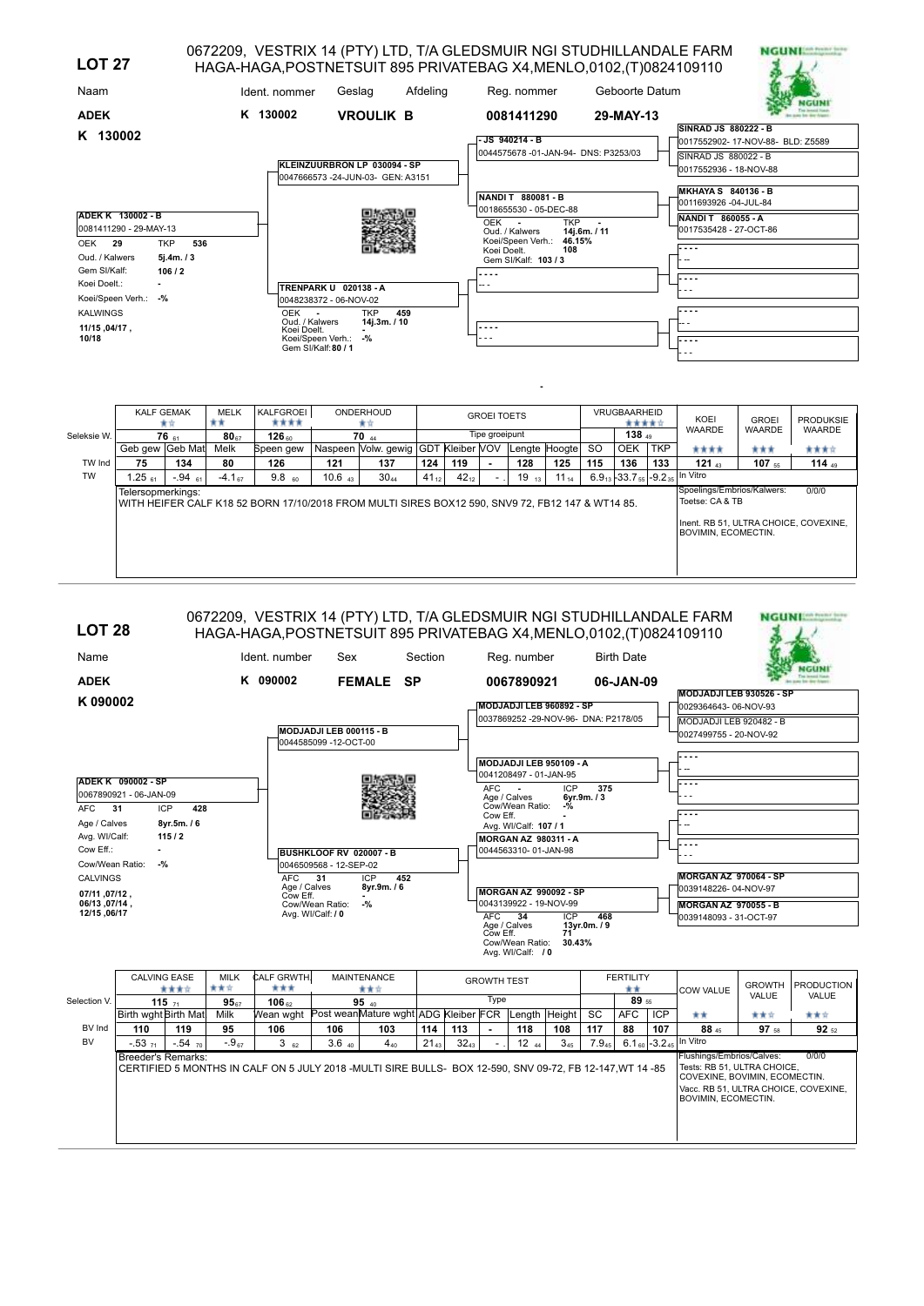| <b>LOT 27</b>                                                                                                                   |     |                                                                                                                                               |                                                                  |          | 0672209, VESTRIX 14 (PTY) LTD, T/A GLEDSMUIR NGI STUDHILLANDALE FARM<br>HAGA-HAGA, POSTNETSUIT 895 PRIVATEBAG X4, MENLO, 0102, (T) 0824109110 |                                                       |                                                                               | <b>NGUNI</b> |
|---------------------------------------------------------------------------------------------------------------------------------|-----|-----------------------------------------------------------------------------------------------------------------------------------------------|------------------------------------------------------------------|----------|-----------------------------------------------------------------------------------------------------------------------------------------------|-------------------------------------------------------|-------------------------------------------------------------------------------|--------------|
| Naam                                                                                                                            |     | Ident. nommer                                                                                                                                 | Geslag                                                           | Afdeling | Reg. nommer                                                                                                                                   | Geboorte Datum                                        |                                                                               |              |
| <b>ADEK</b><br>K 130002                                                                                                         |     | K 130002                                                                                                                                      | <b>VROULIK B</b>                                                 |          | 0081411290<br>JS 940214 - B                                                                                                                   | 29-MAY-13                                             | <b>SINRAD JS 880222 - B</b><br>0017552902-17-NOV-88- BLD: Z5589               |              |
|                                                                                                                                 |     |                                                                                                                                               | KLEINZUURBRON LP 030094 - SP<br>0047666573-24-JUN-03- GEN: A3151 |          | 0044575678-01-JAN-94- DNS: P3253/03<br>NANDIT 880081-B                                                                                        |                                                       | SINRAD JS 880022 - B<br>10017552936 - 18-NOV-88<br><b>MKHAYA S 840136 - B</b> |              |
| ADEK K 130002 - B<br>0081411290 - 29-MAY-13<br>OEK<br><b>TKP</b><br>29<br>Oud. / Kalwers<br>5j.4m. / 3<br>Gem SI/Kalf:<br>106/2 | 536 |                                                                                                                                               |                                                                  |          | 0018655530 - 05-DEC-88<br>OEK -<br>Oud. / Kalwers<br>Koei/Speen Verh.:<br>Koei Doelt.<br>Gem SI/Kalf: 103 / 3                                 | <b>TKP</b><br>$\sim$<br>14j.6m. / 11<br>46.15%<br>108 | 0011693926 -04-JUL-84<br><b>NANDIT 860055 - A</b><br>0017535428 - 27-OCT-86   |              |
| Koei Doelt.:<br>Koei/Speen Verh.: -%<br><b>KALWINGS</b><br>11/15,04/17,<br>10/18                                                |     | <b>TRENPARK U 020138 - A</b><br>0048238372 - 06-NOV-02<br>OEK<br>Oud. / Kalwers<br>Koei Doelt.<br>Koei/Speen Verh.: -%<br>Gem SI/Kalf: 80 / 1 | <b>TKP</b><br>14j.3m./10                                         | 459      | -- -<br>.                                                                                                                                     |                                                       | ---<br>$- - -$                                                                |              |
|                                                                                                                                 |     |                                                                                                                                               |                                                                  |          |                                                                                                                                               |                                                       |                                                                               |              |

|             | <b>KALF GEMAK</b>  | 宣宣         | <b>MELK</b><br>** | KALFGROEI<br>****                                                                                |             | ONDERHOUD<br>食宜                     |           |           | <b>GROEI TOETS</b>       |               |           |               | VRUGBAARHEID<br>***** |            | KOEI                                                                                                                 | <b>GROEI</b> | <b>PRODUKSIE</b> |
|-------------|--------------------|------------|-------------------|--------------------------------------------------------------------------------------------------|-------------|-------------------------------------|-----------|-----------|--------------------------|---------------|-----------|---------------|-----------------------|------------|----------------------------------------------------------------------------------------------------------------------|--------------|------------------|
| Seleksie W. |                    | $76_{61}$  | $80_{67}$         | 126m                                                                                             |             | 70 <sub>44</sub>                    |           |           | Tipe groeipunt           |               |           |               | 138 49                |            | <b>WAARDE</b>                                                                                                        | WAARDE       | <b>WAARDE</b>    |
|             | Geb gew Geb Mat    |            | Melk              | Speen gew                                                                                        |             | Naspeen Volw. gewig GDT Kleiber VOV |           |           |                          | Lengte Hoogte |           | <sub>SO</sub> | <b>OEK</b>            | <b>TKP</b> | ****                                                                                                                 | ***          | 食食食食             |
| TW Ind      | 75                 | 134        | 80                | 126                                                                                              | 121         | 137                                 | 124       | 119       | $\overline{\phantom{a}}$ | 128           | 125       | 115           | 136                   | 133        | $121_{43}$                                                                                                           | $107$ ss     | 114 $49$         |
| <b>TW</b>   | 1.25 <sub>61</sub> | $-0.94$ 61 | $-4.167$          | 9.8 <sub>60</sub>                                                                                | $10.6$ $43$ | $30_{44}$                           | $41_{12}$ | $42_{12}$ |                          | $19_{13}$     | $11_{14}$ |               |                       |            | $6.9_{13}$ - 33.7 $_{55}$ - 9.2 $_{35}$ In Vitro                                                                     |              |                  |
|             | Telersopmerkings:  |            |                   | WITH HEIFER CALF K18 52 BORN 17/10/2018 FROM MULTI SIRES BOX12 590, SNV9 72, FB12 147 & WT14 85. |             |                                     |           |           |                          |               |           |               |                       |            | Spoelings/Embrios/Kalwers:<br>Toetse: CA & TB<br>Inent. RB 51. ULTRA CHOICE. COVEXINE.<br><b>BOVIMIN, ECOMECTIN.</b> |              | 0/0/0            |

| Reg. number<br><b>Birth Date</b><br>Name<br>Ident. number<br>Sex<br>Section<br>K 090002<br><b>SP</b><br><b>ADEK</b><br><b>FEMALE</b><br>0067890921<br>06-JAN-09<br>MODJADJI LEB 930526 - SP<br>K090002<br>MODJADJI LEB 960892 - SP<br>0029364643-06-NOV-93<br>0037869252 -29-NOV-96- DNA: P2178/05<br>MODJADJI LEB 920482 - B<br>MODJADJI LEB 000115 - B<br>0027499755 - 20-NOV-92<br>0044585099 -12-OCT-00<br>MODJADJI LEB 950109 - A<br>0041208497 - 01-JAN-95<br>ADEK K 090002 - SP<br>AFC.<br>ICP<br>375<br>0067890921 - 06-JAN-09<br>Age / Calves<br>6vr.9m. / 3<br>Cow/Wean Ratio:<br>$-9/6$<br><b>ICP</b><br><b>AFC</b><br>31<br>428<br>Cow Eff.<br>Age / Calves<br>8yr.5m. / 6<br>Avg. WI/Calf: 107 / 1<br>Avg. WI/Calf:<br>115/2<br><b>MORGAN AZ 980311 - A</b><br>Cow Eff.:<br>$\overline{\phantom{a}}$<br>0044563310-01-JAN-98<br>BUSHKLOOF RV 020007 - B<br>Cow/Wean Ratio:<br>$-$ %<br>0046509568 - 12-SEP-02<br>MORGAN AZ 970064 - SP<br>AFC<br><b>ICP</b><br>452<br><b>CALVINGS</b><br>31<br>Age / Calves<br>8yr.9m. / 6<br>0039148226-04-NOV-97<br><b>MORGAN AZ 990092 - SP</b><br>07/11, 07/12,<br>Cow Eff.<br>0043139922 - 19-NOV-99<br>06/13, 07/14,<br>Cow/Wean Ratio:<br>$-$ %<br><b>MORGAN AZ 970055 - B</b><br>12/15, 06/17<br>Avg. WI/Calf: / 0<br><b>AFC</b><br>34<br><b>ICP</b><br>468<br>0039148093 - 31-OCT-97<br>Age / Calves<br>13yr.0m./9<br>Cow Eff.<br>71<br>Cow/Wean Ratio:<br>30.43%<br>Avg. WI/Calf: / 0<br>CALF GRWTH.<br><b>CALVING EASE</b><br><b>MAINTENANCE</b><br><b>FERTILITY</b><br>MILK<br><b>GROWTH TEST</b><br><b>GROWTH</b><br>青青宮<br>***<br>黄黄黄京<br>青青宮<br>**<br><b>COW VALUE</b><br>VALUE<br>Type<br>89 55<br>$95 - 40$<br>Selection V.<br>115,71<br>95 <sub>57</sub><br>$106 \text{ m}$<br>Wean wght Post wean Mature wght ADG Kleiber FCR<br><b>AFC</b><br>Birth wght Birth Mat<br>Length Height<br>SC<br><b>ICP</b><br>Milk<br>青青宮<br>**<br>BV Ind<br>110<br>88<br>107<br>119<br>95<br>106<br>106<br>103<br>114<br>113<br>118<br>108<br>117<br>88 45<br>97 58<br>٠<br>6.1 60 -3.2 45 In Vitro<br><b>BV</b><br>$-.54$ 70<br>$-0.967$<br>$32_{43}$<br>$12_{44}$<br>7.945<br>$-0.53$ <sub>71</sub><br>362<br>$3.6 \n40$<br>$4_{40}$<br>$21_{43}$<br>$3_{45}$<br>Flushings/Embrios/Calves:<br><b>Breeder's Remarks:</b><br>Tests: RB 51, ULTRA CHOICE,<br>CERTIFIED 5 MONTHS IN CALF ON 5 JULY 2018 - MULTI SIRE BULLS- BOX 12-590, SNV 09-72, FB 12-147, WT 14 -85<br>COVEXINE, BOVIMIN, ECOMECTIN.<br>Vacc. RB 51, ULTRA CHOICE, COVEXINE,<br>BOVIMIN, ECOMECTIN. | <b>LOT 28</b> |  |  |  | HAGA-HAGA, POSTNETSUIT 895 PRIVATEBAG X4, MENLO, 0102, (T) 0824109110 |  |  |  |  |  |  |  |  |  | 0672209, VESTRIX 14 (PTY) LTD, T/A GLEDSMUIR NGI STUDHILLANDALE FARM | NGUNI. |                   |
|----------------------------------------------------------------------------------------------------------------------------------------------------------------------------------------------------------------------------------------------------------------------------------------------------------------------------------------------------------------------------------------------------------------------------------------------------------------------------------------------------------------------------------------------------------------------------------------------------------------------------------------------------------------------------------------------------------------------------------------------------------------------------------------------------------------------------------------------------------------------------------------------------------------------------------------------------------------------------------------------------------------------------------------------------------------------------------------------------------------------------------------------------------------------------------------------------------------------------------------------------------------------------------------------------------------------------------------------------------------------------------------------------------------------------------------------------------------------------------------------------------------------------------------------------------------------------------------------------------------------------------------------------------------------------------------------------------------------------------------------------------------------------------------------------------------------------------------------------------------------------------------------------------------------------------------------------------------------------------------------------------------------------------------------------------------------------------------------------------------------------------------------------------------------------------------------------------------------------------------------------------------------------------------------------------------------------------------------------------------------------------------------------------------------------------------------------------------------------------------------------------------------|---------------|--|--|--|-----------------------------------------------------------------------|--|--|--|--|--|--|--|--|--|----------------------------------------------------------------------|--------|-------------------|
|                                                                                                                                                                                                                                                                                                                                                                                                                                                                                                                                                                                                                                                                                                                                                                                                                                                                                                                                                                                                                                                                                                                                                                                                                                                                                                                                                                                                                                                                                                                                                                                                                                                                                                                                                                                                                                                                                                                                                                                                                                                                                                                                                                                                                                                                                                                                                                                                                                                                                                                      |               |  |  |  |                                                                       |  |  |  |  |  |  |  |  |  |                                                                      |        |                   |
|                                                                                                                                                                                                                                                                                                                                                                                                                                                                                                                                                                                                                                                                                                                                                                                                                                                                                                                                                                                                                                                                                                                                                                                                                                                                                                                                                                                                                                                                                                                                                                                                                                                                                                                                                                                                                                                                                                                                                                                                                                                                                                                                                                                                                                                                                                                                                                                                                                                                                                                      |               |  |  |  |                                                                       |  |  |  |  |  |  |  |  |  |                                                                      |        |                   |
|                                                                                                                                                                                                                                                                                                                                                                                                                                                                                                                                                                                                                                                                                                                                                                                                                                                                                                                                                                                                                                                                                                                                                                                                                                                                                                                                                                                                                                                                                                                                                                                                                                                                                                                                                                                                                                                                                                                                                                                                                                                                                                                                                                                                                                                                                                                                                                                                                                                                                                                      |               |  |  |  |                                                                       |  |  |  |  |  |  |  |  |  |                                                                      |        |                   |
|                                                                                                                                                                                                                                                                                                                                                                                                                                                                                                                                                                                                                                                                                                                                                                                                                                                                                                                                                                                                                                                                                                                                                                                                                                                                                                                                                                                                                                                                                                                                                                                                                                                                                                                                                                                                                                                                                                                                                                                                                                                                                                                                                                                                                                                                                                                                                                                                                                                                                                                      |               |  |  |  |                                                                       |  |  |  |  |  |  |  |  |  |                                                                      |        |                   |
|                                                                                                                                                                                                                                                                                                                                                                                                                                                                                                                                                                                                                                                                                                                                                                                                                                                                                                                                                                                                                                                                                                                                                                                                                                                                                                                                                                                                                                                                                                                                                                                                                                                                                                                                                                                                                                                                                                                                                                                                                                                                                                                                                                                                                                                                                                                                                                                                                                                                                                                      |               |  |  |  |                                                                       |  |  |  |  |  |  |  |  |  |                                                                      |        |                   |
|                                                                                                                                                                                                                                                                                                                                                                                                                                                                                                                                                                                                                                                                                                                                                                                                                                                                                                                                                                                                                                                                                                                                                                                                                                                                                                                                                                                                                                                                                                                                                                                                                                                                                                                                                                                                                                                                                                                                                                                                                                                                                                                                                                                                                                                                                                                                                                                                                                                                                                                      |               |  |  |  |                                                                       |  |  |  |  |  |  |  |  |  |                                                                      |        |                   |
|                                                                                                                                                                                                                                                                                                                                                                                                                                                                                                                                                                                                                                                                                                                                                                                                                                                                                                                                                                                                                                                                                                                                                                                                                                                                                                                                                                                                                                                                                                                                                                                                                                                                                                                                                                                                                                                                                                                                                                                                                                                                                                                                                                                                                                                                                                                                                                                                                                                                                                                      |               |  |  |  |                                                                       |  |  |  |  |  |  |  |  |  |                                                                      |        |                   |
|                                                                                                                                                                                                                                                                                                                                                                                                                                                                                                                                                                                                                                                                                                                                                                                                                                                                                                                                                                                                                                                                                                                                                                                                                                                                                                                                                                                                                                                                                                                                                                                                                                                                                                                                                                                                                                                                                                                                                                                                                                                                                                                                                                                                                                                                                                                                                                                                                                                                                                                      |               |  |  |  |                                                                       |  |  |  |  |  |  |  |  |  |                                                                      |        |                   |
|                                                                                                                                                                                                                                                                                                                                                                                                                                                                                                                                                                                                                                                                                                                                                                                                                                                                                                                                                                                                                                                                                                                                                                                                                                                                                                                                                                                                                                                                                                                                                                                                                                                                                                                                                                                                                                                                                                                                                                                                                                                                                                                                                                                                                                                                                                                                                                                                                                                                                                                      |               |  |  |  |                                                                       |  |  |  |  |  |  |  |  |  |                                                                      |        |                   |
|                                                                                                                                                                                                                                                                                                                                                                                                                                                                                                                                                                                                                                                                                                                                                                                                                                                                                                                                                                                                                                                                                                                                                                                                                                                                                                                                                                                                                                                                                                                                                                                                                                                                                                                                                                                                                                                                                                                                                                                                                                                                                                                                                                                                                                                                                                                                                                                                                                                                                                                      |               |  |  |  |                                                                       |  |  |  |  |  |  |  |  |  |                                                                      |        |                   |
|                                                                                                                                                                                                                                                                                                                                                                                                                                                                                                                                                                                                                                                                                                                                                                                                                                                                                                                                                                                                                                                                                                                                                                                                                                                                                                                                                                                                                                                                                                                                                                                                                                                                                                                                                                                                                                                                                                                                                                                                                                                                                                                                                                                                                                                                                                                                                                                                                                                                                                                      |               |  |  |  |                                                                       |  |  |  |  |  |  |  |  |  |                                                                      |        |                   |
|                                                                                                                                                                                                                                                                                                                                                                                                                                                                                                                                                                                                                                                                                                                                                                                                                                                                                                                                                                                                                                                                                                                                                                                                                                                                                                                                                                                                                                                                                                                                                                                                                                                                                                                                                                                                                                                                                                                                                                                                                                                                                                                                                                                                                                                                                                                                                                                                                                                                                                                      |               |  |  |  |                                                                       |  |  |  |  |  |  |  |  |  |                                                                      |        |                   |
|                                                                                                                                                                                                                                                                                                                                                                                                                                                                                                                                                                                                                                                                                                                                                                                                                                                                                                                                                                                                                                                                                                                                                                                                                                                                                                                                                                                                                                                                                                                                                                                                                                                                                                                                                                                                                                                                                                                                                                                                                                                                                                                                                                                                                                                                                                                                                                                                                                                                                                                      |               |  |  |  |                                                                       |  |  |  |  |  |  |  |  |  |                                                                      |        |                   |
|                                                                                                                                                                                                                                                                                                                                                                                                                                                                                                                                                                                                                                                                                                                                                                                                                                                                                                                                                                                                                                                                                                                                                                                                                                                                                                                                                                                                                                                                                                                                                                                                                                                                                                                                                                                                                                                                                                                                                                                                                                                                                                                                                                                                                                                                                                                                                                                                                                                                                                                      |               |  |  |  |                                                                       |  |  |  |  |  |  |  |  |  |                                                                      |        |                   |
|                                                                                                                                                                                                                                                                                                                                                                                                                                                                                                                                                                                                                                                                                                                                                                                                                                                                                                                                                                                                                                                                                                                                                                                                                                                                                                                                                                                                                                                                                                                                                                                                                                                                                                                                                                                                                                                                                                                                                                                                                                                                                                                                                                                                                                                                                                                                                                                                                                                                                                                      |               |  |  |  |                                                                       |  |  |  |  |  |  |  |  |  |                                                                      |        |                   |
|                                                                                                                                                                                                                                                                                                                                                                                                                                                                                                                                                                                                                                                                                                                                                                                                                                                                                                                                                                                                                                                                                                                                                                                                                                                                                                                                                                                                                                                                                                                                                                                                                                                                                                                                                                                                                                                                                                                                                                                                                                                                                                                                                                                                                                                                                                                                                                                                                                                                                                                      |               |  |  |  |                                                                       |  |  |  |  |  |  |  |  |  |                                                                      |        |                   |
|                                                                                                                                                                                                                                                                                                                                                                                                                                                                                                                                                                                                                                                                                                                                                                                                                                                                                                                                                                                                                                                                                                                                                                                                                                                                                                                                                                                                                                                                                                                                                                                                                                                                                                                                                                                                                                                                                                                                                                                                                                                                                                                                                                                                                                                                                                                                                                                                                                                                                                                      |               |  |  |  |                                                                       |  |  |  |  |  |  |  |  |  |                                                                      |        |                   |
|                                                                                                                                                                                                                                                                                                                                                                                                                                                                                                                                                                                                                                                                                                                                                                                                                                                                                                                                                                                                                                                                                                                                                                                                                                                                                                                                                                                                                                                                                                                                                                                                                                                                                                                                                                                                                                                                                                                                                                                                                                                                                                                                                                                                                                                                                                                                                                                                                                                                                                                      |               |  |  |  |                                                                       |  |  |  |  |  |  |  |  |  |                                                                      |        |                   |
|                                                                                                                                                                                                                                                                                                                                                                                                                                                                                                                                                                                                                                                                                                                                                                                                                                                                                                                                                                                                                                                                                                                                                                                                                                                                                                                                                                                                                                                                                                                                                                                                                                                                                                                                                                                                                                                                                                                                                                                                                                                                                                                                                                                                                                                                                                                                                                                                                                                                                                                      |               |  |  |  |                                                                       |  |  |  |  |  |  |  |  |  |                                                                      |        | <b>PRODUCTION</b> |
|                                                                                                                                                                                                                                                                                                                                                                                                                                                                                                                                                                                                                                                                                                                                                                                                                                                                                                                                                                                                                                                                                                                                                                                                                                                                                                                                                                                                                                                                                                                                                                                                                                                                                                                                                                                                                                                                                                                                                                                                                                                                                                                                                                                                                                                                                                                                                                                                                                                                                                                      |               |  |  |  |                                                                       |  |  |  |  |  |  |  |  |  |                                                                      |        | <b>VALUE</b>      |
|                                                                                                                                                                                                                                                                                                                                                                                                                                                                                                                                                                                                                                                                                                                                                                                                                                                                                                                                                                                                                                                                                                                                                                                                                                                                                                                                                                                                                                                                                                                                                                                                                                                                                                                                                                                                                                                                                                                                                                                                                                                                                                                                                                                                                                                                                                                                                                                                                                                                                                                      |               |  |  |  |                                                                       |  |  |  |  |  |  |  |  |  |                                                                      |        | 青青宮               |
|                                                                                                                                                                                                                                                                                                                                                                                                                                                                                                                                                                                                                                                                                                                                                                                                                                                                                                                                                                                                                                                                                                                                                                                                                                                                                                                                                                                                                                                                                                                                                                                                                                                                                                                                                                                                                                                                                                                                                                                                                                                                                                                                                                                                                                                                                                                                                                                                                                                                                                                      |               |  |  |  |                                                                       |  |  |  |  |  |  |  |  |  |                                                                      |        | $92_{52}$         |
|                                                                                                                                                                                                                                                                                                                                                                                                                                                                                                                                                                                                                                                                                                                                                                                                                                                                                                                                                                                                                                                                                                                                                                                                                                                                                                                                                                                                                                                                                                                                                                                                                                                                                                                                                                                                                                                                                                                                                                                                                                                                                                                                                                                                                                                                                                                                                                                                                                                                                                                      |               |  |  |  |                                                                       |  |  |  |  |  |  |  |  |  |                                                                      |        |                   |
|                                                                                                                                                                                                                                                                                                                                                                                                                                                                                                                                                                                                                                                                                                                                                                                                                                                                                                                                                                                                                                                                                                                                                                                                                                                                                                                                                                                                                                                                                                                                                                                                                                                                                                                                                                                                                                                                                                                                                                                                                                                                                                                                                                                                                                                                                                                                                                                                                                                                                                                      |               |  |  |  |                                                                       |  |  |  |  |  |  |  |  |  |                                                                      |        | 0/0/0             |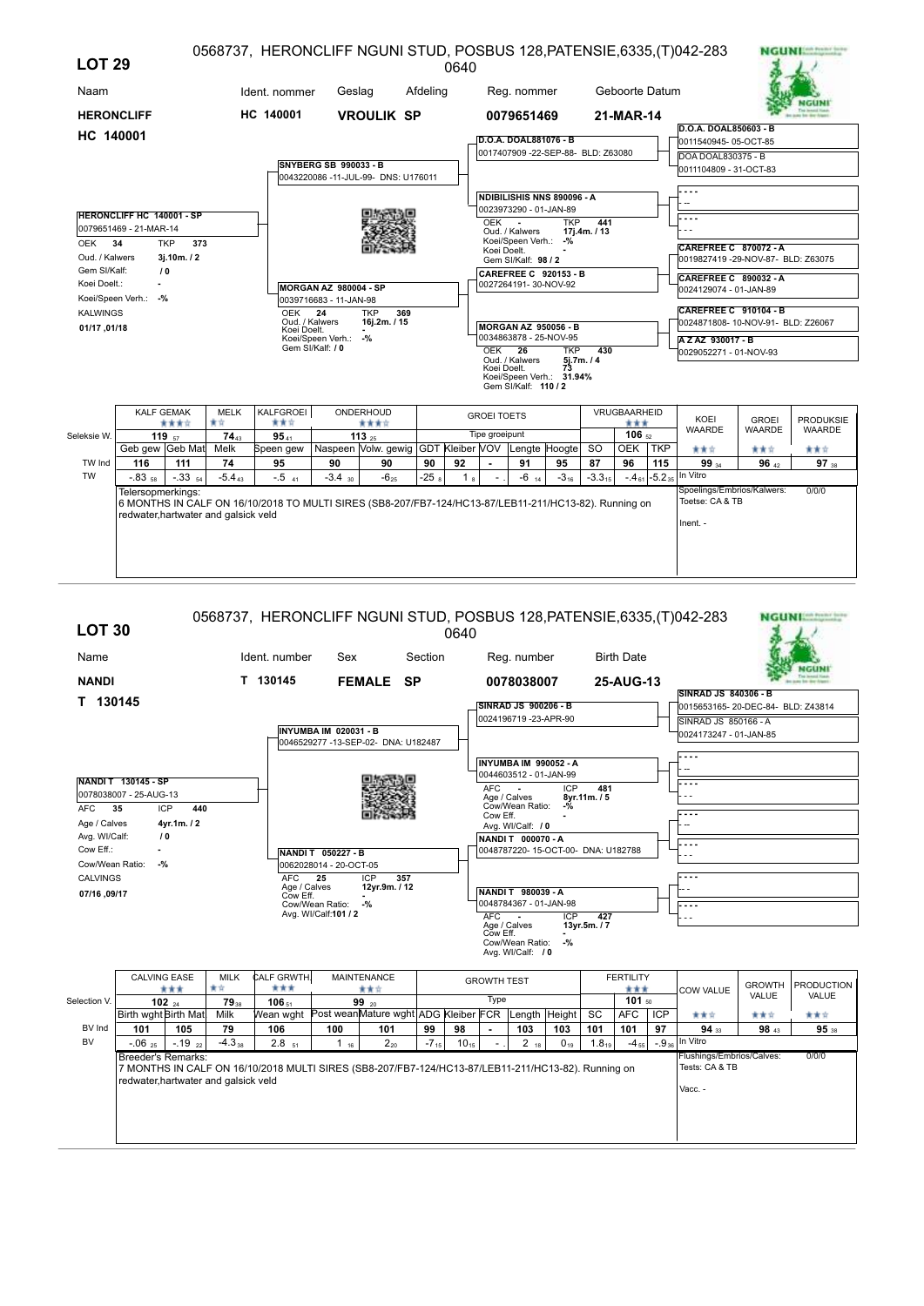| Geboorte Datum<br>Ident. nommer<br>Geslag<br>Afdeling<br>Naam<br>Reg. nommer<br>HC 140001<br><b>HERONCLIFF</b><br><b>VROULIK SP</b><br>21-MAR-14<br>0079651469<br>D.O.A. DOAL850603 - B<br>HC 140001<br>D.O.A. DOAL881076 - B<br>0011540945-05-OCT-85<br>0017407909 -22-SEP-88- BLD: Z63080<br>DOA DOAL830375 - B<br>SNYBERG SB 990033 - B<br>0011104809 - 31-OCT-83<br>0043220086 -11-JUL-99- DNS: U176011<br>NDIBILISHIS NNS 890096 - A<br>0023973290 - 01-JAN-89<br><b>HERONCLIFF HC 140001 - SP</b><br>441<br>OEK -<br><b>TKP</b><br>0079651469 - 21-MAR-14<br>Oud. / Kalwers<br>17j.4m. / 13<br>Koei/Speen Verh.: -%<br>34<br><b>TKP</b><br>373<br>OEK<br><b>CAREFREE C 870072 - A</b><br>Koei Doelt.<br>Oud. / Kalwers<br>3j.10m. / 2<br>0019827419 -29-NOV-87- BLD: Z63075<br>Gem SI/Kalf: 98 / 2<br>Gem SI/Kalf:<br>10<br><b>CAREFREE C 920153 - B</b><br>CAREFREE C 890032 - A<br>Koei Doelt.:<br>0027264191-30-NOV-92<br>MORGAN AZ 980004 - SP<br>0024129074 - 01-JAN-89<br>Koei/Speen Verh.: -%<br>0039716683 - 11-JAN-98<br><b>CAREFREE C 910104 - B</b><br><b>OEK</b><br><b>TKP</b><br>369<br><b>KALWINGS</b><br>-24<br>Oud. / Kalwers<br>16j.2m. / 15<br>0024871808-10-NOV-91- BLD: Z26067<br><b>MORGAN AZ 950056 - B</b><br>01/17, 01/18<br>Koei Doelt.<br>0034863878 - 25-NOV-95<br>Koei/Speen Verh.: -%<br>AZAZ 930017-B<br>Gem SI/Kalf: / 0<br>OEK <sub>26</sub><br><b>TKP</b><br>430<br>0029052271 - 01-NOV-93<br>Oud. / Kalwers<br>5j.7m. / 4<br>73<br>Koei Doelt.<br>Koei/Speen Verh.: 31.94%<br>Gem SI/Kalf: 110 / 2<br>KALFGROEI<br><b>KALF GEMAK</b><br><b>MELK</b><br>ONDERHOUD<br><b>VRUGBAARHEID</b><br><b>GROEI TOETS</b><br>KOEI<br><b>GROEI</b><br>黄青<br>青黄立<br>****<br>****<br>***<br><b>WAARDE</b><br>WAARDE<br><b>WAARDE</b><br>Tipe groeipunt<br>106 <sub>52</sub><br>9541<br>Seleksie W.<br>119 $57$<br>$74_{43}$<br>113 $25$<br>Naspeen Volw. gewig GDT Kleiber VOV<br><b>OEK</b><br>Geb gew Geb Mat<br>Melk<br>Speen gew<br>Lengte Hoogte<br><b>SO</b><br>TKP<br>青青宮<br>含食食<br>***<br>TW Ind<br>74<br>92<br>96<br>116<br>111<br>95<br>90<br>90<br>90<br>91<br>95<br>87<br>115<br>99 34<br>96x2<br>In Vitro<br><b>TW</b><br>$-0.83$ <sub>58</sub><br>$-.3354$<br>$-5.4_{43}$<br>$-.5$ <sub>41</sub><br>$-3.4$ 30<br>$-6_{25}$<br>$-258$<br>$-4_{61}$ -5.2 <sub>35</sub><br>$-6$ $_{14}$<br>$-3_{16}$<br>$-3.3_{15}$<br>1 <sub>8</sub><br>Spoelings/Embrios/Kalwers:<br>0/0/0<br>Telersopmerkings:<br>Toetse: CA & TB<br>6 MONTHS IN CALF ON 16/10/2018 TO MULTI SIRES (SB8-207/FB7-124/HC13-87/LEB11-211/HC13-82). Running on<br>redwater, hartwater and galsick veld<br>Inent. - | <b>LOT 29</b> |  |  |  |  | 0640 |  |  |  | 0568737, HERONCLIFF NGUNI STUD, POSBUS 128, PATENSIE, 6335, (T) 042-283 | <b>NGUNITER PORTER</b> |
|-----------------------------------------------------------------------------------------------------------------------------------------------------------------------------------------------------------------------------------------------------------------------------------------------------------------------------------------------------------------------------------------------------------------------------------------------------------------------------------------------------------------------------------------------------------------------------------------------------------------------------------------------------------------------------------------------------------------------------------------------------------------------------------------------------------------------------------------------------------------------------------------------------------------------------------------------------------------------------------------------------------------------------------------------------------------------------------------------------------------------------------------------------------------------------------------------------------------------------------------------------------------------------------------------------------------------------------------------------------------------------------------------------------------------------------------------------------------------------------------------------------------------------------------------------------------------------------------------------------------------------------------------------------------------------------------------------------------------------------------------------------------------------------------------------------------------------------------------------------------------------------------------------------------------------------------------------------------------------------------------------------------------------------------------------------------------------------------------------------------------------------------------------------------------------------------------------------------------------------------------------------------------------------------------------------------------------------------------------------------------------------------------------------------------------------------------------------------------------------------------------------------------------------------------------------------------------------------------------------------------|---------------|--|--|--|--|------|--|--|--|-------------------------------------------------------------------------|------------------------|
|                                                                                                                                                                                                                                                                                                                                                                                                                                                                                                                                                                                                                                                                                                                                                                                                                                                                                                                                                                                                                                                                                                                                                                                                                                                                                                                                                                                                                                                                                                                                                                                                                                                                                                                                                                                                                                                                                                                                                                                                                                                                                                                                                                                                                                                                                                                                                                                                                                                                                                                                                                                                                       |               |  |  |  |  |      |  |  |  |                                                                         |                        |
|                                                                                                                                                                                                                                                                                                                                                                                                                                                                                                                                                                                                                                                                                                                                                                                                                                                                                                                                                                                                                                                                                                                                                                                                                                                                                                                                                                                                                                                                                                                                                                                                                                                                                                                                                                                                                                                                                                                                                                                                                                                                                                                                                                                                                                                                                                                                                                                                                                                                                                                                                                                                                       |               |  |  |  |  |      |  |  |  |                                                                         |                        |
|                                                                                                                                                                                                                                                                                                                                                                                                                                                                                                                                                                                                                                                                                                                                                                                                                                                                                                                                                                                                                                                                                                                                                                                                                                                                                                                                                                                                                                                                                                                                                                                                                                                                                                                                                                                                                                                                                                                                                                                                                                                                                                                                                                                                                                                                                                                                                                                                                                                                                                                                                                                                                       |               |  |  |  |  |      |  |  |  |                                                                         |                        |
|                                                                                                                                                                                                                                                                                                                                                                                                                                                                                                                                                                                                                                                                                                                                                                                                                                                                                                                                                                                                                                                                                                                                                                                                                                                                                                                                                                                                                                                                                                                                                                                                                                                                                                                                                                                                                                                                                                                                                                                                                                                                                                                                                                                                                                                                                                                                                                                                                                                                                                                                                                                                                       |               |  |  |  |  |      |  |  |  |                                                                         |                        |
|                                                                                                                                                                                                                                                                                                                                                                                                                                                                                                                                                                                                                                                                                                                                                                                                                                                                                                                                                                                                                                                                                                                                                                                                                                                                                                                                                                                                                                                                                                                                                                                                                                                                                                                                                                                                                                                                                                                                                                                                                                                                                                                                                                                                                                                                                                                                                                                                                                                                                                                                                                                                                       |               |  |  |  |  |      |  |  |  |                                                                         |                        |
|                                                                                                                                                                                                                                                                                                                                                                                                                                                                                                                                                                                                                                                                                                                                                                                                                                                                                                                                                                                                                                                                                                                                                                                                                                                                                                                                                                                                                                                                                                                                                                                                                                                                                                                                                                                                                                                                                                                                                                                                                                                                                                                                                                                                                                                                                                                                                                                                                                                                                                                                                                                                                       |               |  |  |  |  |      |  |  |  |                                                                         |                        |
|                                                                                                                                                                                                                                                                                                                                                                                                                                                                                                                                                                                                                                                                                                                                                                                                                                                                                                                                                                                                                                                                                                                                                                                                                                                                                                                                                                                                                                                                                                                                                                                                                                                                                                                                                                                                                                                                                                                                                                                                                                                                                                                                                                                                                                                                                                                                                                                                                                                                                                                                                                                                                       |               |  |  |  |  |      |  |  |  |                                                                         |                        |
|                                                                                                                                                                                                                                                                                                                                                                                                                                                                                                                                                                                                                                                                                                                                                                                                                                                                                                                                                                                                                                                                                                                                                                                                                                                                                                                                                                                                                                                                                                                                                                                                                                                                                                                                                                                                                                                                                                                                                                                                                                                                                                                                                                                                                                                                                                                                                                                                                                                                                                                                                                                                                       |               |  |  |  |  |      |  |  |  |                                                                         |                        |
|                                                                                                                                                                                                                                                                                                                                                                                                                                                                                                                                                                                                                                                                                                                                                                                                                                                                                                                                                                                                                                                                                                                                                                                                                                                                                                                                                                                                                                                                                                                                                                                                                                                                                                                                                                                                                                                                                                                                                                                                                                                                                                                                                                                                                                                                                                                                                                                                                                                                                                                                                                                                                       |               |  |  |  |  |      |  |  |  |                                                                         |                        |
|                                                                                                                                                                                                                                                                                                                                                                                                                                                                                                                                                                                                                                                                                                                                                                                                                                                                                                                                                                                                                                                                                                                                                                                                                                                                                                                                                                                                                                                                                                                                                                                                                                                                                                                                                                                                                                                                                                                                                                                                                                                                                                                                                                                                                                                                                                                                                                                                                                                                                                                                                                                                                       |               |  |  |  |  |      |  |  |  |                                                                         |                        |
|                                                                                                                                                                                                                                                                                                                                                                                                                                                                                                                                                                                                                                                                                                                                                                                                                                                                                                                                                                                                                                                                                                                                                                                                                                                                                                                                                                                                                                                                                                                                                                                                                                                                                                                                                                                                                                                                                                                                                                                                                                                                                                                                                                                                                                                                                                                                                                                                                                                                                                                                                                                                                       |               |  |  |  |  |      |  |  |  |                                                                         |                        |
|                                                                                                                                                                                                                                                                                                                                                                                                                                                                                                                                                                                                                                                                                                                                                                                                                                                                                                                                                                                                                                                                                                                                                                                                                                                                                                                                                                                                                                                                                                                                                                                                                                                                                                                                                                                                                                                                                                                                                                                                                                                                                                                                                                                                                                                                                                                                                                                                                                                                                                                                                                                                                       |               |  |  |  |  |      |  |  |  |                                                                         | <b>PRODUKSIE</b>       |
|                                                                                                                                                                                                                                                                                                                                                                                                                                                                                                                                                                                                                                                                                                                                                                                                                                                                                                                                                                                                                                                                                                                                                                                                                                                                                                                                                                                                                                                                                                                                                                                                                                                                                                                                                                                                                                                                                                                                                                                                                                                                                                                                                                                                                                                                                                                                                                                                                                                                                                                                                                                                                       |               |  |  |  |  |      |  |  |  |                                                                         |                        |
|                                                                                                                                                                                                                                                                                                                                                                                                                                                                                                                                                                                                                                                                                                                                                                                                                                                                                                                                                                                                                                                                                                                                                                                                                                                                                                                                                                                                                                                                                                                                                                                                                                                                                                                                                                                                                                                                                                                                                                                                                                                                                                                                                                                                                                                                                                                                                                                                                                                                                                                                                                                                                       |               |  |  |  |  |      |  |  |  |                                                                         | 97 <sub>38</sub>       |
|                                                                                                                                                                                                                                                                                                                                                                                                                                                                                                                                                                                                                                                                                                                                                                                                                                                                                                                                                                                                                                                                                                                                                                                                                                                                                                                                                                                                                                                                                                                                                                                                                                                                                                                                                                                                                                                                                                                                                                                                                                                                                                                                                                                                                                                                                                                                                                                                                                                                                                                                                                                                                       |               |  |  |  |  |      |  |  |  |                                                                         |                        |
|                                                                                                                                                                                                                                                                                                                                                                                                                                                                                                                                                                                                                                                                                                                                                                                                                                                                                                                                                                                                                                                                                                                                                                                                                                                                                                                                                                                                                                                                                                                                                                                                                                                                                                                                                                                                                                                                                                                                                                                                                                                                                                                                                                                                                                                                                                                                                                                                                                                                                                                                                                                                                       |               |  |  |  |  |      |  |  |  |                                                                         |                        |

| <b>LOT 30</b>                        |                                                                                      |                                                                                                                                                                    |                                                                                                   |                                                                        |                                            |                                                                                                                                                                                              |                                                                                       |                                         |                                                                                             |                                                                                                                  |                                                                                                                                                                                                                                                                                                                  |                                                                 |                                                                                                                                          |                                                                                 |                                                                                                                | <b>NGUNIAREM</b>                                                                                                                                                            |
|--------------------------------------|--------------------------------------------------------------------------------------|--------------------------------------------------------------------------------------------------------------------------------------------------------------------|---------------------------------------------------------------------------------------------------|------------------------------------------------------------------------|--------------------------------------------|----------------------------------------------------------------------------------------------------------------------------------------------------------------------------------------------|---------------------------------------------------------------------------------------|-----------------------------------------|---------------------------------------------------------------------------------------------|------------------------------------------------------------------------------------------------------------------|------------------------------------------------------------------------------------------------------------------------------------------------------------------------------------------------------------------------------------------------------------------------------------------------------------------|-----------------------------------------------------------------|------------------------------------------------------------------------------------------------------------------------------------------|---------------------------------------------------------------------------------|----------------------------------------------------------------------------------------------------------------|-----------------------------------------------------------------------------------------------------------------------------------------------------------------------------|
|                                      |                                                                                      |                                                                                                                                                                    |                                                                                                   |                                                                        |                                            |                                                                                                                                                                                              |                                                                                       |                                         |                                                                                             |                                                                                                                  |                                                                                                                                                                                                                                                                                                                  |                                                                 |                                                                                                                                          |                                                                                 |                                                                                                                |                                                                                                                                                                             |
|                                      |                                                                                      |                                                                                                                                                                    |                                                                                                   |                                                                        |                                            |                                                                                                                                                                                              |                                                                                       |                                         |                                                                                             |                                                                                                                  |                                                                                                                                                                                                                                                                                                                  |                                                                 |                                                                                                                                          |                                                                                 |                                                                                                                |                                                                                                                                                                             |
| T 130145                             |                                                                                      |                                                                                                                                                                    |                                                                                                   |                                                                        |                                            |                                                                                                                                                                                              |                                                                                       |                                         |                                                                                             |                                                                                                                  |                                                                                                                                                                                                                                                                                                                  |                                                                 |                                                                                                                                          |                                                                                 |                                                                                                                |                                                                                                                                                                             |
|                                      |                                                                                      |                                                                                                                                                                    |                                                                                                   |                                                                        |                                            |                                                                                                                                                                                              |                                                                                       |                                         |                                                                                             |                                                                                                                  |                                                                                                                                                                                                                                                                                                                  |                                                                 |                                                                                                                                          |                                                                                 |                                                                                                                |                                                                                                                                                                             |
|                                      |                                                                                      |                                                                                                                                                                    |                                                                                                   |                                                                        |                                            |                                                                                                                                                                                              |                                                                                       |                                         |                                                                                             |                                                                                                                  |                                                                                                                                                                                                                                                                                                                  |                                                                 |                                                                                                                                          |                                                                                 |                                                                                                                |                                                                                                                                                                             |
|                                      |                                                                                      |                                                                                                                                                                    |                                                                                                   |                                                                        |                                            |                                                                                                                                                                                              |                                                                                       |                                         |                                                                                             |                                                                                                                  |                                                                                                                                                                                                                                                                                                                  |                                                                 |                                                                                                                                          |                                                                                 |                                                                                                                |                                                                                                                                                                             |
|                                      |                                                                                      |                                                                                                                                                                    |                                                                                                   |                                                                        |                                            |                                                                                                                                                                                              |                                                                                       |                                         |                                                                                             |                                                                                                                  |                                                                                                                                                                                                                                                                                                                  |                                                                 |                                                                                                                                          |                                                                                 |                                                                                                                |                                                                                                                                                                             |
|                                      |                                                                                      |                                                                                                                                                                    |                                                                                                   |                                                                        |                                            |                                                                                                                                                                                              |                                                                                       |                                         |                                                                                             |                                                                                                                  |                                                                                                                                                                                                                                                                                                                  |                                                                 |                                                                                                                                          |                                                                                 |                                                                                                                |                                                                                                                                                                             |
|                                      |                                                                                      |                                                                                                                                                                    |                                                                                                   |                                                                        |                                            |                                                                                                                                                                                              |                                                                                       |                                         |                                                                                             |                                                                                                                  |                                                                                                                                                                                                                                                                                                                  |                                                                 |                                                                                                                                          |                                                                                 |                                                                                                                |                                                                                                                                                                             |
| 35                                   |                                                                                      |                                                                                                                                                                    |                                                                                                   |                                                                        |                                            |                                                                                                                                                                                              |                                                                                       |                                         |                                                                                             | $-9/6$                                                                                                           |                                                                                                                                                                                                                                                                                                                  |                                                                 |                                                                                                                                          |                                                                                 |                                                                                                                |                                                                                                                                                                             |
| Age / Calves                         |                                                                                      |                                                                                                                                                                    |                                                                                                   |                                                                        |                                            |                                                                                                                                                                                              |                                                                                       |                                         |                                                                                             |                                                                                                                  |                                                                                                                                                                                                                                                                                                                  |                                                                 |                                                                                                                                          |                                                                                 |                                                                                                                |                                                                                                                                                                             |
|                                      |                                                                                      |                                                                                                                                                                    |                                                                                                   |                                                                        |                                            |                                                                                                                                                                                              |                                                                                       |                                         |                                                                                             |                                                                                                                  |                                                                                                                                                                                                                                                                                                                  |                                                                 |                                                                                                                                          |                                                                                 |                                                                                                                |                                                                                                                                                                             |
|                                      |                                                                                      |                                                                                                                                                                    |                                                                                                   |                                                                        |                                            |                                                                                                                                                                                              |                                                                                       |                                         |                                                                                             |                                                                                                                  |                                                                                                                                                                                                                                                                                                                  |                                                                 |                                                                                                                                          |                                                                                 |                                                                                                                |                                                                                                                                                                             |
|                                      |                                                                                      |                                                                                                                                                                    |                                                                                                   |                                                                        |                                            |                                                                                                                                                                                              |                                                                                       |                                         |                                                                                             |                                                                                                                  |                                                                                                                                                                                                                                                                                                                  |                                                                 |                                                                                                                                          |                                                                                 |                                                                                                                |                                                                                                                                                                             |
|                                      |                                                                                      |                                                                                                                                                                    |                                                                                                   |                                                                        |                                            |                                                                                                                                                                                              |                                                                                       |                                         |                                                                                             |                                                                                                                  |                                                                                                                                                                                                                                                                                                                  |                                                                 |                                                                                                                                          |                                                                                 |                                                                                                                |                                                                                                                                                                             |
|                                      |                                                                                      |                                                                                                                                                                    |                                                                                                   |                                                                        |                                            |                                                                                                                                                                                              |                                                                                       |                                         |                                                                                             |                                                                                                                  |                                                                                                                                                                                                                                                                                                                  |                                                                 |                                                                                                                                          | $\sim$ $\sim$ $\sim$                                                            |                                                                                                                |                                                                                                                                                                             |
|                                      |                                                                                      |                                                                                                                                                                    |                                                                                                   |                                                                        |                                            |                                                                                                                                                                                              |                                                                                       |                                         |                                                                                             |                                                                                                                  |                                                                                                                                                                                                                                                                                                                  |                                                                 |                                                                                                                                          |                                                                                 |                                                                                                                |                                                                                                                                                                             |
|                                      |                                                                                      |                                                                                                                                                                    |                                                                                                   |                                                                        |                                            |                                                                                                                                                                                              |                                                                                       |                                         |                                                                                             | $-$ %                                                                                                            |                                                                                                                                                                                                                                                                                                                  |                                                                 |                                                                                                                                          |                                                                                 |                                                                                                                |                                                                                                                                                                             |
|                                      |                                                                                      | <b>MILK</b>                                                                                                                                                        |                                                                                                   |                                                                        |                                            |                                                                                                                                                                                              |                                                                                       |                                         |                                                                                             |                                                                                                                  |                                                                                                                                                                                                                                                                                                                  |                                                                 |                                                                                                                                          |                                                                                 |                                                                                                                | <b>PRODUCTION</b>                                                                                                                                                           |
|                                      |                                                                                      |                                                                                                                                                                    |                                                                                                   |                                                                        |                                            |                                                                                                                                                                                              |                                                                                       |                                         |                                                                                             |                                                                                                                  |                                                                                                                                                                                                                                                                                                                  |                                                                 |                                                                                                                                          |                                                                                 | VALUE                                                                                                          | VALUE                                                                                                                                                                       |
| Selection V.                         |                                                                                      |                                                                                                                                                                    |                                                                                                   |                                                                        |                                            |                                                                                                                                                                                              |                                                                                       |                                         |                                                                                             |                                                                                                                  |                                                                                                                                                                                                                                                                                                                  | <b>AFC</b>                                                      | <b>ICP</b>                                                                                                                               | 青青宮                                                                             | ***                                                                                                            | 青青宮                                                                                                                                                                         |
| 101                                  | 79                                                                                   | 106                                                                                                                                                                | 100                                                                                               | 103                                                                    | 103                                        | 101                                                                                                                                                                                          | 101                                                                                   | 97                                      | 94 33                                                                                       | 98 43                                                                                                            | 95 38                                                                                                                                                                                                                                                                                                            |                                                                 |                                                                                                                                          |                                                                                 |                                                                                                                |                                                                                                                                                                             |
| $-0.06$ 25                           | 2.8 <sub>51</sub>                                                                    | $2_{20}$                                                                                                                                                           |                                                                                                   | 2 <sub>18</sub>                                                        | $0_{19}$                                   | $1.8_{19}$                                                                                                                                                                                   |                                                                                       |                                         | In Vitro                                                                                    |                                                                                                                  |                                                                                                                                                                                                                                                                                                                  |                                                                 |                                                                                                                                          |                                                                                 |                                                                                                                |                                                                                                                                                                             |
|                                      |                                                                                      |                                                                                                                                                                    |                                                                                                   |                                                                        |                                            |                                                                                                                                                                                              |                                                                                       |                                         |                                                                                             |                                                                                                                  |                                                                                                                                                                                                                                                                                                                  |                                                                 |                                                                                                                                          |                                                                                 |                                                                                                                | 0/0/0                                                                                                                                                                       |
| redwater, hartwater and galsick veld |                                                                                      |                                                                                                                                                                    |                                                                                                   |                                                                        |                                            |                                                                                                                                                                                              |                                                                                       |                                         |                                                                                             |                                                                                                                  |                                                                                                                                                                                                                                                                                                                  |                                                                 |                                                                                                                                          |                                                                                 |                                                                                                                |                                                                                                                                                                             |
|                                      |                                                                                      |                                                                                                                                                                    |                                                                                                   |                                                                        |                                            |                                                                                                                                                                                              |                                                                                       |                                         |                                                                                             |                                                                                                                  |                                                                                                                                                                                                                                                                                                                  |                                                                 |                                                                                                                                          | Vacc. -                                                                         |                                                                                                                |                                                                                                                                                                             |
|                                      |                                                                                      |                                                                                                                                                                    |                                                                                                   |                                                                        |                                            |                                                                                                                                                                                              |                                                                                       |                                         |                                                                                             |                                                                                                                  |                                                                                                                                                                                                                                                                                                                  |                                                                 |                                                                                                                                          |                                                                                 |                                                                                                                |                                                                                                                                                                             |
|                                      |                                                                                      |                                                                                                                                                                    |                                                                                                   |                                                                        |                                            |                                                                                                                                                                                              |                                                                                       |                                         |                                                                                             |                                                                                                                  |                                                                                                                                                                                                                                                                                                                  |                                                                 |                                                                                                                                          |                                                                                 |                                                                                                                |                                                                                                                                                                             |
|                                      |                                                                                      |                                                                                                                                                                    |                                                                                                   |                                                                        |                                            |                                                                                                                                                                                              |                                                                                       |                                         |                                                                                             |                                                                                                                  |                                                                                                                                                                                                                                                                                                                  |                                                                 |                                                                                                                                          |                                                                                 |                                                                                                                |                                                                                                                                                                             |
|                                      | Avg. WI/Calf:<br>$\blacksquare$<br>Cow/Wean Ratio:<br><b>CALVINGS</b><br>07/16,09/17 | <b>NANDIT 130145 - SP</b><br>0078038007 - 25-AUG-13<br><b>ICP</b><br>4yr.1m./2<br>10<br>$-$ %<br>CALVING EASE<br>***<br>$102_{24}$<br>105<br>$-0.19$ <sub>22</sub> | 440<br>食宜<br><b>7938</b><br>Birth wght Birth Mat<br>Milk<br>$-4.338$<br><b>Breeder's Remarks:</b> | Ident. number<br>T 130145<br><b>AFC</b><br>CALF GRWTH.<br>***<br>10651 | 25<br>Age / Calves<br>Cow Eff.<br>$1_{16}$ | Sex<br><b>INYUMBA IM 020031 - B</b><br>NANDI T 050227 - B<br>0062028014 - 20-OCT-05<br><b>ICP</b><br>Cow/Wean Ratio: -%<br>Avg. WI/Calf:101 / 2<br><b>MAINTENANCE</b><br>★★☆<br>99 20<br>101 | <b>FEMALE SP</b><br>0046529277 -13-SEP-02- DNA: U182487<br>357<br>12yr.9m. / 12<br>99 | Section<br>98<br>$-7_{15}$<br>$10_{15}$ | 0640<br><b>AFC</b><br><b>AFC</b><br>Type<br>Wean wght Post wean Mature wght ADG Kleiber FCR | $\sim$<br>Age / Calves<br>Cow Eff.<br>$\overline{\phantom{a}}$<br>Age / Calves<br>Cow Eff.<br><b>GROWTH TEST</b> | Reg. number<br>0078038007<br><b>SINRAD JS 900206 - B</b><br>0024196719 -23-APR-90<br>INYUMBA IM 990052 - A<br>0044603512 - 01-JAN-99<br><b>ICP</b><br>Cow/Wean Ratio:<br>Avg. WI/Calf: / 0<br>NANDIT 000070-A<br>NANDIT 980039-A<br>0048784367 - 01-JAN-98<br><b>ICP</b><br>Cow/Wean Ratio:<br>Avg. WI/Calf: / 0 | 481<br>8yr.11m. / 5<br>427<br>13yr.5m./7<br>Length Height<br>SC | 0048787220-15-OCT-00- DNA: U182788<br>7 MONTHS IN CALF ON 16/10/2018 MULTI SIRES (SB8-207/FB7-124/HC13-87/LEB11-211/HC13-82). Running on | <b>Birth Date</b><br>25-AUG-13<br><b>FERTILITY</b><br>***<br>101 $50$<br>$-455$ | 0568737, HERONCLIFF NGUNI STUD, POSBUS 128, PATENSIE, 6335, (T) 042-283<br>E<br><b>COW VALUE</b><br>$-.9_{36}$ | SINRAD JS 840306 - B<br>0015653165-20-DEC-84- BLD: Z43814<br>SINRAD JS 850166 - A<br>0024173247 - 01-JAN-85<br><b>GROWTH</b><br>Flushings/Embrios/Calves:<br>Tests: CA & TB |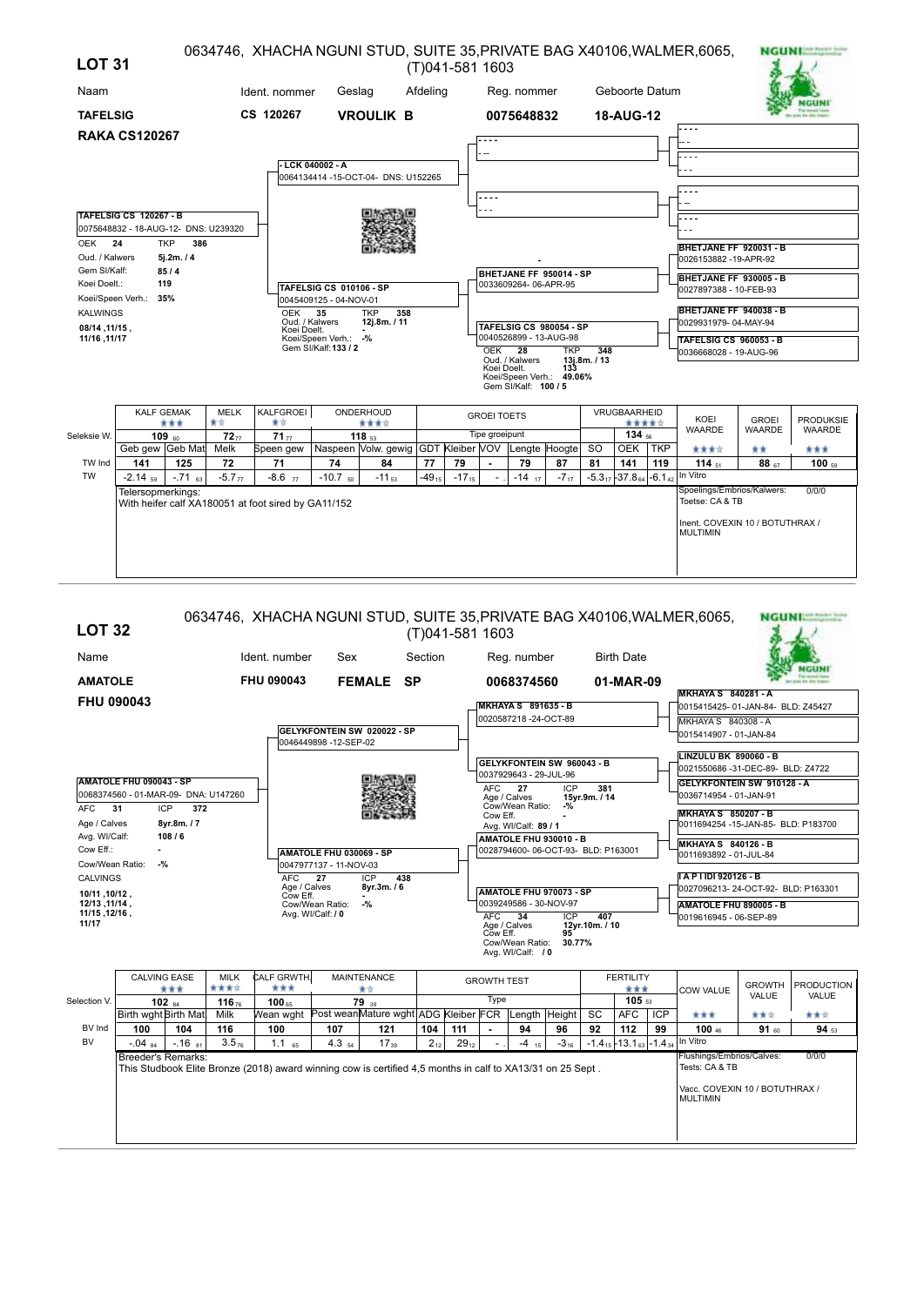| <b>LOT 31</b>                        |                                                                       |                                 |                        |                                                     |                                              |                                                   |            | (T)041-581 1603 |                    |                                        |                                      |            |                                        |            | 0634746, XHACHA NGUNI STUD, SUITE 35, PRIVATE BAG X40106, WALMER, 6065, |               | <b>NGUNIMANT</b> |
|--------------------------------------|-----------------------------------------------------------------------|---------------------------------|------------------------|-----------------------------------------------------|----------------------------------------------|---------------------------------------------------|------------|-----------------|--------------------|----------------------------------------|--------------------------------------|------------|----------------------------------------|------------|-------------------------------------------------------------------------|---------------|------------------|
| Naam                                 |                                                                       |                                 |                        | Ident. nommer                                       | Geslag                                       |                                                   | Afdeling   |                 |                    | Reg. nommer                            |                                      |            | Geboorte Datum                         |            |                                                                         |               |                  |
| <b>TAFELSIG</b>                      |                                                                       |                                 |                        | CS 120267                                           |                                              | <b>VROULIK B</b>                                  |            |                 |                    | 0075648832                             |                                      |            | 18-AUG-12                              |            |                                                                         |               |                  |
|                                      | <b>RAKA CS120267</b>                                                  |                                 |                        |                                                     |                                              |                                                   |            |                 |                    |                                        |                                      |            |                                        |            | .                                                                       |               |                  |
|                                      |                                                                       |                                 |                        |                                                     | LCK 040002 - A                               |                                                   |            |                 |                    |                                        |                                      |            |                                        |            |                                                                         |               |                  |
|                                      |                                                                       |                                 |                        |                                                     |                                              | 0064134414 -15-OCT-04- DNS: U152265               |            |                 |                    |                                        |                                      |            |                                        |            |                                                                         |               |                  |
|                                      |                                                                       |                                 |                        |                                                     |                                              |                                                   |            |                 | .                  |                                        |                                      |            |                                        |            |                                                                         |               |                  |
|                                      | <b>TAFELSIG CS 120267 - B</b><br>0075648832 - 18-AUG-12- DNS: U239320 |                                 |                        |                                                     |                                              |                                                   |            |                 |                    |                                        |                                      |            |                                        |            |                                                                         |               |                  |
| OEK <sub>24</sub><br>Oud. / Kalwers  |                                                                       | <b>TKP</b><br>386<br>5j.2m. / 4 |                        |                                                     |                                              |                                                   |            |                 |                    |                                        |                                      |            |                                        |            | BHETJANE FF 920031 - B<br>0026153882 -19-APR-92                         |               |                  |
| Gem SI/Kalf:<br>Koei Doelt.:         |                                                                       | 85/4<br>119                     |                        |                                                     | TAFELSIG CS 010106 - SP                      |                                                   |            |                 |                    | 0033609264-06-APR-95                   | BHETJANE FF 950014 - SP              |            |                                        |            | BHETJANE FF 930005 - B<br>0027897388 - 10-FEB-93                        |               |                  |
| Koei/Speen Verh.:<br><b>KALWINGS</b> |                                                                       | 35%                             |                        | <b>OEK</b>                                          | 0045409125 - 04-NOV-01<br>35                 | <b>TKP</b><br>358                                 |            |                 |                    |                                        |                                      |            |                                        |            | BHETJANE FF 940038 - B                                                  |               |                  |
| 08/14, 11/15,                        |                                                                       |                                 |                        | Oud. / Kalwers<br>Koei Doelt.                       |                                              | 12j.8m. / 11                                      |            |                 |                    |                                        | TAFELSIG CS 980054 - SP              |            |                                        |            | 0029931979-04-MAY-94                                                    |               |                  |
| 11/16, 11/17                         |                                                                       |                                 |                        |                                                     | Koei/Speen Verh.: -%<br>Gem SI/Kalf: 133 / 2 |                                                   |            |                 | OEK 28             |                                        | 0040526899 - 13-AUG-98<br><b>TKP</b> | 348        |                                        |            | <b>TAFELSIG CS 960053 - B</b><br>0036668028 - 19-AUG-96                 |               |                  |
|                                      |                                                                       |                                 |                        |                                                     |                                              |                                                   |            |                 | Koei Doelt.        | Oud. / Kalwers<br>Gem SI/Kalf: 100 / 5 | 133<br>Koei/Speen Verh.: 49.06%      | 13j.8m./13 |                                        |            |                                                                         |               |                  |
|                                      |                                                                       | <b>KALF GEMAK</b>               | <b>MELK</b>            | KALFGROEI                                           |                                              | ONDERHOUD                                         |            |                 | <b>GROEI TOETS</b> |                                        |                                      |            | VRUGBAARHEID                           |            | KOEI                                                                    | <b>GROEI</b>  | <b>PRODUKSIE</b> |
| Seleksie W.                          |                                                                       | ***<br>$109_{60}$               | 青青<br>72 <sub>77</sub> | 含食<br>71 <sub>77</sub>                              |                                              | ****<br>118 $53$                                  |            |                 | Tipe groeipunt     |                                        |                                      |            | *****<br>134 56                        |            | <b>WAARDE</b>                                                           | <b>WAARDE</b> | <b>WAARDE</b>    |
|                                      | Geb gew Geb Mat                                                       |                                 | Melk                   | Speen gew                                           |                                              | Naspeen Volw. gewig GDT Kleiber VOV Lengte Hoogte |            |                 |                    |                                        |                                      | <b>SO</b>  | <b>OEK</b>                             | <b>TKP</b> | 含食食食                                                                    | **            | ***              |
| TW Ind                               | 141                                                                   | 125                             | 72                     | 71                                                  | 74                                           | 84                                                | 77         | 79              | $\blacksquare$     | 79                                     | 87                                   | 81         | 141                                    | 119        | 114 $51$                                                                | $88_{57}$     | $100_{59}$       |
| <b>TW</b>                            | $-2.14$ <sub>59</sub>                                                 | $-.71$ 63                       | $-5.777$               | $-8.6$ $77$                                         | $-10.7$ <sub>50</sub>                        | $-11_{53}$                                        | $-49_{15}$ | $-17_{15}$      |                    | $-14$ <sub>17</sub>                    | $-7.7$                               |            | $-5.3_{17}$ -37.8 $_{64}$ -6.1 $_{42}$ |            | In Vitro<br>Spoelings/Embrios/Kalwers:                                  |               | 0/0/0            |
|                                      | Telersopmerkings:                                                     |                                 |                        | With heifer calf XA180051 at foot sired by GA11/152 |                                              |                                                   |            |                 |                    |                                        |                                      |            |                                        |            | Toetse: CA & TB                                                         |               |                  |
|                                      |                                                                       |                                 |                        |                                                     |                                              |                                                   |            |                 |                    |                                        |                                      |            |                                        |            | Inent. COVEXIN 10 / BOTUTHRAX /<br><b>MULTIMIN</b>                      |               |                  |
|                                      |                                                                       |                                 |                        |                                                     |                                              |                                                   |            |                 |                    |                                        |                                      |            |                                        |            |                                                                         |               |                  |

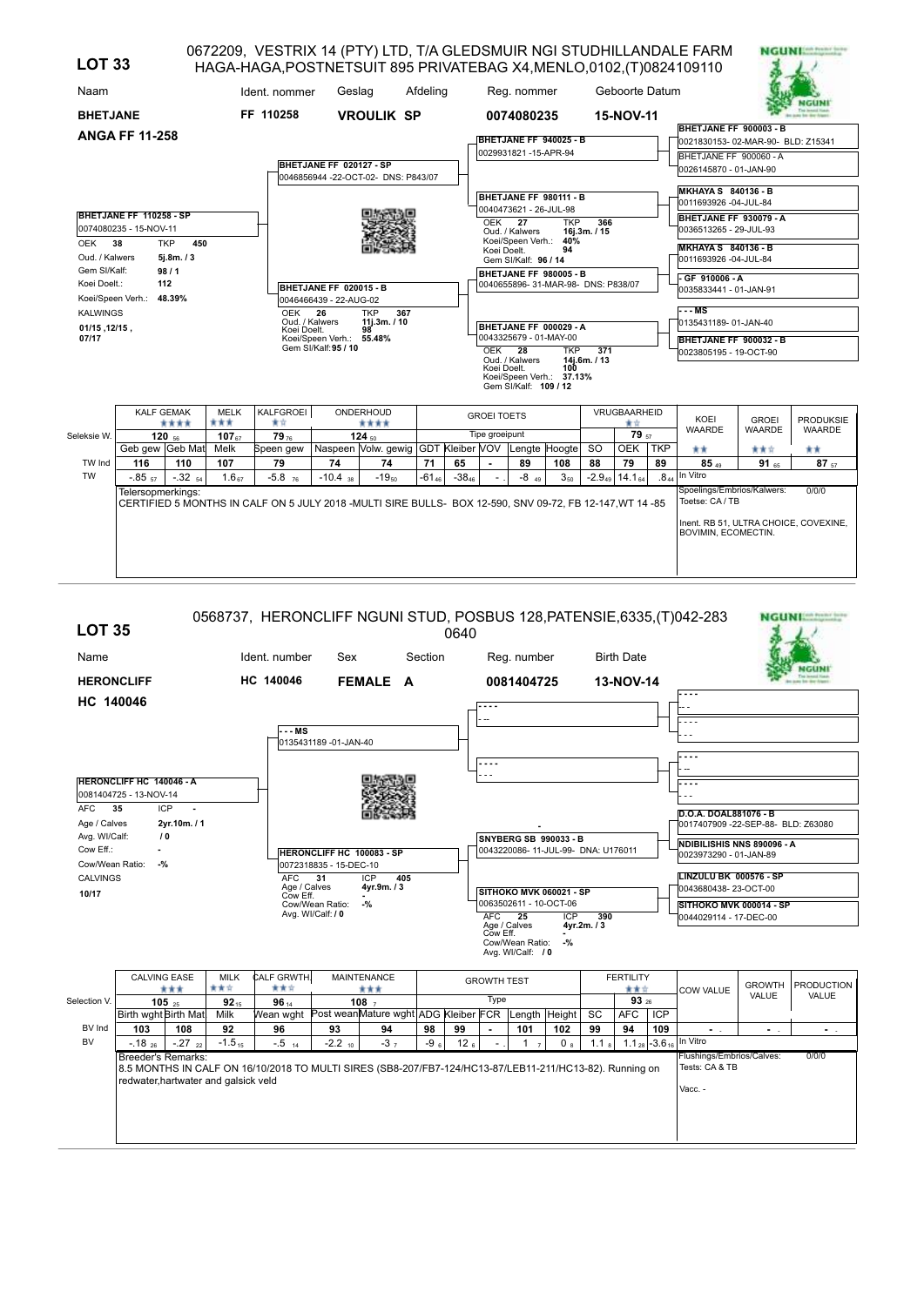| <b>LOT 33</b>                |                                              |                               |                    | HAGA-HAGA, POSTNETSUIT 895 PRIVATEBAG X4, MENLO, 0102, (T) 0824109110                                    |                                                                        |                                           |            |            |                    |                                                              |            |                                  |                          |                  | 0672209, VESTRIX 14 (PTY) LTD, T/A GLEDSMUIR NGI STUDHILLANDALE FARM |                  | <b>NGUNIER</b> NAME IN STR                     |
|------------------------------|----------------------------------------------|-------------------------------|--------------------|----------------------------------------------------------------------------------------------------------|------------------------------------------------------------------------|-------------------------------------------|------------|------------|--------------------|--------------------------------------------------------------|------------|----------------------------------|--------------------------|------------------|----------------------------------------------------------------------|------------------|------------------------------------------------|
| Naam                         |                                              |                               |                    | Ident. nommer                                                                                            | Geslag                                                                 |                                           | Afdeling   |            |                    | Reg. nommer                                                  |            |                                  | Geboorte Datum           |                  |                                                                      |                  |                                                |
| <b>BHETJANE</b>              |                                              |                               |                    | FF 110258                                                                                                |                                                                        | <b>VROULIK SP</b>                         |            |            |                    | 0074080235                                                   |            |                                  | 15-NOV-11                |                  |                                                                      |                  |                                                |
|                              | <b>ANGA FF 11-258</b>                        |                               |                    |                                                                                                          |                                                                        |                                           |            |            |                    | BHETJANE FF 940025 - B                                       |            |                                  |                          |                  | BHETJANE FF 900003 - B<br>0021830153-02-MAR-90- BLD: Z15341          |                  |                                                |
|                              |                                              |                               |                    |                                                                                                          | BHETJANE FF 020127 - SP                                                | 0046856944 -22-OCT-02- DNS: P843/07       |            |            |                    | 0029931821-15-APR-94                                         |            |                                  |                          |                  | BHETJANE FF 900060 - A<br>0026145870 - 01-JAN-90                     |                  |                                                |
|                              | BHETJANE FF 110258 - SP                      |                               |                    |                                                                                                          |                                                                        |                                           |            |            |                    | BHETJANE FF 980111 - B<br>0040473621 - 26-JUL-98             |            |                                  |                          |                  | <b>MKHAYA S 840136 - B</b><br>0011693926 -04-JUL-84                  |                  |                                                |
|                              | 0074080235 - 15-NOV-11                       |                               |                    |                                                                                                          |                                                                        |                                           |            |            | OEK 27             | Oud. / Kalwers<br>Koei/Speen Verh.: 40%                      | <b>TKP</b> | 366<br>16i.3m. / 15              |                          |                  | BHETJANE FF 930079 - A<br>0036513265 - 29-JUL-93                     |                  |                                                |
| <b>OEK</b><br>Oud. / Kalwers | 38                                           | <b>TKP</b><br>450<br>5j.8m./3 |                    |                                                                                                          |                                                                        |                                           |            |            | Koei Doelt.        | Gem SI/Kalf: 96 / 14                                         | 94         |                                  |                          |                  | <b>MKHAYA S 840136 - B</b><br>0011693926 -04-JUL-84                  |                  |                                                |
| Gem SI/Kalf:<br>Koei Doelt.: |                                              | 98/1<br>112                   |                    |                                                                                                          | BHETJANE FF 020015 - B<br>0046466439 - 22-AUG-02                       |                                           |            |            |                    | BHETJANE FF 980005 - B<br>0040655896-31-MAR-98- DNS: P838/07 |            |                                  |                          |                  | GF 910006 - A<br>0035833441 - 01-JAN-91                              |                  |                                                |
| <b>KALWINGS</b><br>07/17     | Koei/Speen Verh.:<br>48.39%<br>01/15, 12/15, |                               |                    |                                                                                                          | OEK<br>26<br>Oud. / Kalwers<br>Koei Doelt.<br>Koei/Speen Verh.: 55.48% | <b>TKP</b><br>367<br>11i.3m. / 10<br>98   |            |            |                    | BHETJANE FF 000029 - A<br>0043325679 - 01-MAY-00             |            |                                  |                          |                  | --- MS<br>0135431189- 01-JAN-40                                      |                  |                                                |
|                              |                                              |                               |                    |                                                                                                          | Gem SI/Kalf: 95 / 10                                                   |                                           |            |            | OEK                | $\overline{28}$<br>Oud. / Kalwers                            | <b>TKP</b> | $\overline{371}$<br>14j.6m. / 13 |                          |                  | BHETJANE FF 900032 - B<br>0023805195 - 19-OCT-90                     |                  |                                                |
|                              |                                              |                               |                    |                                                                                                          |                                                                        |                                           |            |            | Koei Doelt.        | Koei/Speen Verh.: 37.13%<br>Gem SI/Kalf: 109 / 12            | 100        |                                  |                          |                  |                                                                      |                  |                                                |
|                              | <b>KALF GEMAK</b>                            | ****                          | <b>MELK</b><br>*** | KALFGROEI<br>含食                                                                                          |                                                                        | ONDERHOUD<br>****                         |            |            | <b>GROEI TOETS</b> |                                                              |            |                                  | VRUGBAARHEID<br>★☆       |                  | KOEI                                                                 | <b>GROEI</b>     | <b>PRODUKSIE</b>                               |
| Seleksie W.                  |                                              | 120 $56$                      | 107 $_{67}$        | 79 <sub>76</sub>                                                                                         |                                                                        | $124_{50}$                                |            |            | Tipe groeipunt     |                                                              |            |                                  | 79 57                    |                  | <b>WAARDE</b>                                                        | <b>WAARDE</b>    | <b>WAARDE</b>                                  |
| TW Ind                       | Geb gew Geb Mat<br>116                       | 110                           | Melk<br>107        | Speen gew<br>79                                                                                          | 74                                                                     | Naspeen Volw. gewig GDT Kleiber VOV<br>74 | 71         | 65         |                    | Lengte Hoogte<br>89                                          | 108        | <sub>SO</sub><br>88              | <b>OEK</b><br>79         | <b>TKP</b><br>89 | **<br>85A                                                            | ***<br>$91_{65}$ | **<br>87 57                                    |
| <b>TW</b>                    | $-0.85$ <sub>57</sub>                        | $-.32$ 54                     | $1.6_{67}$         | $-5.8$ <sub>76</sub>                                                                                     | $-10.4$ <sub>38</sub>                                                  | $-19_{50}$                                | $-61_{46}$ | $-38_{46}$ |                    | $-8$ 49                                                      | $3_{50}$   |                                  | $-2.9_{49}$ 14.1 $_{64}$ | .8 <sub>44</sub> | In Vitro                                                             |                  |                                                |
|                              | Telersopmerkings:                            |                               |                    | CERTIFIED 5 MONTHS IN CALF ON 5 JULY 2018 -MULTI SIRE BULLS- BOX 12-590, SNV 09-72, FB 12-147, WT 14 -85 |                                                                        |                                           |            |            |                    |                                                              |            |                                  |                          |                  | Spoelings/Embrios/Kalwers:<br>Toetse: CA / TB<br>BOVIMIN, ECOMECTIN. |                  | 0/0/0<br>Inent. RB 51, ULTRA CHOICE, COVEXINE, |

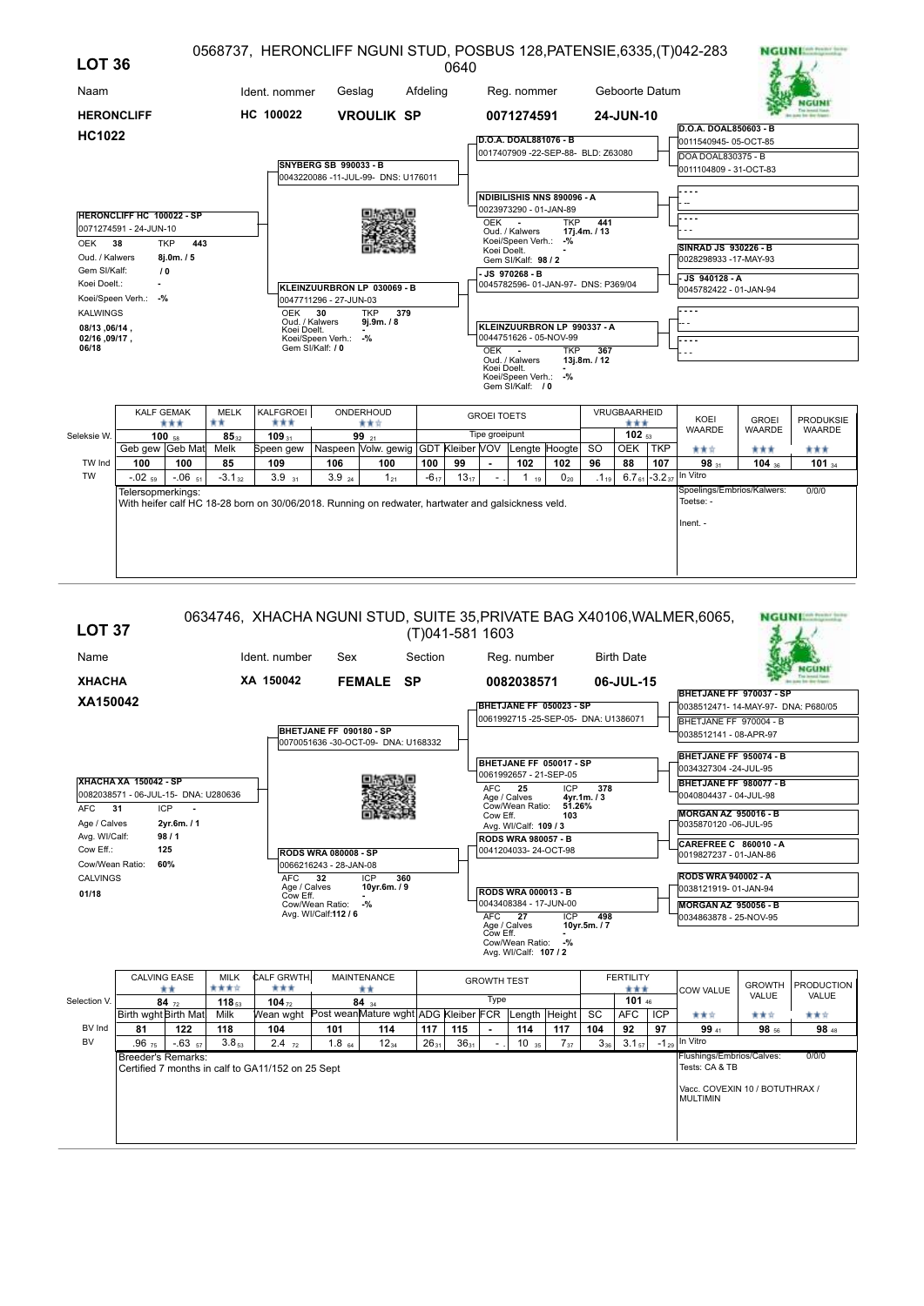| <b>LOT 36</b>                  |                                  |                   |                 | 0568737, HERONCLIFF NGUNI STUD, POSBUS 128, PATENSIE, 6335, (T) 042-283                            |                              |                                     |           | 0640      |                    |                                                            |            |                     |                          |                               |                                               |               | <b>NGUNIAN PORT WAY</b> |
|--------------------------------|----------------------------------|-------------------|-----------------|----------------------------------------------------------------------------------------------------|------------------------------|-------------------------------------|-----------|-----------|--------------------|------------------------------------------------------------|------------|---------------------|--------------------------|-------------------------------|-----------------------------------------------|---------------|-------------------------|
| Naam                           |                                  |                   |                 | Ident. nommer                                                                                      | Geslag                       |                                     | Afdeling  |           |                    | Reg. nommer                                                |            |                     | Geboorte Datum           |                               |                                               |               |                         |
| <b>HERONCLIFF</b>              |                                  |                   |                 | HC 100022                                                                                          |                              | <b>VROULIK SP</b>                   |           |           |                    | 0071274591                                                 |            |                     | 24-JUN-10                |                               |                                               |               |                         |
| <b>HC1022</b>                  |                                  |                   |                 |                                                                                                    |                              |                                     |           |           |                    | D.O.A. DOAL881076 - B                                      |            |                     |                          |                               | D.O.A. DOAL850603 - B<br>0011540945-05-OCT-85 |               |                         |
|                                |                                  |                   |                 |                                                                                                    |                              |                                     |           |           |                    | 0017407909 -22-SEP-88- BLD: Z63080                         |            |                     |                          |                               | DOA DOAL830375 - B                            |               |                         |
|                                |                                  |                   |                 |                                                                                                    | <b>SNYBERG SB 990033 - B</b> |                                     |           |           |                    |                                                            |            |                     |                          |                               | 0011104809 - 31-OCT-83                        |               |                         |
|                                |                                  |                   |                 |                                                                                                    |                              | 0043220086 -11-JUL-99- DNS: U176011 |           |           |                    |                                                            |            |                     |                          |                               |                                               |               |                         |
|                                |                                  |                   |                 |                                                                                                    |                              |                                     |           |           |                    | NDIBILISHIS NNS 890096 - A                                 |            |                     |                          |                               |                                               |               |                         |
|                                | <b>HERONCLIFF HC 100022 - SP</b> |                   |                 |                                                                                                    |                              |                                     |           |           |                    | 0023973290 - 01-JAN-89                                     |            |                     |                          |                               |                                               |               |                         |
|                                | 0071274591 - 24-JUN-10           |                   |                 |                                                                                                    |                              |                                     |           |           | OEK                | $\sim$<br>Oud. / Kalwers                                   | <b>TKP</b> | 441<br>17j.4m. / 13 |                          |                               |                                               |               |                         |
| OEK 38                         |                                  | <b>TKP</b><br>443 |                 |                                                                                                    |                              |                                     |           |           |                    | Koei/Speen Verh.: -%                                       |            |                     |                          |                               | SINRAD JS 930226 - B                          |               |                         |
| Oud. / Kalwers                 |                                  | 8j.0m. / 5        |                 |                                                                                                    |                              |                                     |           |           | Koei Doelt.        | Gem SI/Kalf: 98 / 2                                        |            |                     |                          |                               | 0028298933 -17-MAY-93                         |               |                         |
| Gem SI/Kalf:                   |                                  | 10                |                 |                                                                                                    |                              |                                     |           |           |                    | JS 970268 - B                                              |            |                     |                          |                               | - JS 940128 - A                               |               |                         |
| Koei Doelt.:                   |                                  |                   |                 |                                                                                                    |                              | KLEINZUURBRON LP 030069 - B         |           |           |                    | 0045782596-01-JAN-97- DNS: P369/04                         |            |                     |                          |                               | 0045782422 - 01-JAN-94                        |               |                         |
|                                | Koei/Speen Verh.: -%             |                   |                 |                                                                                                    | 0047711296 - 27-JUN-03       |                                     |           |           |                    |                                                            |            |                     |                          |                               |                                               |               |                         |
| <b>KALWINGS</b>                |                                  |                   |                 | OEK<br>Oud. / Kalwers                                                                              | 30                           | <b>TKP</b><br>379<br>9j.9m. / 8     |           |           |                    |                                                            |            |                     |                          |                               |                                               |               |                         |
| 08/13, 06/14,<br>02/16, 09/17, |                                  |                   |                 | Koei Doelt.                                                                                        | Koei/Speen Verh.:            | $-$ %                               |           |           |                    | KLEINZUURBRON LP 990337 - A<br>0044751626 - 05-NOV-99      |            |                     |                          |                               |                                               |               |                         |
| 06/18                          |                                  |                   |                 |                                                                                                    | Gem SI/Kalf: / 0             |                                     |           |           | OEK -              |                                                            | <b>TKP</b> | 367                 |                          |                               |                                               |               |                         |
|                                |                                  |                   |                 |                                                                                                    |                              |                                     |           |           | Koei Doelt.        | Oud. / Kalwers<br>Koei/Speen Verh.: -%<br>Gem SI/Kalf: / 0 |            | 13j.8m. / 12        |                          |                               |                                               |               |                         |
|                                | <b>KALF GEMAK</b>                |                   | MELK            | KALFGROEI                                                                                          |                              | ONDERHOUD                           |           |           | <b>GROEI TOETS</b> |                                                            |            |                     | VRUGBAARHEID             |                               | KOEI                                          | <b>GROEI</b>  | <b>PRODUKSIE</b>        |
| Seleksie W.                    |                                  | ***<br>$100_{58}$ | **<br>$85_{32}$ | ***<br>109                                                                                         |                              | ***<br>99 $21$                      |           |           | Tipe groeipunt     |                                                            |            |                     | ***<br>102 <sub>53</sub> |                               | <b>WAARDE</b>                                 | <b>WAARDE</b> | <b>WAARDE</b>           |
|                                | Geb gew Geb Mat                  |                   | Melk            | Speen gew   Naspeen   Volw. gewig   GDT   Kleiber   VOV   Lengte   Hoogte                          |                              |                                     |           |           |                    |                                                            |            | <b>SO</b>           | OEK TKP                  |                               | ★★☆                                           | ***           | ***                     |
| TW Ind                         | 100                              | 100               | 85              | 109                                                                                                | 106                          | 100                                 | 100       | 99        |                    | 102                                                        | 102        | 96                  | 88                       | 107                           | 98                                            | 104 $36$      | 101 $_{34}$             |
| <b>TW</b>                      | $-0.02$ <sub>59</sub>            | $-.0651$          | $-3.132$        | 3.9 <sub>31</sub>                                                                                  | 3.9 <sub>24</sub>            | $1_{21}$                            | $-6_{17}$ | $13_{17}$ |                    | 1 <sub>19</sub>                                            | $0_{20}$   | $.1_{19}$           |                          | $6.7_{61}$ -3.2 <sub>37</sub> | In Vitro                                      |               |                         |
|                                | Telersopmerkings:                |                   |                 | With heifer calf HC 18-28 born on 30/06/2018. Running on redwater, hartwater and galsickness veld. |                              |                                     |           |           |                    |                                                            |            |                     |                          |                               | Spoelings/Embrios/Kalwers:<br>Toetse: -       |               | 0/0/0                   |
|                                |                                  |                   |                 |                                                                                                    |                              |                                     |           |           |                    |                                                            |            |                     |                          |                               | Inent. -                                      |               |                         |
|                                |                                  |                   |                 |                                                                                                    |                              |                                     |           |           |                    |                                                            |            |                     |                          |                               |                                               |               |                         |
|                                |                                  |                   |                 |                                                                                                    |                              |                                     |           |           |                    |                                                            |            |                     |                          |                               |                                               |               |                         |
|                                |                                  |                   |                 |                                                                                                    |                              |                                     |           |           |                    |                                                            |            |                     |                          |                               |                                               |               |                         |

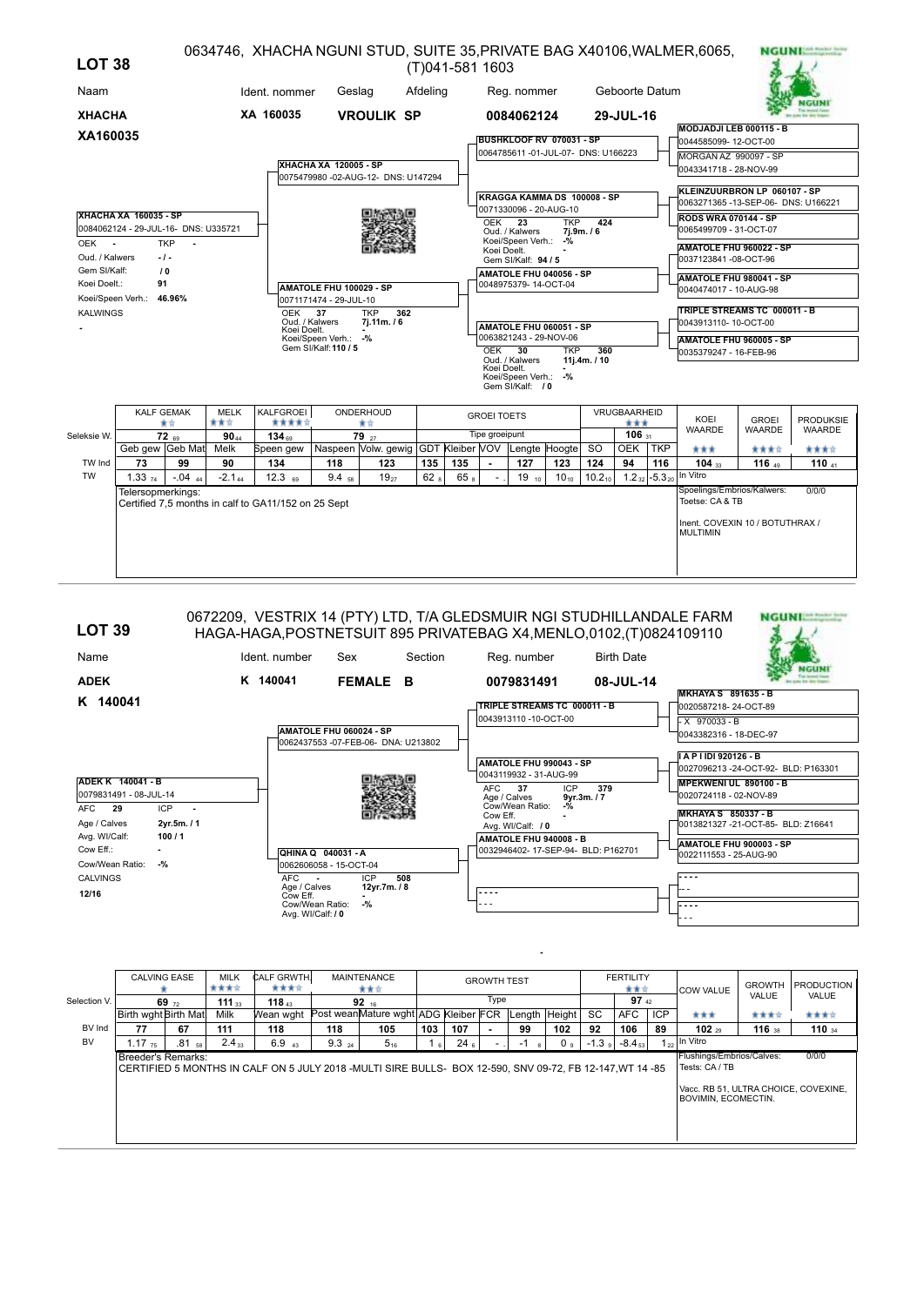| Geboorte Datum<br>Naam<br>Ident. nommer<br>Afdeling<br>Geslag<br>Reg. nommer<br>XA 160035<br><b>XHACHA</b><br><b>VROULIK SP</b><br>0084062124<br>29-JUL-16<br>MODJADJI LEB 000115 - B<br>XA160035<br><b>BUSHKLOOF RV 070031 - SP</b><br>0044585099-12-OCT-00<br>0064785611 -01-JUL-07- DNS: U166223<br>MORGAN AZ 990097 - SP<br><b>XHACHA XA 120005 - SP</b><br>0043341718 - 28-NOV-99<br>0075479980 -02-AUG-12- DNS: U147294<br>KLEINZUURBRON LP 060107 - SP<br>KRAGGA KAMMA DS 100008 - SP<br>0063271365-13-SEP-06- DNS: U166221<br>0071330096 - 20-AUG-10<br><b>XHACHA XA 160035 - SP</b><br><b>RODS WRA 070144 - SP</b><br>424<br>OEK 23<br><b>TKP</b> |                  |
|------------------------------------------------------------------------------------------------------------------------------------------------------------------------------------------------------------------------------------------------------------------------------------------------------------------------------------------------------------------------------------------------------------------------------------------------------------------------------------------------------------------------------------------------------------------------------------------------------------------------------------------------------------|------------------|
|                                                                                                                                                                                                                                                                                                                                                                                                                                                                                                                                                                                                                                                            |                  |
|                                                                                                                                                                                                                                                                                                                                                                                                                                                                                                                                                                                                                                                            |                  |
|                                                                                                                                                                                                                                                                                                                                                                                                                                                                                                                                                                                                                                                            |                  |
|                                                                                                                                                                                                                                                                                                                                                                                                                                                                                                                                                                                                                                                            |                  |
|                                                                                                                                                                                                                                                                                                                                                                                                                                                                                                                                                                                                                                                            |                  |
|                                                                                                                                                                                                                                                                                                                                                                                                                                                                                                                                                                                                                                                            |                  |
| 0084062124 - 29-JUL-16- DNS: U335721<br>0065499709 - 31-OCT-07<br>Oud. / Kalwers<br>7i.9m./6                                                                                                                                                                                                                                                                                                                                                                                                                                                                                                                                                               |                  |
| Koei/Speen Verh.: -%<br>OEK -<br><b>TKP</b><br>$\blacksquare$<br>AMATOLE FHU 960022 - SP<br>Koei Doelt.<br>$-1-$<br>Oud. / Kalwers<br>0037123841 -08-OCT-96<br>Gem SI/Kalf: 94 / 5<br>Gem SI/Kalf:                                                                                                                                                                                                                                                                                                                                                                                                                                                         |                  |
| 10<br>AMATOLE FHU 040056 - SP<br>AMATOLE FHU 980041 - SP<br>91<br>Koei Doelt.:<br>0048975379-14-OCT-04<br>AMATOLE FHU 100029 - SP<br>0040474017 - 10-AUG-98<br>Koei/Speen Verh.: 46.96%                                                                                                                                                                                                                                                                                                                                                                                                                                                                    |                  |
| 0071171474 - 29-JUL-10<br>TRIPLE STREAMS TC 000011 - B<br><b>KALWINGS</b><br><b>OEK</b><br>37<br><b>TKP</b><br>362<br>Oud. / Kalwers<br>7j.11m./6<br>0043913110- 10-OCT-00<br>AMATOLE FHU 060051 - SP<br>Koei Doelt.                                                                                                                                                                                                                                                                                                                                                                                                                                       |                  |
| 0063821243 - 29-NOV-06<br>Koei/Speen Verh.: -%<br>AMATOLE FHU 960005 - SP<br>Gem SI/Kalf: 110 / 5<br>$OEK$ 30<br><b>TKP</b><br>360<br>0035379247 - 16-FEB-96<br>Oud. / Kalwers<br>$11i.4m.$ / 10                                                                                                                                                                                                                                                                                                                                                                                                                                                           |                  |
| Koei Doelt.<br>Koei/Speen Verh.: -%<br>Gem SI/Kalf: / 0                                                                                                                                                                                                                                                                                                                                                                                                                                                                                                                                                                                                    |                  |
| <b>KALFGROEI</b><br>ONDERHOUD<br><b>KALF GEMAK</b><br><b>MELK</b><br><b>VRUGBAARHEID</b><br><b>GROEI TOETS</b><br><b>GROEI</b><br>KOEI<br>***<br>*****<br>青青<br>★☆<br>***                                                                                                                                                                                                                                                                                                                                                                                                                                                                                  | <b>PRODUKSIE</b> |
| <b>WAARDE</b><br><b>WAARDE</b><br>Tipe groeipunt<br>106 31<br>Seleksie W.<br>$72$ $69$<br>9044<br>134 $_{69}$<br>$79_{27}$                                                                                                                                                                                                                                                                                                                                                                                                                                                                                                                                 | <b>WAARDE</b>    |
| Naspeen Volw. gewig GDT Kleiber VOV Lengte Hoogte<br><b>OEK</b><br>Geb gew Geb Mat<br><b>SO</b><br><b>TKP</b><br>Melk<br>Speen gew<br>****<br>***                                                                                                                                                                                                                                                                                                                                                                                                                                                                                                          | ****             |
| TW Ind<br>73<br>99<br>90<br>134<br>118<br>123<br>135<br>135<br>127<br>123<br>124<br>94<br>116<br>104 $33$<br>116 $49$<br>$\blacksquare$                                                                                                                                                                                                                                                                                                                                                                                                                                                                                                                    | 110 41           |
| $1.2_{32}$ -5.3 <sub>20</sub> In Vitro<br><b>TW</b><br>1.33 <sub>74</sub><br>$-.04$ 44<br>$12.3$ 69<br>$9.4_{58}$<br>62 <sub>a</sub><br>65 s<br>$10.2_{10}$<br>$-2.1_{44}$<br>$19_{27}$<br>$19_{10}$<br>$10_{10}$                                                                                                                                                                                                                                                                                                                                                                                                                                          |                  |
| Spoelings/Embrios/Kalwers:<br>Telersopmerkings:<br>Toetse: CA & TB<br>Certified 7,5 months in calf to GA11/152 on 25 Sept                                                                                                                                                                                                                                                                                                                                                                                                                                                                                                                                  | 0/0/0            |
| Inent. COVEXIN 10 / BOTUTHRAX /<br><b>MULTIMIN</b>                                                                                                                                                                                                                                                                                                                                                                                                                                                                                                                                                                                                         |                  |

## 0672209, VESTRIX 14 (PTY) LTD, T/A GLEDSMUIR NGI STUDHILLANDALE FARM **NGUNESS SERVICE LOT 39** HAGA-HAGA,POSTNETSUIT 895 PRIVATEBAG X4,MENLO,0102,(T)0824109110 Name Ident. number Sex Section Reg. number Birth Date Sex **NGUNI K 140041 FEMALE B 0079831491 08-JUL-14 ADEK MKHAYA S 891635 - B K 140041 TRIPLE STREAMS TC 000011 - B** 0020587218- 24-OCT-89 0043913110 -10-OCT-00  $\overline{\times 970033 - B}$ **AMATOLE FHU 060024 - SP** 0043382316 - 18-DEC-97 0062437553 -07-FEB-06- DNA: U213802 **I A P I IDI 920126 - B AMATOLE FHU 990043 - SP** 0027096213 -24-OCT-92- BLD: P163301 0043119932 - 31-AUG-99 **ADEK K 140041 - B MPEKWENI UL 890100 - B** or **379**<br>**9yr.3m.** / 7<br>-% 0079831491 - 08-JUL-14 AFC Age / Calves **9yr.3m. / 7 37** 0020724118 - 02-NOV-89 **AFC 29 ICP** Cow Eff. **-** Cow/Wean Ratio: **-% MKHAYA S 850337 - B** 0013821327 -21-OCT-85- BLD: Z16641 Age / Calves **2yr.5m. / 1** Avg. WI/Calf: / 0 Avg. WI/Calf: **100 / 1 AMATOLE FHU 940008 - B** 0032946402- 17-SEP-94- BLD: P162701 **AMATOLE FHU 900003 - SP** Cow Eff.: **- QHINA Q 040031 - A** 0022111553 - 25-AUG-90 Cow/Wean Ratio: **-%** 0062606058 - 15-OCT-04 CALVINGS ICP **508 - - - -** AFC **-** Age / Calves **12yr.7m. / 8** Cow Eff. **- 12/16**  -- - **- - - - -% - - - -** - - - Cow/Wean Ratio: Avg. WI/Calf: **/ 0** - - -

|              | <b>CALVING EASE</b>  |                   | <b>MILK</b><br>含食食食 | <b>CALF GRWTH.</b><br>含食食食 |                   | <b>MAINTENANCE</b><br>含食物                                                                                |                  |                 | <b>GROWTH TEST</b> |                    |               |           | <b>FERTILITY</b><br>青青宮                   |          | <b>COW VALUE</b>                                                                                                | <b>GROWTH</b>   | <b>PRODUCTION</b> |
|--------------|----------------------|-------------------|---------------------|----------------------------|-------------------|----------------------------------------------------------------------------------------------------------|------------------|-----------------|--------------------|--------------------|---------------|-----------|-------------------------------------------|----------|-----------------------------------------------------------------------------------------------------------------|-----------------|-------------------|
| Selection V. |                      | 69.72             | $111_{33}$          | $118_{43}$                 |                   | $92_{16}$                                                                                                |                  |                 | Type               |                    |               |           | 97 $_{42}$                                |          |                                                                                                                 | VALUE           | <b>VALUE</b>      |
|              | Birth wght Birth Mat |                   | Milk                |                            |                   | Wean wght Post weanMature wght ADG Kleiber FCR                                                           |                  |                 |                    |                    | Length Height | <b>SC</b> | AFC                                       | ICP      | ***                                                                                                             | 食食食食            | 青青青宮              |
| BV Ind       | 77                   | 67                | 111                 | 118                        | 118               | 105                                                                                                      | 103              | 107             | $\blacksquare$     | 99                 | 102           | 92        | 106                                       | 89       | $102 - 8$                                                                                                       | $116 \text{ m}$ | 110 $34$          |
| <b>BV</b>    | $1.17 \t{75}$        | .81 <sub>58</sub> | $2.4_{33}$          | 6.9 <sub>43</sub>          | 9.3 <sub>24</sub> | $5_{16}$                                                                                                 | $6 \overline{6}$ | 24 <sub>6</sub> |                    | -1<br>$\mathbf{a}$ | 0 s           |           | $-1.3$ $\frac{1}{9}$ $-8.4$ $\frac{5}{3}$ | $1_{22}$ | In Vitro                                                                                                        |                 |                   |
|              | Breeder's Remarks:   |                   |                     |                            |                   | CERTIFIED 5 MONTHS IN CALF ON 5 JULY 2018 -MULTI SIRE BULLS- BOX 12-590, SNV 09-72, FB 12-147, WT 14 -85 |                  |                 |                    |                    |               |           |                                           |          | Flushings/Embrios/Calves:<br>Tests: CA/TB<br>Vacc, RB 51, ULTRA CHOICE, COVEXINE.<br><b>BOVIMIN, ECOMECTIN,</b> |                 | 0/0/0             |
|              |                      |                   |                     |                            |                   |                                                                                                          |                  |                 |                    |                    |               |           |                                           |          |                                                                                                                 |                 |                   |

**-**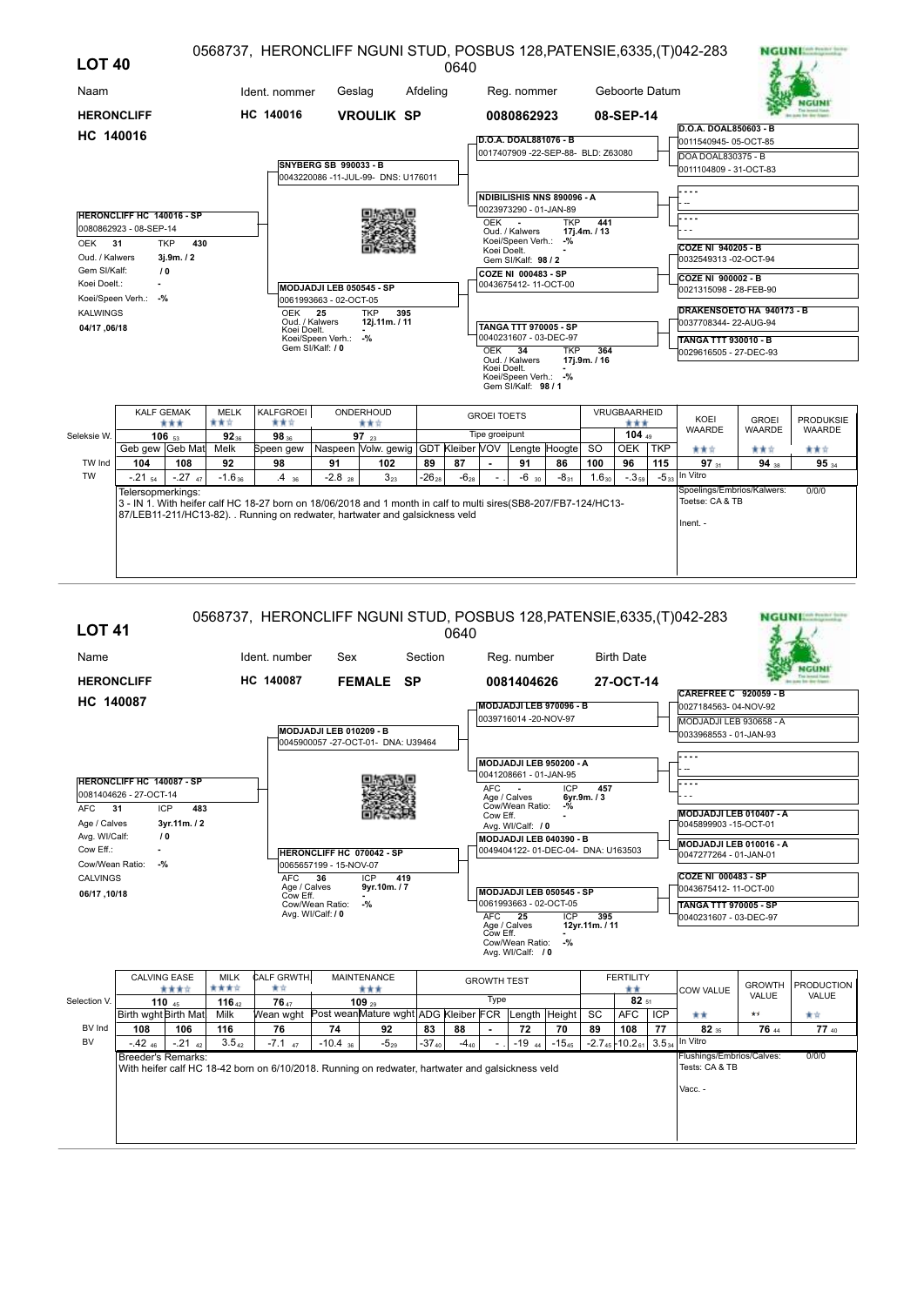| <b>LOT 40</b>     |                                                            |                   |                   | 0568737, HERONCLIFF NGUNI STUD, POSBUS 128, PATENSIE, 6335, (T) 042-283                                                                                                                         |                                          |                                                                 |            | 0640      |                    |                                             |                                    |                     |                 |     |                                                    | <b>NGUNI:</b>                 |                                   |
|-------------------|------------------------------------------------------------|-------------------|-------------------|-------------------------------------------------------------------------------------------------------------------------------------------------------------------------------------------------|------------------------------------------|-----------------------------------------------------------------|------------|-----------|--------------------|---------------------------------------------|------------------------------------|---------------------|-----------------|-----|----------------------------------------------------|-------------------------------|-----------------------------------|
| Naam              |                                                            |                   |                   | Ident. nommer                                                                                                                                                                                   | Geslag                                   |                                                                 | Afdeling   |           |                    | Reg. nommer                                 |                                    |                     | Geboorte Datum  |     |                                                    |                               |                                   |
| <b>HERONCLIFF</b> |                                                            |                   |                   | HC 140016                                                                                                                                                                                       |                                          | <b>VROULIK SP</b>                                               |            |           |                    | 0080862923                                  |                                    |                     | 08-SEP-14       |     |                                                    |                               |                                   |
| HC 140016         |                                                            |                   |                   |                                                                                                                                                                                                 |                                          |                                                                 |            |           |                    |                                             |                                    |                     |                 |     | D.O.A. DOAL850603 - B                              |                               |                                   |
|                   |                                                            |                   |                   |                                                                                                                                                                                                 |                                          |                                                                 |            |           |                    | D.O.A. DOAL881076 - B                       | 0017407909 -22-SEP-88- BLD: Z63080 |                     |                 |     | 0011540945-05-OCT-85                               |                               |                                   |
|                   |                                                            |                   |                   |                                                                                                                                                                                                 | <b>SNYBERG SB 990033 - B</b>             |                                                                 |            |           |                    |                                             |                                    |                     |                 |     | DOA DOAL830375 - B                                 |                               |                                   |
|                   |                                                            |                   |                   |                                                                                                                                                                                                 |                                          | 0043220086 -11-JUL-99- DNS: U176011                             |            |           |                    |                                             |                                    |                     |                 |     | 0011104809 - 31-OCT-83                             |                               |                                   |
|                   |                                                            |                   |                   |                                                                                                                                                                                                 |                                          |                                                                 |            |           |                    |                                             | NDIBILISHIS NNS 890096 - A         |                     |                 |     |                                                    |                               |                                   |
|                   |                                                            |                   |                   |                                                                                                                                                                                                 |                                          |                                                                 |            |           |                    | 0023973290 - 01-JAN-89                      |                                    |                     |                 |     |                                                    |                               |                                   |
|                   | <b>HERONCLIFF HC 140016 - SP</b><br>0080862923 - 08-SEP-14 |                   |                   |                                                                                                                                                                                                 |                                          |                                                                 |            |           | OEK                |                                             | <b>TKP</b>                         | 441                 |                 |     |                                                    |                               |                                   |
| OEK 31            |                                                            | <b>TKP</b><br>430 |                   |                                                                                                                                                                                                 |                                          |                                                                 |            |           |                    | Oud. / Kalwers<br>Koei/Speen Verh.: -%      |                                    | 17j.4m. / 13        |                 |     |                                                    |                               |                                   |
| Oud. / Kalwers    |                                                            | 3j.9m. / 2        |                   |                                                                                                                                                                                                 |                                          |                                                                 |            |           | Koei Doelt.        |                                             |                                    |                     |                 |     | <b>COZE NI 940205 - B</b><br>0032549313 -02-OCT-94 |                               |                                   |
| Gem SI/Kalf:      |                                                            | 10                |                   |                                                                                                                                                                                                 |                                          |                                                                 |            |           |                    | Gem SI/Kalf: 98 / 2<br>COZE NI 000483 - SP  |                                    |                     |                 |     |                                                    |                               |                                   |
| Koei Doelt.:      |                                                            |                   |                   |                                                                                                                                                                                                 | MODJADJI LEB 050545 - SP                 |                                                                 |            |           |                    | 0043675412-11-OCT-00                        |                                    |                     |                 |     | COZE NI 900002 - B<br>0021315098 - 28-FEB-90       |                               |                                   |
|                   | Koei/Speen Verh.: -%                                       |                   |                   |                                                                                                                                                                                                 | 0061993663 - 02-OCT-05                   |                                                                 |            |           |                    |                                             |                                    |                     |                 |     |                                                    |                               |                                   |
| <b>KALWINGS</b>   |                                                            |                   |                   | <b>OEK</b>                                                                                                                                                                                      | 25                                       | <b>TKP</b><br>395                                               |            |           |                    |                                             |                                    |                     |                 |     | DRAKENSOETO HA 940173 - B                          |                               |                                   |
| 04/17,06/18       |                                                            |                   |                   | Oud. / Kalwers<br>Koei Doelt.                                                                                                                                                                   |                                          | 12j.11m. / 11                                                   |            |           |                    | <b>TANGA TTT 970005 - SP</b>                |                                    |                     |                 |     | 0037708344-22-AUG-94                               |                               |                                   |
|                   |                                                            |                   |                   |                                                                                                                                                                                                 | Koei/Speen Verh.: -%<br>Gem SI/Kalf: / 0 |                                                                 |            |           |                    | 0040231607 - 03-DEC-97                      |                                    |                     |                 |     | <b>TANGA TTT 930010 - B</b>                        |                               |                                   |
|                   |                                                            |                   |                   |                                                                                                                                                                                                 |                                          |                                                                 |            |           | <b>OEK</b>         | 34<br>Oud. / Kalwers                        | <b>TKP</b>                         | 364<br>17j.9m. / 16 |                 |     | 0029616505 - 27-DEC-93                             |                               |                                   |
|                   |                                                            |                   |                   |                                                                                                                                                                                                 |                                          |                                                                 |            |           | Koei Doelt.        | Koei/Speen Verh.: -%<br>Gem SI/Kalf: 98 / 1 |                                    |                     |                 |     |                                                    |                               |                                   |
|                   | <b>KALF GEMAK</b>                                          |                   | <b>MELK</b>       | KALFGROEI                                                                                                                                                                                       |                                          | ONDERHOUD                                                       |            |           | <b>GROEI TOETS</b> |                                             |                                    |                     | VRUGBAARHEID    |     |                                                    |                               |                                   |
|                   |                                                            | ***               | 青黄☆               | ***                                                                                                                                                                                             |                                          | 青青宮                                                             |            |           | Tipe groeipunt     |                                             |                                    |                     | ***<br>104 $49$ |     | KOEI<br><b>WAARDE</b>                              | <b>GROEI</b><br><b>WAARDE</b> | <b>PRODUKSIE</b><br><b>WAARDE</b> |
| Seleksie W.       | Geb gew Geb Mat                                            | $106_{53}$        | $92_{36}$<br>Melk | 98 36<br>Speen gew                                                                                                                                                                              |                                          | 97 $_{23}$<br>Naspeen Volw. gewig GDT Kleiber VOV Lengte Hoogte |            |           |                    |                                             |                                    | <sub>SO</sub>       | OEK TKP         |     | 青青宮                                                | 青青宮                           | 青素女                               |
| TW Ind            | 104                                                        | 108               | 92                | 98                                                                                                                                                                                              | 91                                       | 102                                                             | 89         | 87        |                    | 91                                          | 86                                 | 100                 | 96              | 115 | 97 31                                              | 94 38                         | 95 34                             |
| <b>TW</b>         | $-.2154$                                                   | $-.27$ 47         | $-1.6_{36}$       | $.4_{36}$                                                                                                                                                                                       | $-2.8$ <sub>28</sub>                     | $3_{23}$                                                        | $-26_{28}$ | $-6_{28}$ |                    | $-6$ 30                                     | $-8_{31}$                          | $1.6_{30}$          | $-0.359$        |     | $-5_{33}$ In Vitro                                 |                               |                                   |
|                   | Telersopmerkings:                                          |                   |                   |                                                                                                                                                                                                 |                                          |                                                                 |            |           |                    |                                             |                                    |                     |                 |     | Spoelings/Embrios/Kalwers:<br>Toetse: CA & TB      |                               | 0/0/0                             |
|                   |                                                            |                   |                   | 3 - IN 1. With heifer calf HC 18-27 born on 18/06/2018 and 1 month in calf to multi sires(SB8-207/FB7-124/HC13-<br>87/LEB11-211/HC13-82). . Running on redwater, hartwater and galsickness veld |                                          |                                                                 |            |           |                    |                                             |                                    |                     |                 |     |                                                    |                               |                                   |
|                   |                                                            |                   |                   |                                                                                                                                                                                                 |                                          |                                                                 |            |           |                    |                                             |                                    |                     |                 |     | Inent. -                                           |                               |                                   |
|                   |                                                            |                   |                   |                                                                                                                                                                                                 |                                          |                                                                 |            |           |                    |                                             |                                    |                     |                 |     |                                                    |                               |                                   |
|                   |                                                            |                   |                   |                                                                                                                                                                                                 |                                          |                                                                 |            |           |                    |                                             |                                    |                     |                 |     |                                                    |                               |                                   |
|                   |                                                            |                   |                   |                                                                                                                                                                                                 |                                          |                                                                 |            |           |                    |                                             |                                    |                     |                 |     |                                                    |                               |                                   |

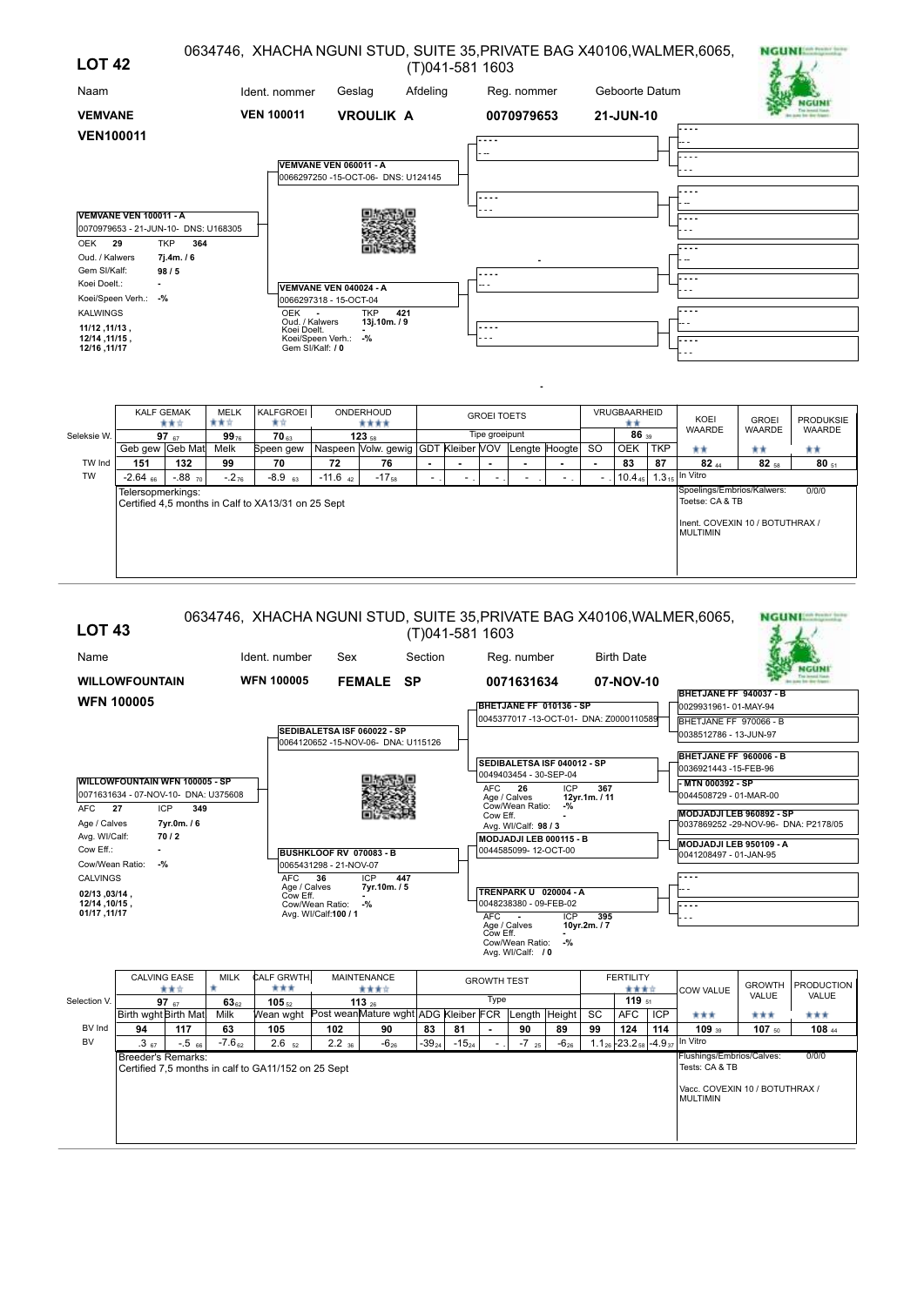| <b>LOT 42</b>                  |                                                                |                  |                    |                              |                             |                                     |          | (T)041-581 1603    |             |               |           |                                     |            | 0634746, XHACHA NGUNI STUD, SUITE 35, PRIVATE BAG X40106, WALMER, 6065, |                  | <b>NGUNITATION</b> |
|--------------------------------|----------------------------------------------------------------|------------------|--------------------|------------------------------|-----------------------------|-------------------------------------|----------|--------------------|-------------|---------------|-----------|-------------------------------------|------------|-------------------------------------------------------------------------|------------------|--------------------|
| Naam                           |                                                                |                  |                    | Ident. nommer                | Geslag                      |                                     | Afdeling |                    | Reg. nommer |               |           | Geboorte Datum                      |            |                                                                         |                  |                    |
| <b>VEMVANE</b>                 |                                                                |                  |                    | <b>VEN 100011</b>            |                             | <b>VROULIK A</b>                    |          |                    | 0070979653  |               |           | 21-JUN-10                           |            |                                                                         |                  |                    |
| <b>VEN100011</b>               |                                                                |                  |                    |                              |                             |                                     |          |                    |             |               |           |                                     |            |                                                                         |                  |                    |
|                                |                                                                |                  |                    |                              | VEMVANE VEN 060011 - A      |                                     |          |                    |             |               |           |                                     |            |                                                                         |                  |                    |
|                                |                                                                |                  |                    |                              |                             | 0066297250 -15-OCT-06- DNS: U124145 |          |                    |             |               |           |                                     |            |                                                                         |                  |                    |
|                                |                                                                |                  |                    |                              |                             |                                     |          | .                  |             |               |           |                                     |            |                                                                         |                  |                    |
|                                | VEMVANE VEN 100011 - A<br>0070979653 - 21-JUN-10- DNS: U168305 |                  |                    |                              |                             |                                     |          |                    |             |               |           |                                     |            |                                                                         |                  |                    |
| <b>OEK</b>                     | 29<br><b>TKP</b>                                               | 364              |                    |                              |                             |                                     |          |                    |             |               |           |                                     |            |                                                                         |                  |                    |
| Oud. / Kalwers<br>Gem SI/Kalf: |                                                                | 7j.4m./6         |                    |                              |                             |                                     |          |                    |             |               |           |                                     |            |                                                                         |                  |                    |
| Koei Doelt.:                   | 98/5                                                           |                  |                    |                              | VEMVANE VEN 040024 - A      |                                     |          |                    |             |               |           |                                     |            |                                                                         |                  |                    |
|                                | Koei/Speen Verh.: -%                                           |                  |                    |                              | 0066297318 - 15-OCT-04      |                                     |          |                    |             |               |           |                                     |            |                                                                         |                  |                    |
| <b>KALWINGS</b>                |                                                                |                  |                    | <b>OEK</b><br>Oud. / Kalwers |                             | <b>TKP</b><br>421<br>13j.10m./9     |          |                    |             |               |           |                                     |            |                                                                         |                  |                    |
| 11/12, 11/13,<br>12/14, 11/15, |                                                                |                  |                    | Koei Doelt.                  | Koei/Speen Verh.:           | $-$ %                               |          |                    |             |               |           |                                     |            |                                                                         |                  |                    |
| 11/17, 12/16                   |                                                                |                  |                    |                              | Gem SI/Kalf: / 0            |                                     |          |                    |             |               |           |                                     |            |                                                                         |                  |                    |
|                                |                                                                |                  |                    |                              |                             |                                     |          |                    |             |               |           |                                     |            |                                                                         |                  |                    |
|                                | <b>KALF GEMAK</b><br>★★☆                                       |                  | <b>MELK</b><br>青青宮 | KALFGROEI<br>含食              |                             | ONDERHOUD<br>****                   |          | <b>GROEI TOETS</b> |             |               |           | VRUGBAARHEID<br>**                  |            | KOEI                                                                    | <b>GROEI</b>     | <b>PRODUKSIE</b>   |
| Seleksie W.                    | 97 $67$                                                        |                  | $99_{76}$          | <b>70</b> <sub>63</sub>      |                             | $123_{58}$                          |          | Tipe groeipunt     |             |               |           | 86 39                               |            | <b>WAARDE</b>                                                           | <b>WAARDE</b>    | <b>WAARDE</b>      |
|                                | Geb gew Geb Mat                                                |                  | Melk               | Speen gew                    |                             | Naspeen Volw. gewig GDT Kleiber VOV |          |                    |             | Lengte Hoogte | <b>SO</b> | <b>OEK</b>                          | <b>TKP</b> | **                                                                      | **               | **                 |
| TW Ind<br><b>TW</b>            | 151<br>$-2.64$ 66                                              | 132<br>$-.88$ 70 | 99<br>$-.2_{76}$   | 70<br>$-8.9$ 63              | 72<br>$-11.6$ <sub>42</sub> | 76<br>$-17_{58}$                    |          |                    |             |               | ۰         | 83<br>$10.4_{45}$ 1.3 <sub>15</sub> | 87         | $82_{44}$<br>In Vitro                                                   | 82 <sub>58</sub> | $80_{51}$          |
|                                | Telersonmerkings:                                              |                  |                    |                              |                             |                                     |          |                    |             |               |           |                                     |            | Spoelings/Embrios/Kalwers:                                              |                  | 0/0/0              |

Telersopmerkings: Certified 4,5 months in Calf to XA13/31 on 25 Sept

0/0/0 Spoelings/Embrios/Kalwers:<br>Toetse: CA & TB Inent. COVEXIN 10 / BOTUTHRAX / MULTIMIN

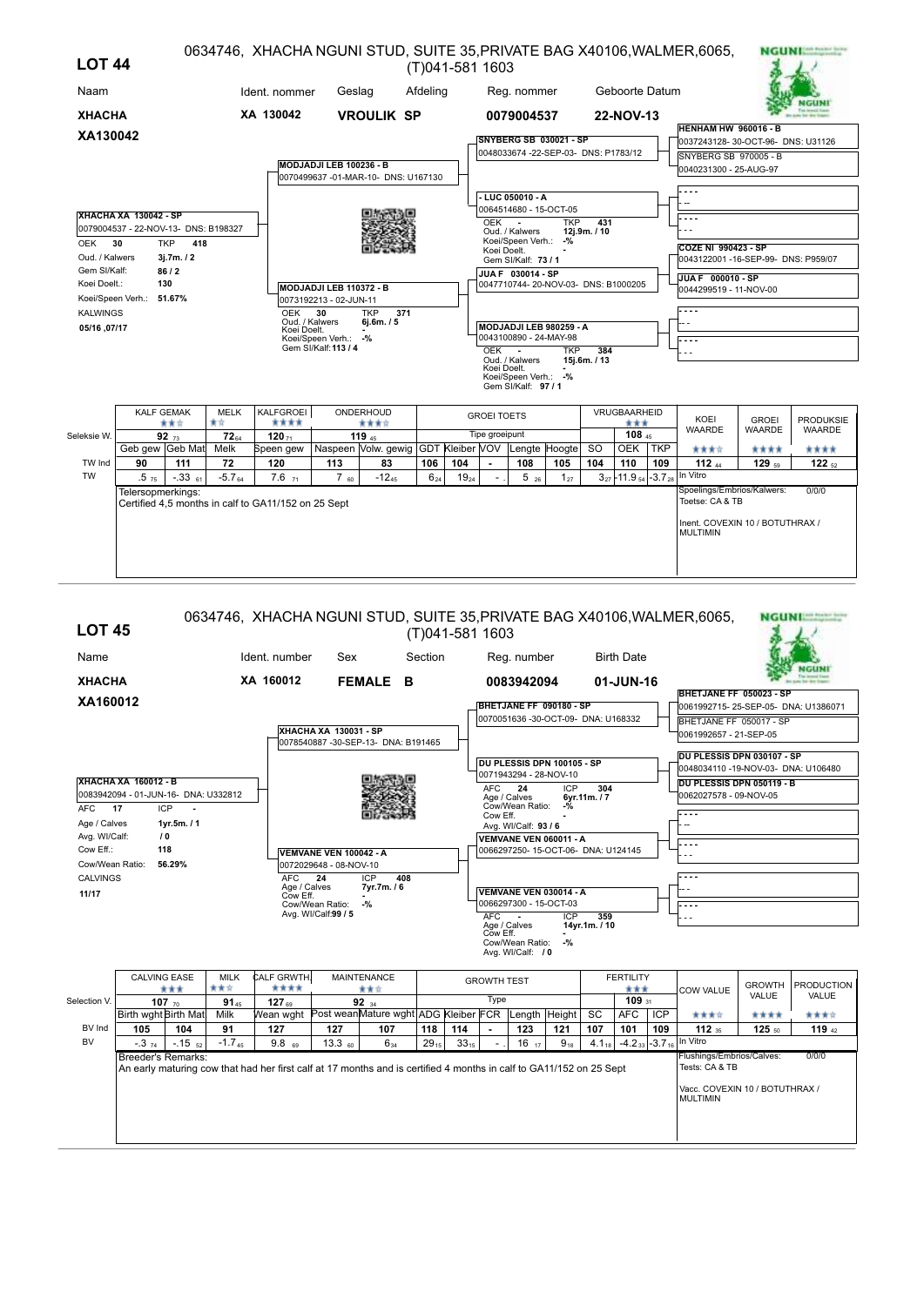| <b>LOT 44</b>                  |                                                                                                                                                                    |                    |                   |                                                                   |                         |                                                   |          | (T)041-581 1603 |                    |                                               |                                               |                     |                                       |     | 0634746, XHACHA NGUNI STUD, SUITE 35, PRIVATE BAG X40106, WALMER, 6065,                                         |                   | <b>NGUNI Seab Pressure Line</b> |
|--------------------------------|--------------------------------------------------------------------------------------------------------------------------------------------------------------------|--------------------|-------------------|-------------------------------------------------------------------|-------------------------|---------------------------------------------------|----------|-----------------|--------------------|-----------------------------------------------|-----------------------------------------------|---------------------|---------------------------------------|-----|-----------------------------------------------------------------------------------------------------------------|-------------------|---------------------------------|
| Naam                           |                                                                                                                                                                    |                    |                   | Ident. nommer                                                     | Geslag                  |                                                   | Afdeling |                 |                    | Reg. nommer                                   |                                               |                     | Geboorte Datum                        |     |                                                                                                                 |                   |                                 |
| <b>XHACHA</b>                  |                                                                                                                                                                    |                    |                   | XA 130042                                                         |                         | <b>VROULIK SP</b>                                 |          |                 |                    | 0079004537                                    |                                               |                     | 22-NOV-13                             |     | <b>HENHAM HW 960016 - B</b>                                                                                     |                   |                                 |
| XA130042                       |                                                                                                                                                                    |                    |                   |                                                                   |                         |                                                   |          |                 |                    |                                               | <b>SNYBERG SB 030021 - SP</b>                 |                     |                                       |     | 0037243128-30-OCT-96- DNS: U31126                                                                               |                   |                                 |
|                                |                                                                                                                                                                    |                    |                   |                                                                   | MODJADJI LEB 100236 - B | 0070499637 -01-MAR-10- DNS: U167130               |          |                 |                    |                                               | 0048033674 -22-SEP-03- DNS: P1783/12          |                     |                                       |     | SNYBERG SB 970005 - B<br>0040231300 - 25-AUG-97                                                                 |                   |                                 |
|                                |                                                                                                                                                                    |                    |                   |                                                                   |                         |                                                   |          |                 |                    | - LUC 050010 - A                              |                                               |                     |                                       |     |                                                                                                                 |                   |                                 |
| OEK                            | <b>XHACHA XA 130042 - SP</b><br>0079004537 - 22-NOV-13- DNS: B198327<br>30                                                                                         | <b>TKP</b><br>418  |                   |                                                                   |                         |                                                   |          |                 | OEK                | $\sim$<br>Oud. / Kalwers<br>Koei/Speen Verh.: | 0064514680 - 15-OCT-05<br><b>TKP</b><br>$-$ % | 431<br>12j.9m. / 10 |                                       |     | <b>COZE NI 990423 - SP</b>                                                                                      |                   |                                 |
| Oud. / Kalwers<br>Gem SI/Kalf: |                                                                                                                                                                    | 3j.7m. / 2<br>86/2 |                   |                                                                   |                         |                                                   |          |                 | Koei Doelt.        | Gem SI/Kalf: 73 / 1                           |                                               |                     |                                       |     | 0043122001 -16-SEP-99- DNS: P959/07                                                                             |                   |                                 |
| Koei Doelt.:                   |                                                                                                                                                                    | 130                |                   |                                                                   | MODJADJI LEB 110372 - B |                                                   |          |                 |                    | JUA F 030014 - SP                             | 0047710744-20-NOV-03- DNS: B1000205           |                     |                                       |     | JUA F 000010 - SP<br>0044299519 - 11-NOV-00                                                                     |                   |                                 |
| <b>KALWINGS</b><br>05/16.07/17 | Koei/Speen Verh.: 51.67%<br>0073192213 - 02-JUN-11<br>30<br><b>TKP</b><br>371<br><b>OEK</b><br>Oud. / Kalwers<br>6j.6m. / 5<br>Koei Doelt.<br>Koei/Speen Verh.: -% |                    |                   |                                                                   |                         |                                                   |          |                 |                    | 0043100890 - 24-MAY-98                        | MODJADJI LEB 980259 - A                       |                     |                                       |     | .                                                                                                               |                   |                                 |
|                                |                                                                                                                                                                    |                    |                   |                                                                   | Gem SI/Kalf: 113 / 4    |                                                   |          |                 | OEK -              | Oud. / Kalwers                                | <b>TKP</b>                                    | 384<br>15j.6m. / 13 |                                       |     | .                                                                                                               |                   |                                 |
|                                |                                                                                                                                                                    |                    |                   |                                                                   |                         |                                                   |          |                 | Koei Doelt.        | Koei/Speen Verh.: -%<br>Gem SI/Kalf: 97/1     |                                               |                     |                                       |     |                                                                                                                 |                   |                                 |
|                                | <b>KALF GEMAK</b>                                                                                                                                                  | ***                | <b>MELK</b><br>★☆ | KALFGROEI<br>****                                                 |                         | ONDERHOUD<br>****                                 |          |                 | <b>GROEI TOETS</b> |                                               |                                               |                     | VRUGBAARHEID<br>***                   |     | KOEI                                                                                                            | <b>GROEI</b>      | <b>PRODUKSIE</b>                |
| Seleksie W.                    |                                                                                                                                                                    | 92 $73$            | $72_{64}$         | $120 - 120$                                                       |                         | 119 $45$                                          |          |                 | Tipe groeipunt     |                                               |                                               |                     | 108 45                                |     | <b>WAARDE</b>                                                                                                   | <b>WAARDE</b>     | WAARDE                          |
|                                | Geb gew Geb Mat                                                                                                                                                    |                    | Melk              | Speen gew                                                         |                         | Naspeen Volw. gewig GDT Kleiber VOV Lengte Hoogte |          |                 |                    |                                               |                                               | <b>SO</b>           | <b>OEK</b>                            | TKP | 含食食食                                                                                                            | ****              | ****                            |
| TW Ind                         | 90                                                                                                                                                                 | 111                | 72                | 120                                                               | 113                     | 83                                                | 106      | 104             |                    | 108                                           | 105                                           | 104                 | 110                                   | 109 | 112 $44$                                                                                                        | 129 <sub>59</sub> | 122 $52$                        |
| <b>TW</b>                      | .575<br>Telersopmerkings:                                                                                                                                          | $-.3361$           | $-5.764$          | $7.6_{71}$<br>Certified 4,5 months in calf to GA11/152 on 25 Sept | $7_{60}$                | $-12_{45}$                                        | $6_{24}$ | $19_{24}$       |                    | $5_{26}$                                      | $1_{27}$                                      |                     | $3_{27}$ - 11.9 $_{54}$ - 3.7 $_{28}$ |     | In Vitro<br>Spoelings/Embrios/Kalwers:<br>Toetse: CA & TB<br>Inent. COVEXIN 10 / BOTUTHRAX /<br><b>MULTIMIN</b> |                   | 0/0/0                           |
|                                |                                                                                                                                                                    |                    |                   |                                                                   |                         |                                                   |          |                 |                    |                                               |                                               |                     |                                       |     |                                                                                                                 |                   |                                 |

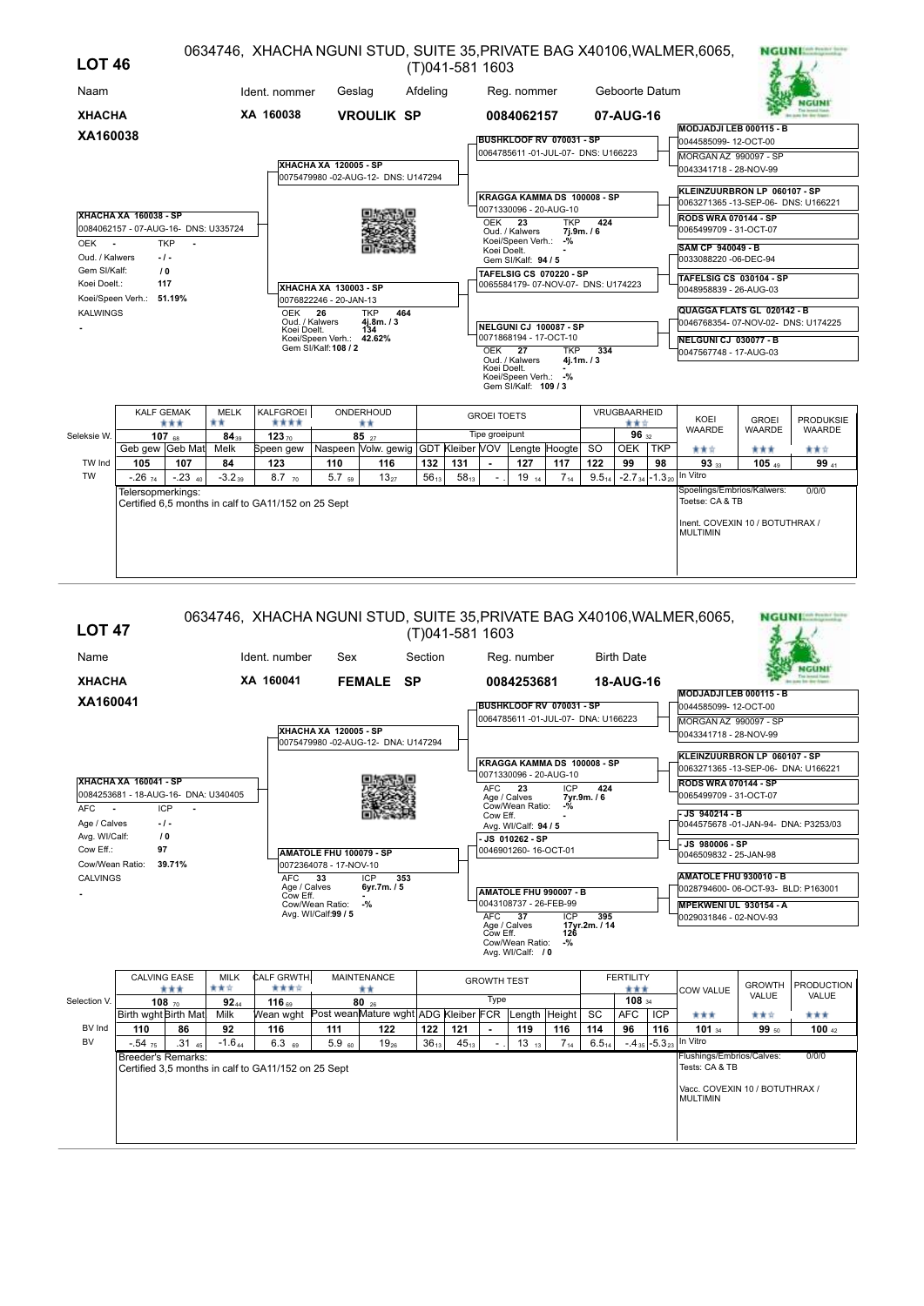| <b>LOT 46</b>   |                                                                                    |                      |                   |                                                     |                                                  |                                                                |           | (T)041-581 1603 |                    |                                              |                          |            |                             |            | 0634746, XHACHA NGUNI STUD, SUITE 35, PRIVATE BAG X40106, WALMER, 6065, |                               | <b>NGUNIAN</b>                    |
|-----------------|------------------------------------------------------------------------------------|----------------------|-------------------|-----------------------------------------------------|--------------------------------------------------|----------------------------------------------------------------|-----------|-----------------|--------------------|----------------------------------------------|--------------------------|------------|-----------------------------|------------|-------------------------------------------------------------------------|-------------------------------|-----------------------------------|
| Naam            |                                                                                    |                      |                   | Ident. nommer                                       | Geslag                                           |                                                                | Afdeling  |                 |                    | Reg. nommer                                  |                          |            | Geboorte Datum              |            |                                                                         |                               |                                   |
| <b>XHACHA</b>   |                                                                                    |                      |                   | XA 160038                                           |                                                  | <b>VROULIK SP</b>                                              |           |                 |                    | 0084062157                                   |                          |            | 07-AUG-16                   |            |                                                                         |                               |                                   |
| XA160038        |                                                                                    |                      |                   |                                                     |                                                  |                                                                |           |                 |                    | BUSHKLOOF RV 070031 - SP                     |                          |            |                             |            | MODJADJI LEB 000115 - B                                                 |                               |                                   |
|                 |                                                                                    |                      |                   |                                                     |                                                  |                                                                |           |                 |                    | 0064785611 -01-JUL-07- DNS: U166223          |                          |            |                             |            | 0044585099-12-OCT-00                                                    |                               |                                   |
|                 |                                                                                    |                      |                   |                                                     | XHACHA XA 120005 - SP                            |                                                                |           |                 |                    |                                              |                          |            |                             |            | MORGAN AZ 990097 - SP                                                   |                               |                                   |
|                 |                                                                                    |                      |                   |                                                     |                                                  | 0075479980 -02-AUG-12- DNS: U147294                            |           |                 |                    |                                              |                          |            |                             |            | 0043341718 - 28-NOV-99                                                  |                               |                                   |
|                 |                                                                                    |                      |                   |                                                     |                                                  |                                                                |           |                 |                    |                                              |                          |            |                             |            | KLEINZUURBRON LP 060107 - SP                                            |                               |                                   |
|                 |                                                                                    |                      |                   |                                                     |                                                  |                                                                |           |                 |                    | KRAGGA KAMMA DS 100008 - SP                  |                          |            |                             |            | 0063271365-13-SEP-06- DNS: U166221                                      |                               |                                   |
|                 | <b>XHACHA XA 160038 - SP</b>                                                       |                      |                   |                                                     |                                                  |                                                                |           |                 | OEK <sub>23</sub>  | 0071330096 - 20-AUG-10                       | <b>TKP</b>               | 424        |                             |            | <b>RODS WRA 070144 - SP</b>                                             |                               |                                   |
|                 | 0084062157 - 07-AUG-16- DNS: U335724                                               |                      |                   |                                                     |                                                  |                                                                |           |                 |                    | Oud. / Kalwers                               |                          | 7j.9m./6   |                             |            | 0065499709 - 31-OCT-07                                                  |                               |                                   |
| OEK -           |                                                                                    | <b>TKP</b><br>$\sim$ |                   |                                                     |                                                  |                                                                |           |                 | Koei Doelt.        | Koei/Speen Verh.: -%                         |                          |            |                             |            | SAM CP 940049 - B                                                       |                               |                                   |
| Oud. / Kalwers  |                                                                                    | $-1-$                |                   |                                                     |                                                  |                                                                |           |                 |                    | Gem SI/Kalf: 94 / 5                          |                          |            |                             |            | 0033088220 -06-DEC-94                                                   |                               |                                   |
| Gem SI/Kalf:    |                                                                                    | 10                   |                   |                                                     |                                                  |                                                                |           |                 |                    | TAFELSIG CS 070220 - SP                      |                          |            |                             |            | TAFELSIG CS 030104 - SP                                                 |                               |                                   |
| Koei Doelt.:    | 117<br>XHACHA XA 130003 - SP<br>Koei/Speen Verh.: 51.19%<br>0076822246 - 20-JAN-13 |                      |                   |                                                     |                                                  |                                                                |           |                 |                    | 0065584179-07-NOV-07- DNS: U174223           |                          |            |                             |            | 0048958839 - 26-AUG-03                                                  |                               |                                   |
|                 |                                                                                    |                      |                   |                                                     |                                                  |                                                                |           |                 |                    |                                              |                          |            |                             |            |                                                                         |                               |                                   |
| <b>KALWINGS</b> |                                                                                    |                      |                   | OEK<br>Oud. / Kalwers                               | 26                                               | <b>TKP</b><br>464                                              |           |                 |                    |                                              |                          |            |                             |            | QUAGGA FLATS GL 020142 - B                                              |                               |                                   |
|                 |                                                                                    |                      |                   | Koei Doelt.                                         |                                                  | 4j.8m. / 3<br>134                                              |           |                 |                    | <b>NELGUNI CJ 100087 - SP</b>                |                          |            |                             |            | 0046768354-07-NOV-02-DNS: U174225                                       |                               |                                   |
|                 |                                                                                    |                      |                   |                                                     | Koei/Speen Verh.: 42.62%<br>Gem SI/Kalf: 108 / 2 |                                                                |           |                 |                    | 0071868194 - 17-OCT-10                       |                          |            |                             |            | <b>NELGUNI CJ 030077 - B</b>                                            |                               |                                   |
|                 |                                                                                    |                      |                   |                                                     |                                                  |                                                                |           |                 | $OEK$ 27           | Oud. / Kalwers                               | <b>TKP</b><br>4j.1m. / 3 | 334        |                             |            | 0047567748 - 17-AUG-03                                                  |                               |                                   |
|                 |                                                                                    |                      |                   |                                                     |                                                  |                                                                |           |                 | Koei Doelt.        | Koei/Speen Verh.: -%<br>Gem SI/Kalf: 109 / 3 |                          |            |                             |            |                                                                         |                               |                                   |
|                 |                                                                                    | <b>KALF GEMAK</b>    | <b>MELK</b>       | KALFGROEI                                           |                                                  | ONDERHOUD                                                      |           |                 | <b>GROEI TOETS</b> |                                              |                          |            | VRUGBAARHEID                |            |                                                                         |                               |                                   |
|                 |                                                                                    | ***                  | **                | ****                                                |                                                  | **                                                             |           |                 | Tipe groeipunt     |                                              |                          |            | ***                         |            | KOEI<br><b>WAARDE</b>                                                   | <b>GROEI</b><br><b>WAARDE</b> | <b>PRODUKSIE</b><br><b>WAARDE</b> |
| Seleksie W.     | Geb gew Geb Mat                                                                    | 107 68               | $84_{39}$<br>Melk | 123 <sub>70</sub><br>Speen gew                      |                                                  | $85_{27}$<br>Naspeen Volw. gewig GDT Kleiber VOV Lengte Hoogte |           |                 |                    |                                              |                          | <b>SO</b>  | 96x2<br><b>OEK</b>          | <b>TKP</b> | ***                                                                     | ***                           | 青青宮                               |
| TW Ind          | 105                                                                                | 107                  | 84                | 123                                                 | 110                                              | 116                                                            | 132       | 131             |                    | 127                                          | 117                      | 122        | 99                          | 98         | 93 33                                                                   | $105$ <sub>49</sub>           | 99 41                             |
| <b>TW</b>       | $-2674$                                                                            | $-.23$ 40            | $-3.239$          | $8.7_{70}$                                          | $5.7_{59}$                                       | $13_{27}$                                                      | $56_{13}$ | $58_{13}$       |                    | $19_{14}$                                    | $7_{14}$                 | $9.5_{14}$ | $-2.734$ -1.3 <sub>20</sub> |            | In Vitro                                                                |                               |                                   |
|                 | Telersopmerkings:                                                                  |                      |                   |                                                     |                                                  |                                                                |           |                 |                    |                                              |                          |            |                             |            | Spoelings/Embrios/Kalwers:                                              |                               | 0/0/0                             |
|                 |                                                                                    |                      |                   | Certified 6,5 months in calf to GA11/152 on 25 Sept |                                                  |                                                                |           |                 |                    |                                              |                          |            |                             |            | Toetse: CA & TB                                                         |                               |                                   |
|                 |                                                                                    |                      |                   |                                                     |                                                  |                                                                |           |                 |                    |                                              |                          |            |                             |            | Inent. COVEXIN 10 / BOTUTHRAX /<br><b>MULTIMIN</b>                      |                               |                                   |

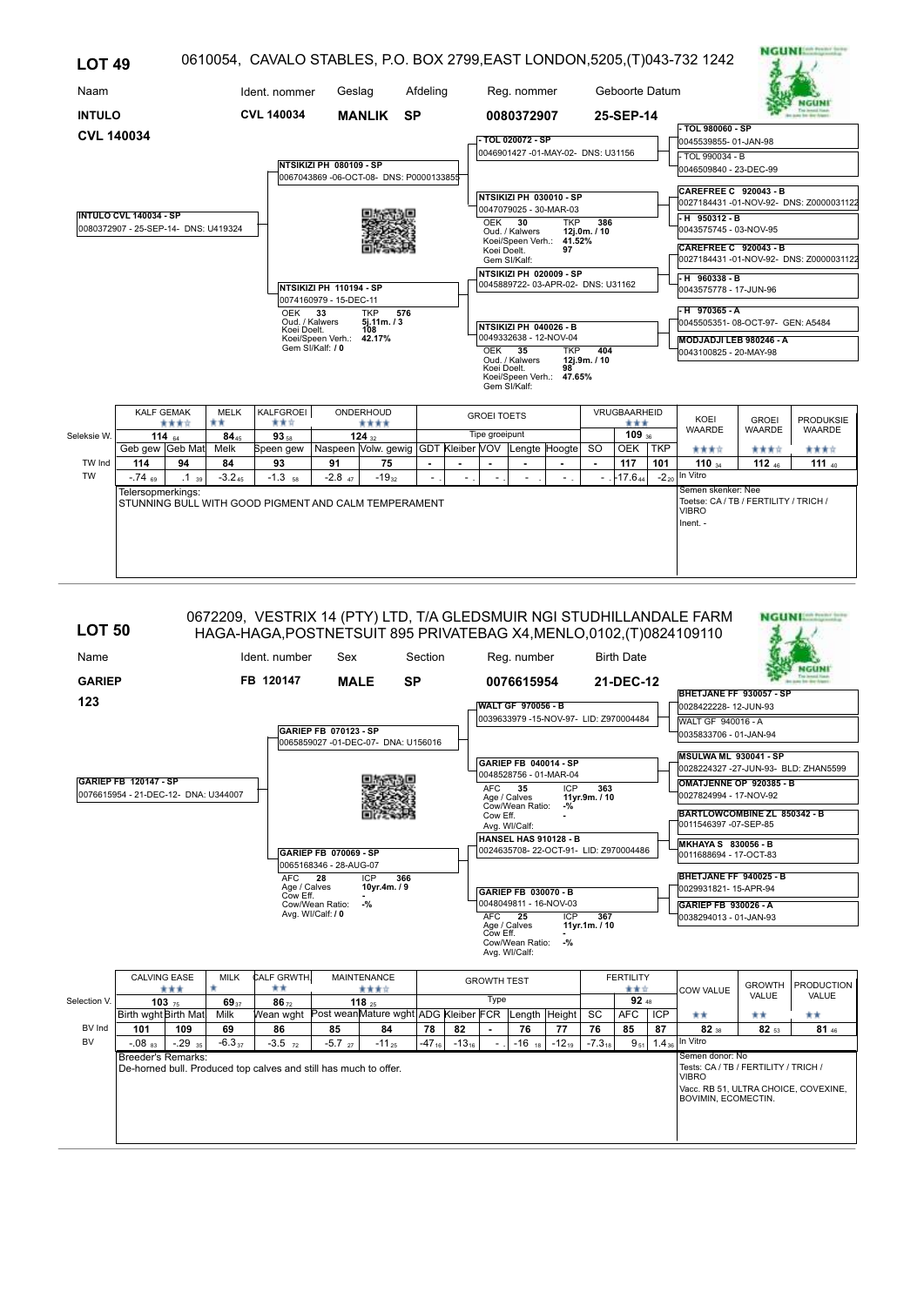| <b>LOT 49</b>       |                                                                                                                             |            |                   |                                                      |                                                                   |                                                   |                |                |                    |                                                         |            |                     |                     |     | 0610054, CAVALO STABLES, P.O. BOX 2799, EAST LONDON, 5205, (T)043-732 1242              |               | <b>NGUNI Each Pressure System</b>       |
|---------------------|-----------------------------------------------------------------------------------------------------------------------------|------------|-------------------|------------------------------------------------------|-------------------------------------------------------------------|---------------------------------------------------|----------------|----------------|--------------------|---------------------------------------------------------|------------|---------------------|---------------------|-----|-----------------------------------------------------------------------------------------|---------------|-----------------------------------------|
| Naam                |                                                                                                                             |            |                   | Ident. nommer                                        | Geslag                                                            |                                                   | Afdeling       |                |                    | Reg. nommer                                             |            |                     | Geboorte Datum      |     |                                                                                         |               |                                         |
| <b>INTULO</b>       |                                                                                                                             |            |                   | <b>CVL 140034</b>                                    |                                                                   | <b>MANLIK</b>                                     | <b>SP</b>      |                |                    | 0080372907                                              |            |                     | 25-SEP-14           |     |                                                                                         |               |                                         |
| <b>CVL 140034</b>   |                                                                                                                             |            |                   |                                                      |                                                                   |                                                   |                |                |                    |                                                         |            |                     |                     |     | - TOL 980060 - SP                                                                       |               |                                         |
|                     |                                                                                                                             |            |                   |                                                      |                                                                   |                                                   |                |                |                    | - TOL 020072 - SP<br>0046901427 -01-MAY-02- DNS: U31156 |            |                     |                     |     | 0045539855-01-JAN-98                                                                    |               |                                         |
|                     |                                                                                                                             |            |                   |                                                      | NTSIKIZI PH 080109 - SP<br>0067043869-06-OCT-08- DNS: P0000133855 |                                                   |                |                |                    |                                                         |            |                     |                     |     | $-$ TOL 990034 - B<br>0046509840 - 23-DEC-99                                            |               |                                         |
|                     |                                                                                                                             |            |                   |                                                      |                                                                   |                                                   |                |                |                    | NTSIKIZI PH 030010 - SP<br>0047079025 - 30-MAR-03       |            |                     |                     |     | <b>CAREFREE C 920043 - B</b>                                                            |               | 0027184431-01-NOV-92- DNS: Z0000031122  |
|                     | <b>INTULO CVL 140034 - SP</b><br>0080372907 - 25-SEP-14- DNS: U419324                                                       |            |                   |                                                      |                                                                   |                                                   |                |                | <b>OEK</b>         | 30<br>Oud. / Kalwers                                    | <b>TKP</b> | 386<br>12j.0m./10   |                     |     | $-H$ 950312 - B<br>0043575745 - 03-NOV-95                                               |               |                                         |
|                     |                                                                                                                             |            |                   |                                                      |                                                                   |                                                   |                |                | Koei Doelt.        | Koei/Speen Verh.: 41.52%<br>Gem SI/Kalf:                | 97         |                     |                     |     | CAREFREE C 920043 - B                                                                   |               | 0027184431 -01-NOV-92- DNS: Z0000031122 |
|                     |                                                                                                                             |            |                   |                                                      | NTSIKIZI PH 020009 - SP<br>0045889722-03-APR-02- DNS: U31162      |                                                   |                |                |                    | $-H$ 960338 - B<br>0043575778 - 17-JUN-96               |            |                     |                     |     |                                                                                         |               |                                         |
|                     | NTSIKIZI PH 110194 - SP<br>0074160979 - 15-DEC-11<br>576<br><b>OEK</b><br>33<br><b>TKP</b><br>Oud. / Kalwers<br>5j.11m. / 3 |            |                   |                                                      |                                                                   |                                                   |                |                |                    | NTSIKIZI PH 040026 - B                                  |            |                     |                     |     | -H 970365-A<br>0045505351-08-OCT-97- GEN: A5484                                         |               |                                         |
|                     | Koei Doelt.<br>108<br>Koei/Speen Verh.: 42.17%<br>Gem SI/Kalf: / 0                                                          |            |                   |                                                      |                                                                   |                                                   |                |                | OEK 35             | 0049332638 - 12-NOV-04<br>Oud. / Kalwers                | <b>TKP</b> | 404<br>12j.9m. / 10 |                     |     | MODJADJI LEB 980246 - A<br>0043100825 - 20-MAY-98                                       |               |                                         |
|                     |                                                                                                                             |            |                   |                                                      |                                                                   |                                                   |                |                | Koei Doelt.        | Koei/Speen Verh.: 47.65%<br>Gem SI/Kalf:                | 98         |                     |                     |     |                                                                                         |               |                                         |
|                     | <b>KALF GEMAK</b>                                                                                                           | ****       | <b>MELK</b><br>** | KALFGROEI<br>青青宮                                     |                                                                   | ONDERHOUD<br>****                                 |                |                | <b>GROEI TOETS</b> |                                                         |            |                     | VRUGBAARHEID<br>*** |     | KOEI                                                                                    | <b>GROEI</b>  | <b>PRODUKSIE</b>                        |
| Seleksie W.         |                                                                                                                             | 114 $64$   | $84_{45}$         | $93_{58}$                                            |                                                                   | 124 $_{32}$                                       |                |                | Tipe groeipunt     |                                                         |            |                     | $109_{36}$          |     | <b>WAARDE</b>                                                                           | <b>WAARDE</b> | <b>WAARDE</b>                           |
|                     | Geb gew Geb Mat                                                                                                             |            | Melk              | Speen gew                                            |                                                                   | Naspeen Volw. gewig GDT Kleiber VOV Lengte Hoogte |                |                |                    |                                                         |            | <sub>SO</sub>       | <b>OEK</b>          | TKP | ****                                                                                    | ****          | ****                                    |
| TW Ind<br><b>TW</b> | 114<br>$-74$ 69                                                                                                             | 94         | 84<br>$-3.245$    | 93<br>$-1.3$ 58                                      | 91<br>$-2.8$ $_{47}$                                              | 75<br>$-19_{32}$                                  | $\blacksquare$ | $\blacksquare$ |                    |                                                         |            | ٠                   | 117<br>$-17.6_{44}$ | 101 | 110u<br>- $2_{20}$ In Vitro                                                             | 112 $46$      | 111 $40$                                |
|                     | Telersopmerkings:                                                                                                           | $.1_{.39}$ |                   | STUNNING BULL WITH GOOD PIGMENT AND CALM TEMPERAMENT |                                                                   |                                                   |                |                |                    |                                                         |            |                     |                     |     | Semen skenker: Nee<br>Toetse: CA / TB / FERTILITY / TRICH /<br><b>VIBRO</b><br>Inent. - |               |                                         |
|                     |                                                                                                                             |            |                   |                                                      |                                                                   |                                                   |                |                |                    |                                                         |            |                     |                     |     |                                                                                         |               |                                         |

| <b>LOT 50</b> |                                      | 0672209, VESTRIX 14 (PTY) LTD, T/A GLEDSMUIR NGI STUDHILLANDALE FARM<br>HAGA-HAGA, POSTNETSUIT 895 PRIVATEBAG X4, MENLO, 0102, (T) 0824109110 |                                                 |                                                 |            |         |                            |                                        |            |                      |                         |                   |                                                                      |               | <b>NGUNIAN PORT WAR</b> |
|---------------|--------------------------------------|-----------------------------------------------------------------------------------------------------------------------------------------------|-------------------------------------------------|-------------------------------------------------|------------|---------|----------------------------|----------------------------------------|------------|----------------------|-------------------------|-------------------|----------------------------------------------------------------------|---------------|-------------------------|
| Name          |                                      | Ident. number                                                                                                                                 | Sex                                             |                                                 | Section    |         |                            | Reg. number                            |            |                      | <b>Birth Date</b>       |                   |                                                                      |               |                         |
| <b>GARIEP</b> |                                      | FB 120147                                                                                                                                     | <b>MALE</b>                                     | <b>SP</b>                                       |            |         |                            | 0076615954                             |            |                      | 21-DEC-12               |                   |                                                                      |               |                         |
| 123           |                                      |                                                                                                                                               |                                                 |                                                 |            |         |                            | <b>WALT GF 970056 - B</b>              |            |                      |                         |                   | BHETJANE FF 930057 - SP<br>0028422228-12-JUN-93                      |               |                         |
|               |                                      |                                                                                                                                               |                                                 |                                                 |            |         |                            | 0039633979 -15-NOV-97- LID: Z970004484 |            |                      |                         |                   | <b>WALT GF 940016 - A</b>                                            |               |                         |
|               |                                      |                                                                                                                                               | GARIEP FB 070123 - SP                           |                                                 |            |         |                            |                                        |            |                      |                         |                   | 0035833706 - 01-JAN-94                                               |               |                         |
|               |                                      |                                                                                                                                               |                                                 | 0065859027 -01-DEC-07- DNA: U156016             |            |         |                            |                                        |            |                      |                         |                   |                                                                      |               |                         |
|               |                                      |                                                                                                                                               |                                                 |                                                 |            |         |                            | GARIEP FB 040014 - SP                  |            |                      |                         |                   | <b>MSULWA ML 930041 - SP</b><br>0028224327 -27-JUN-93- BLD: ZHAN5599 |               |                         |
|               | <b>GARIEP FB 120147 - SP</b>         |                                                                                                                                               |                                                 |                                                 |            |         |                            | 0048528756 - 01-MAR-04                 |            |                      |                         |                   | OMATJENNE OP 920385 - B                                              |               |                         |
|               | 0076615954 - 21-DEC-12- DNA: U344007 |                                                                                                                                               |                                                 |                                                 |            |         | <b>AFC</b>                 | 35<br>Age / Calves                     | ICP        | 363<br>11yr.9m. / 10 |                         |                   | 0027824994 - 17-NOV-92                                               |               |                         |
|               |                                      |                                                                                                                                               |                                                 |                                                 |            |         | Cow Eff.                   | Cow/Wean Ratio:                        | $-$ %      |                      |                         |                   | BARTLOWCOMBINE ZL 850342 - B                                         |               |                         |
|               |                                      |                                                                                                                                               |                                                 |                                                 |            |         |                            | Avg. WI/Calf:                          |            |                      |                         |                   | 0011546397 -07-SEP-85                                                |               |                         |
|               |                                      |                                                                                                                                               |                                                 |                                                 |            |         |                            | <b>HANSEL HAS 910128 - B</b>           |            |                      |                         |                   | <b>MKHAYA S 830056 - B</b>                                           |               |                         |
|               |                                      |                                                                                                                                               | GARIEP FB 070069 - SP<br>0065168346 - 28-AUG-07 |                                                 |            |         |                            | 0024635708-22-OCT-91- LID: Z970004486  |            |                      |                         |                   | 0011688694 - 17-OCT-83                                               |               |                         |
|               |                                      | AFC.                                                                                                                                          | 28                                              | <b>ICP</b><br>366                               |            |         |                            |                                        |            |                      |                         |                   | BHETJANE FF 940025 - B                                               |               |                         |
|               |                                      | Cow Eff.                                                                                                                                      | Age / Calves                                    | 10yr.4m. / 9                                    |            |         |                            | GARIEP FB 030070 - B                   |            |                      |                         |                   | 0029931821-15-APR-94                                                 |               |                         |
|               |                                      |                                                                                                                                               | Cow/Wean Ratio:                                 | $-$ %                                           |            |         |                            | 0048049811 - 16-NOV-03                 |            |                      |                         |                   | GARIEP FB 930026 - A                                                 |               |                         |
|               |                                      |                                                                                                                                               | Avg. WI/Calf: / 0                               |                                                 |            |         | <b>AFC</b><br>Age / Calves | 25                                     | <b>ICP</b> | 367<br>11vr.1m. / 10 |                         |                   | 0038294013 - 01-JAN-93                                               |               |                         |
|               |                                      |                                                                                                                                               |                                                 |                                                 |            |         | Cow Eff.                   | Cow/Wean Ratio:                        | $-9/2$     |                      |                         |                   |                                                                      |               |                         |
|               |                                      |                                                                                                                                               |                                                 |                                                 |            |         |                            | Avg. WI/Calf:                          |            |                      |                         |                   |                                                                      |               |                         |
|               |                                      |                                                                                                                                               |                                                 |                                                 |            |         |                            |                                        |            |                      |                         |                   |                                                                      |               |                         |
|               | <b>CALVING EASE</b><br>***           | CALF GRWTH<br><b>MILK</b><br>**<br>۰                                                                                                          |                                                 | <b>MAINTENANCE</b><br>含食食食                      |            |         | <b>GROWTH TEST</b>         |                                        |            |                      | <b>FERTILITY</b><br>青青宮 |                   | <b>COW VALUE</b>                                                     | <b>GROWTH</b> | <b>PRODUCTION</b>       |
| Selection V.  | 10375                                | 6937<br>$86 - 72$                                                                                                                             |                                                 | 118,25                                          |            |         | Type                       |                                        |            |                      | 92 <sub>48</sub>        |                   |                                                                      | VALUE         | VALUE                   |
|               | Birth wght Birth Mat                 | Milk                                                                                                                                          |                                                 | Wean wght Post wean Mature wght ADG Kleiber FCR |            |         |                            | Length Height                          |            | SC                   | <b>AFC</b>              | <b>ICP</b>        | **                                                                   | **            | **                      |
| BV Ind        | 101<br>109                           | 86<br>69                                                                                                                                      | 85                                              | 84                                              | 78         | 82      | $\blacksquare$             | 76                                     | 77         | 76                   | 85                      | 87                | $82$ <sub>38</sub>                                                   | 82 53         | $81_{46}$               |
| <b>BV</b>     | $-.29$ 35<br>$-0.08$ <sub>83</sub>   | $-6.337$<br>$-3.5$ $72$                                                                                                                       | $-5.7$ <sub>27</sub>                            | $-11_{25}$                                      | $-47_{16}$ | $-1316$ |                            | $-16$ 18                               | $-12_{19}$ | $-7.3_{18}$          | $9_{51}$                | 1.4 <sub>36</sub> | In Vitro                                                             |               |                         |
|               | Breeder's Remarks:                   | De-horned bull. Produced top calves and still has much to offer.                                                                              |                                                 |                                                 |            |         |                            |                                        |            |                      |                         |                   | Semen donor: No<br>Tests: CA / TB / FERTILITY / TRICH /              |               |                         |
|               |                                      |                                                                                                                                               |                                                 |                                                 |            |         |                            |                                        |            |                      |                         |                   | <b>VIBRO</b>                                                         |               |                         |
|               |                                      |                                                                                                                                               |                                                 |                                                 |            |         |                            |                                        |            |                      |                         |                   | Vacc. RB 51, ULTRA CHOICE, COVEXINE,<br>BOVIMIN, ECOMECTIN.          |               |                         |
|               |                                      |                                                                                                                                               |                                                 |                                                 |            |         |                            |                                        |            |                      |                         |                   |                                                                      |               |                         |
|               |                                      |                                                                                                                                               |                                                 |                                                 |            |         |                            |                                        |            |                      |                         |                   |                                                                      |               |                         |
|               |                                      |                                                                                                                                               |                                                 |                                                 |            |         |                            |                                        |            |                      |                         |                   |                                                                      |               |                         |